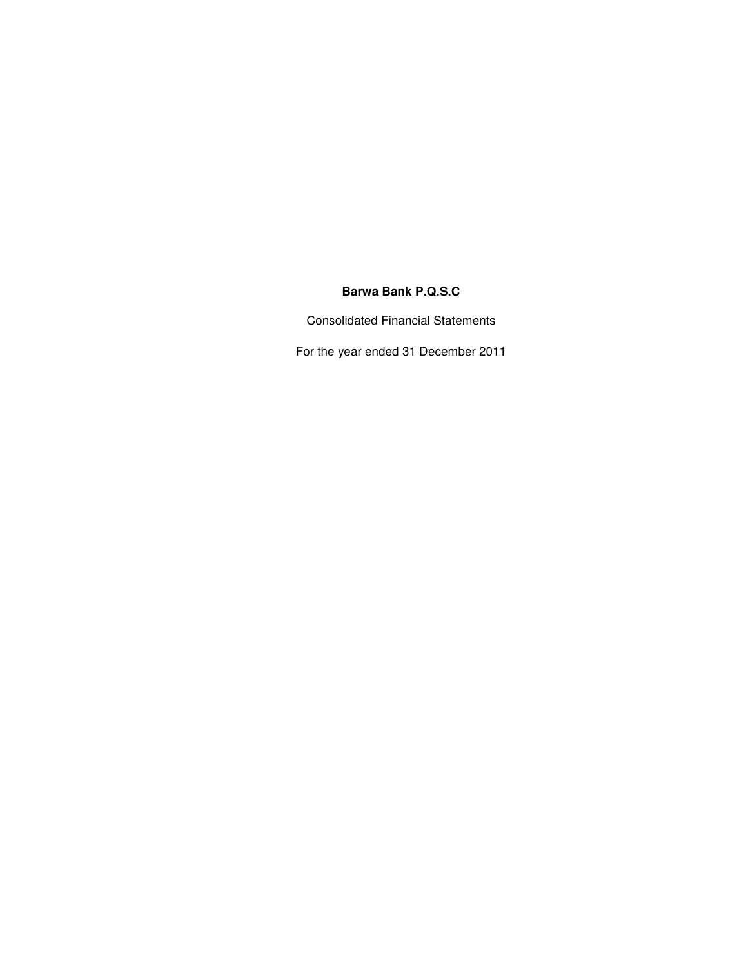# **Barwa Bank P.Q.S.C**

Consolidated Financial Statements

For the year ended 31 December 2011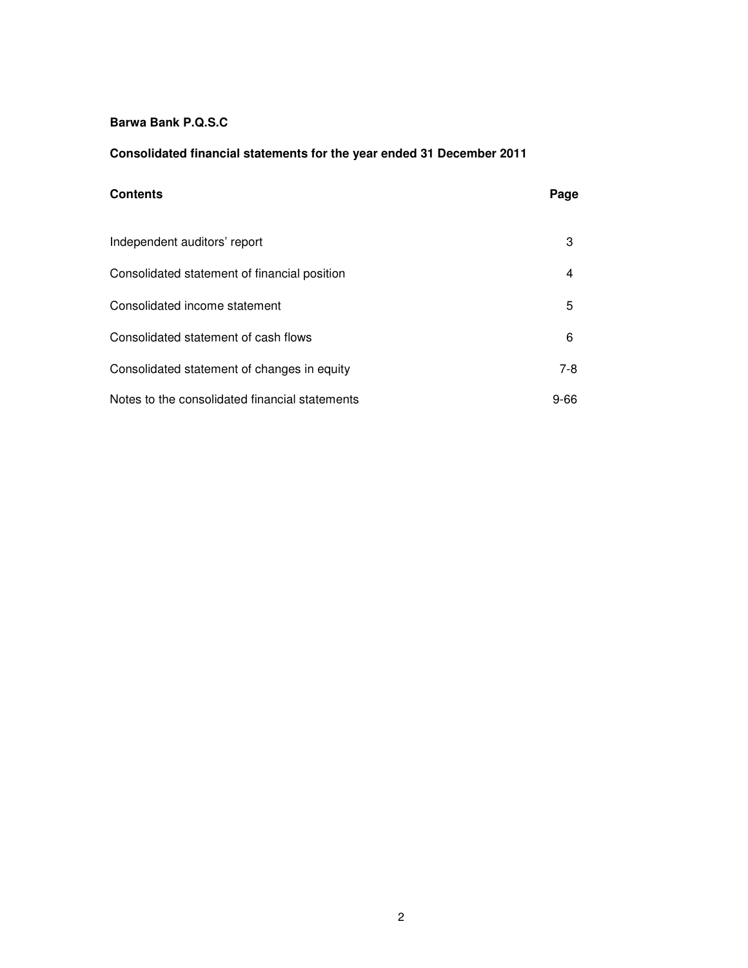### **Barwa Bank P.Q.S.C**

### **Consolidated financial statements for the year ended 31 December 2011**

# **Contents Page** Independent auditors' report 3 Consolidated statement of financial position 4 Consolidated income statement 5 Consolidated statement of cash flows 6 Consolidated statement of changes in equity 7-8 Notes to the consolidated financial statements 9-66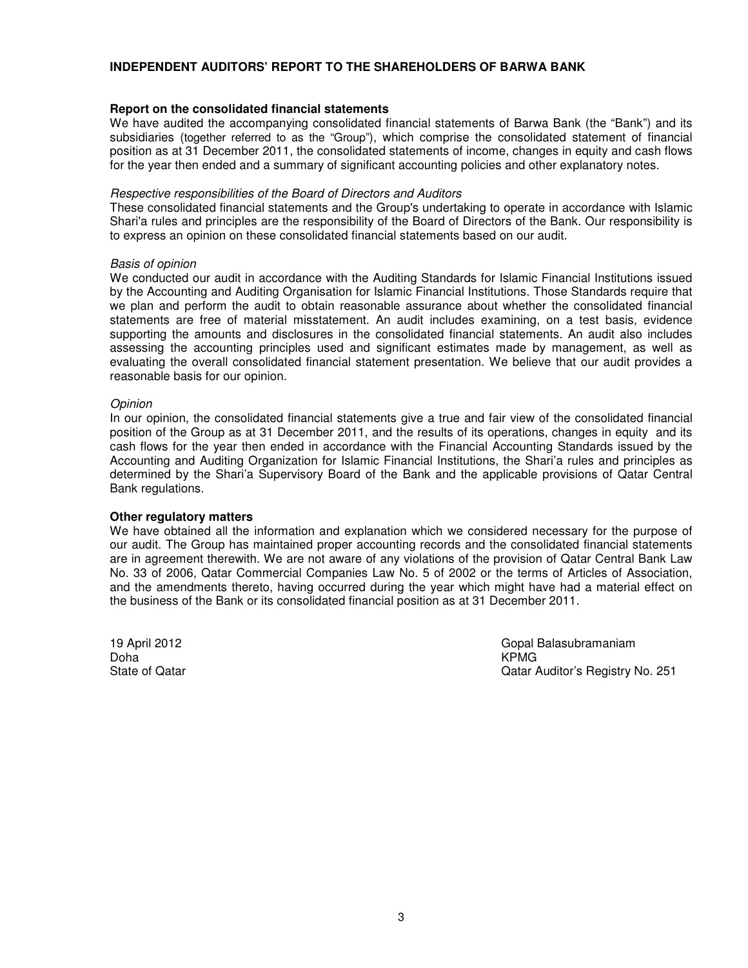### **INDEPENDENT AUDITORS' REPORT TO THE SHAREHOLDERS OF BARWA BANK**

### **Report on the consolidated financial statements**

We have audited the accompanying consolidated financial statements of Barwa Bank (the "Bank") and its subsidiaries (together referred to as the "Group"), which comprise the consolidated statement of financial position as at 31 December 2011, the consolidated statements of income, changes in equity and cash flows for the year then ended and a summary of significant accounting policies and other explanatory notes.

#### *Respective responsibilities of the Board of Directors and Auditors*

These consolidated financial statements and the Group's undertaking to operate in accordance with Islamic Shari'a rules and principles are the responsibility of the Board of Directors of the Bank. Our responsibility is to express an opinion on these consolidated financial statements based on our audit.

### *Basis of opinion*

We conducted our audit in accordance with the Auditing Standards for Islamic Financial Institutions issued by the Accounting and Auditing Organisation for Islamic Financial Institutions. Those Standards require that we plan and perform the audit to obtain reasonable assurance about whether the consolidated financial statements are free of material misstatement. An audit includes examining, on a test basis, evidence supporting the amounts and disclosures in the consolidated financial statements. An audit also includes assessing the accounting principles used and significant estimates made by management, as well as evaluating the overall consolidated financial statement presentation. We believe that our audit provides a reasonable basis for our opinion.

### *Opinion*

In our opinion, the consolidated financial statements give a true and fair view of the consolidated financial position of the Group as at 31 December 2011, and the results of its operations, changes in equity and its cash flows for the year then ended in accordance with the Financial Accounting Standards issued by the Accounting and Auditing Organization for Islamic Financial Institutions, the Shari'a rules and principles as determined by the Shari'a Supervisory Board of the Bank and the applicable provisions of Qatar Central Bank regulations.

### **Other regulatory matters**

We have obtained all the information and explanation which we considered necessary for the purpose of our audit. The Group has maintained proper accounting records and the consolidated financial statements are in agreement therewith. We are not aware of any violations of the provision of Qatar Central Bank Law No. 33 of 2006, Qatar Commercial Companies Law No. 5 of 2002 or the terms of Articles of Association, and the amendments thereto, having occurred during the year which might have had a material effect on the business of the Bank or its consolidated financial position as at 31 December 2011.

Doha KPMG

19 April 2012 Gopal Balasubramaniam State of Qatar Qatar Auditor's Registry No. 251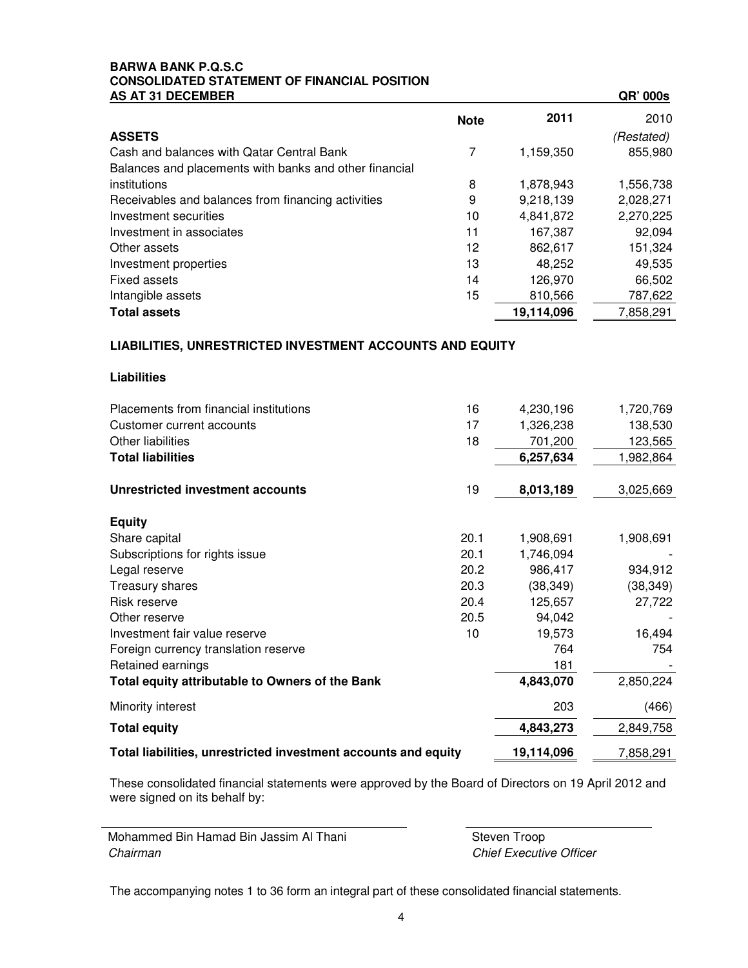### **BARWA BANK P.Q.S.C CONSOLIDATED STATEMENT OF FINANCIAL POSITION AS AT 31 DECEMBER QR' 000s**

| AV AT VI DEVENDENT                                     |             |            | an voos    |
|--------------------------------------------------------|-------------|------------|------------|
|                                                        | <b>Note</b> | 2011       | 2010       |
| <b>ASSETS</b>                                          |             |            | (Restated) |
| Cash and balances with Qatar Central Bank              | 7           | 1,159,350  | 855,980    |
| Balances and placements with banks and other financial |             |            |            |
| institutions                                           | 8           | 1,878,943  | 1,556,738  |
| Receivables and balances from financing activities     | 9           | 9,218,139  | 2,028,271  |
| Investment securities                                  | 10          | 4,841,872  | 2,270,225  |
| Investment in associates                               | 11          | 167,387    | 92,094     |
| Other assets                                           | 12          | 862,617    | 151,324    |
| Investment properties                                  | 13          | 48.252     | 49,535     |
| <b>Fixed assets</b>                                    | 14          | 126,970    | 66,502     |
| Intangible assets                                      | 15          | 810,566    | 787,622    |
| <b>Total assets</b>                                    |             | 19,114,096 | 7,858,291  |

### **LIABILITIES, UNRESTRICTED INVESTMENT ACCOUNTS AND EQUITY**

| Liabilities |  |
|-------------|--|
|-------------|--|

 $\overline{\phantom{0}}$ 

| Placements from financial institutions                         | 16         | 4,230,196 | 1,720,769 |
|----------------------------------------------------------------|------------|-----------|-----------|
| Customer current accounts                                      | 17         | 1,326,238 | 138,530   |
| Other liabilities                                              | 18         | 701,200   | 123,565   |
| <b>Total liabilities</b>                                       |            | 6,257,634 | 1,982,864 |
| Unrestricted investment accounts                               | 19         | 8,013,189 | 3,025,669 |
| <b>Equity</b>                                                  |            |           |           |
| Share capital                                                  | 20.1       | 1,908,691 | 1,908,691 |
| Subscriptions for rights issue                                 | 20.1       | 1,746,094 |           |
| Legal reserve                                                  | 20.2       | 986,417   | 934,912   |
| Treasury shares                                                | 20.3       | (38, 349) | (38, 349) |
| Risk reserve                                                   | 20.4       | 125,657   | 27,722    |
| Other reserve                                                  | 20.5       | 94,042    |           |
| Investment fair value reserve                                  | 10         | 19,573    | 16,494    |
| Foreign currency translation reserve                           |            | 764       | 754       |
| Retained earnings                                              |            | 181       |           |
| Total equity attributable to Owners of the Bank                |            | 4,843,070 | 2,850,224 |
| Minority interest                                              |            | 203       | (466)     |
| <b>Total equity</b>                                            |            | 4,843,273 | 2,849,758 |
| Total liabilities, unrestricted investment accounts and equity | 19,114,096 | 7,858,291 |           |

These consolidated financial statements were approved by the Board of Directors on 19 April 2012 and were signed on its behalf by:

| Mohammed Bin Hamad Bin Jassim Al Thani | Steven Troop                   |
|----------------------------------------|--------------------------------|
| Chairman                               | <b>Chief Executive Officer</b> |

The accompanying notes 1 to 36 form an integral part of these consolidated financial statements.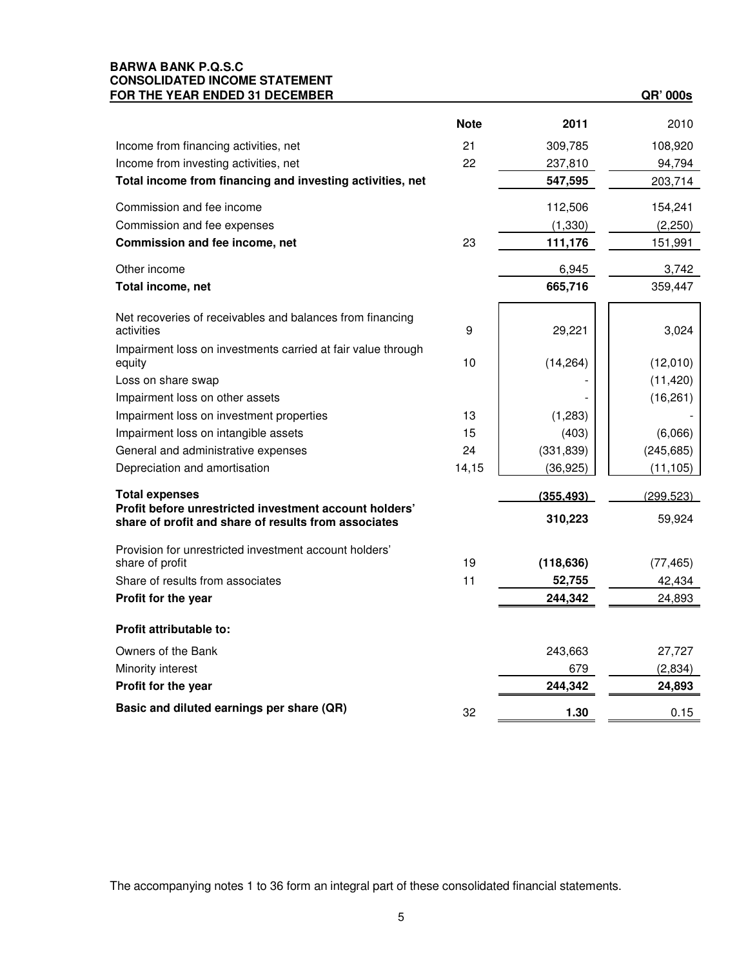### **BARWA BANK P.Q.S.C CONSOLIDATED INCOME STATEMENT FOR THE YEAR ENDED 31 DECEMBER QR' 000s**

|                                                                                 | <b>Note</b> | 2011              | 2010             |
|---------------------------------------------------------------------------------|-------------|-------------------|------------------|
| Income from financing activities, net                                           | 21          | 309,785           | 108,920          |
| Income from investing activities, net                                           | 22          | 237,810           | 94,794           |
| Total income from financing and investing activities, net                       |             | 547,595           | 203,714          |
| Commission and fee income                                                       |             | 112,506           | 154,241          |
| Commission and fee expenses                                                     |             | (1, 330)          | (2,250)          |
| Commission and fee income, net                                                  | 23          | 111,176           | 151,991          |
| Other income                                                                    |             | 6,945             | 3,742            |
| Total income, net                                                               |             | 665,716           | 359,447          |
| Net recoveries of receivables and balances from financing<br>activities         | 9           | 29,221            | 3,024            |
| Impairment loss on investments carried at fair value through<br>equity          | 10          | (14, 264)         | (12,010)         |
| Loss on share swap                                                              |             |                   | (11, 420)        |
| Impairment loss on other assets                                                 |             |                   | (16, 261)        |
| Impairment loss on investment properties                                        | 13          | (1,283)           |                  |
| Impairment loss on intangible assets                                            | 15          | (403)             | (6,066)          |
| General and administrative expenses                                             | 24          | (331, 839)        | (245, 685)       |
| Depreciation and amortisation                                                   | 14,15       | (36, 925)         | (11, 105)        |
| <b>Total expenses</b><br>Profit before unrestricted investment account holders' |             | (355, 493)        | (299, 523)       |
| share of profit and share of results from associates                            |             | 310,223           | 59,924           |
| Provision for unrestricted investment account holders'                          | 19          |                   |                  |
| share of profit<br>Share of results from associates                             | 11          | (118, 636)        | (77, 465)        |
| Profit for the year                                                             |             | 52,755<br>244,342 | 42,434<br>24,893 |
|                                                                                 |             |                   |                  |
| Profit attributable to:                                                         |             |                   |                  |
| Owners of the Bank                                                              |             | 243,663           | 27,727           |
| Minority interest                                                               |             | 679               | (2,834)          |
| Profit for the year                                                             |             | 244,342           | 24,893           |
| Basic and diluted earnings per share (QR)                                       | 32          | 1.30              | 0.15             |

The accompanying notes 1 to 36 form an integral part of these consolidated financial statements.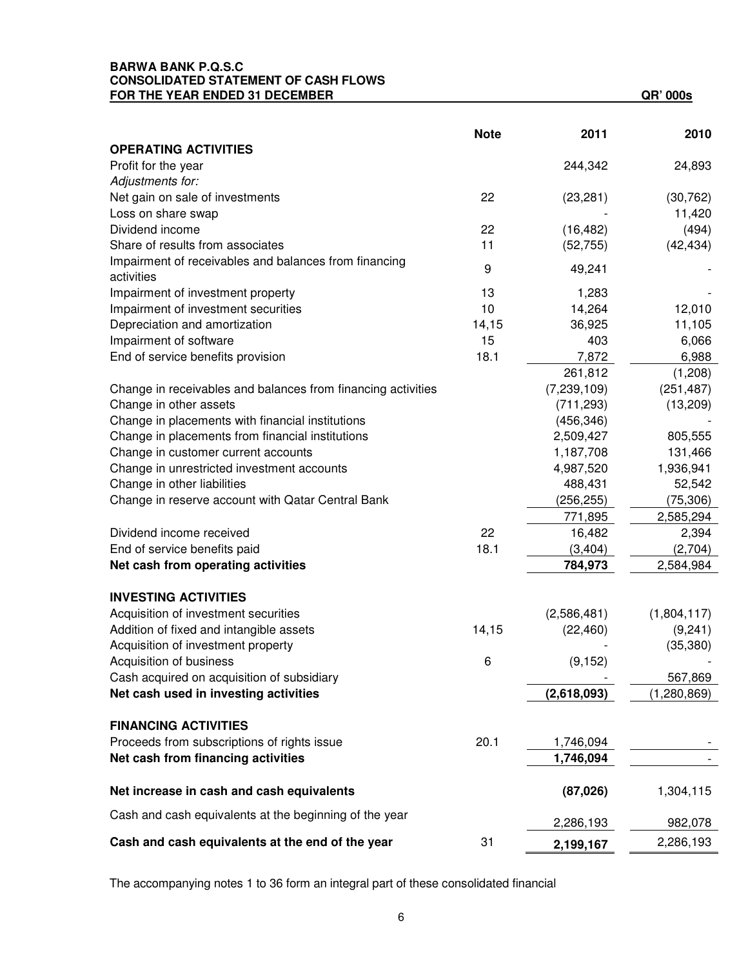### **BARWA BANK P.Q.S.C CONSOLIDATED STATEMENT OF CASH FLOWS FOR THE YEAR ENDED 31 DECEMBER QR' 000s**

|                                                              | <b>Note</b> | 2011          | 2010        |
|--------------------------------------------------------------|-------------|---------------|-------------|
| <b>OPERATING ACTIVITIES</b>                                  |             |               |             |
| Profit for the year                                          |             | 244,342       | 24,893      |
| Adjustments for:                                             |             |               |             |
| Net gain on sale of investments                              | 22          | (23, 281)     | (30, 762)   |
| Loss on share swap                                           |             |               | 11,420      |
| Dividend income                                              | 22          | (16, 482)     | (494)       |
| Share of results from associates                             | 11          | (52, 755)     | (42, 434)   |
| Impairment of receivables and balances from financing        | 9           | 49,241        |             |
| activities                                                   |             |               |             |
| Impairment of investment property                            | 13          | 1,283         |             |
| Impairment of investment securities                          | 10          | 14,264        | 12,010      |
| Depreciation and amortization                                | 14,15       | 36,925        | 11,105      |
| Impairment of software                                       | 15          | 403           | 6,066       |
| End of service benefits provision                            | 18.1        | 7,872         | 6,988       |
|                                                              |             | 261,812       | (1,208)     |
| Change in receivables and balances from financing activities |             | (7, 239, 109) | (251, 487)  |
| Change in other assets                                       |             | (711, 293)    | (13,209)    |
| Change in placements with financial institutions             |             | (456, 346)    |             |
| Change in placements from financial institutions             |             | 2,509,427     | 805,555     |
| Change in customer current accounts                          |             | 1,187,708     | 131,466     |
| Change in unrestricted investment accounts                   |             | 4,987,520     | 1,936,941   |
| Change in other liabilities                                  |             | 488,431       | 52,542      |
| Change in reserve account with Qatar Central Bank            |             | (256, 255)    | (75, 306)   |
|                                                              |             | 771,895       | 2,585,294   |
| Dividend income received                                     | 22          | 16,482        | 2,394       |
| End of service benefits paid                                 | 18.1        | (3, 404)      | (2,704)     |
| Net cash from operating activities                           |             | 784,973       | 2,584,984   |
| <b>INVESTING ACTIVITIES</b>                                  |             |               |             |
| Acquisition of investment securities                         |             | (2,586,481)   | (1,804,117) |
| Addition of fixed and intangible assets                      | 14,15       | (22, 460)     | (9,241)     |
| Acquisition of investment property                           |             |               | (35, 380)   |
| Acquisition of business                                      | 6           | (9, 152)      |             |
| Cash acquired on acquisition of subsidiary                   |             |               | 567,869     |
| Net cash used in investing activities                        |             | (2,618,093)   | (1,280,869) |
| <b>FINANCING ACTIVITIES</b>                                  |             |               |             |
| Proceeds from subscriptions of rights issue                  | 20.1        | 1,746,094     |             |
| Net cash from financing activities                           |             | 1,746,094     |             |
|                                                              |             |               |             |
| Net increase in cash and cash equivalents                    |             | (87,026)      | 1,304,115   |
| Cash and cash equivalents at the beginning of the year       |             | 2,286,193     | 982,078     |
| Cash and cash equivalents at the end of the year             | 31          | 2,199,167     | 2,286,193   |

The accompanying notes 1 to 36 form an integral part of these consolidated financial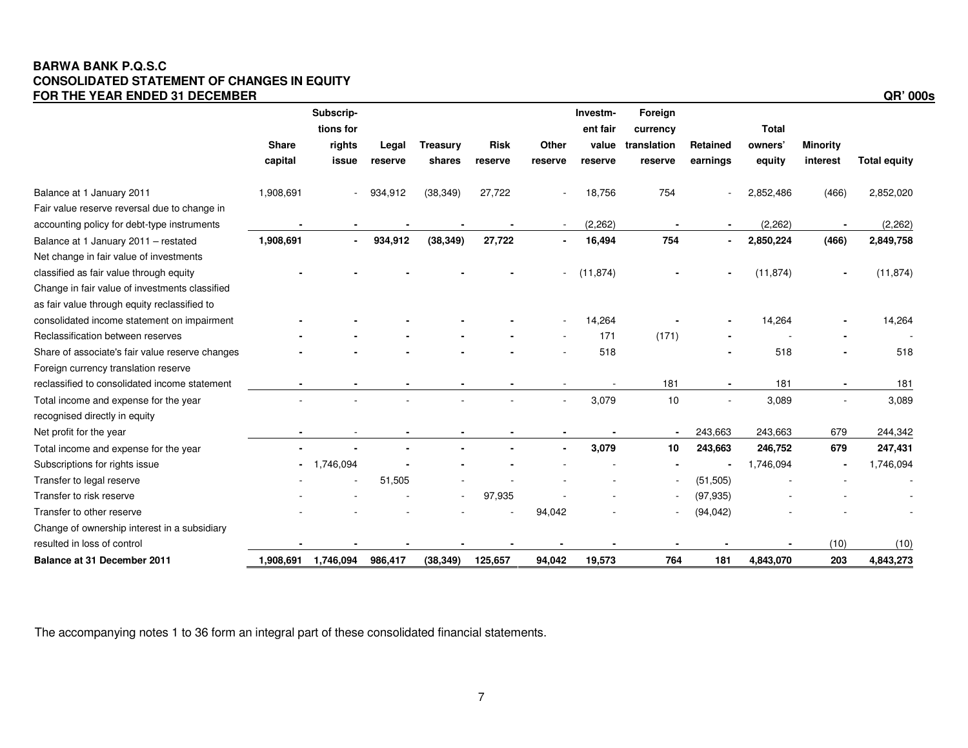### **BARWA BANK P.Q.S.C CONSOLIDATED STATEMENT OF CHANGES IN EQUITY FOR THE YEAR ENDED 31 DECEMBER QR' 000s**

|                                                 |              | Subscrip-           |         |                 |             |         | Investm-          | Foreign                  |           |                         |                 |                     |
|-------------------------------------------------|--------------|---------------------|---------|-----------------|-------------|---------|-------------------|--------------------------|-----------|-------------------------|-----------------|---------------------|
|                                                 | <b>Share</b> | tions for<br>rights | Legal   | <b>Treasury</b> | <b>Risk</b> | Other   | ent fair<br>value | currency<br>translation  | Retained  | <b>Total</b><br>owners' | <b>Minority</b> |                     |
|                                                 | capital      | issue               | reserve | shares          | reserve     | reserve | reserve           | reserve                  | earnings  | equity                  | interest        | <b>Total equity</b> |
|                                                 |              |                     |         |                 |             |         |                   |                          |           |                         |                 |                     |
| Balance at 1 January 2011                       | 1,908,691    |                     | 934,912 | (38, 349)       | 27,722      |         | 18,756            | 754                      |           | 2,852,486               | (466)           | 2,852,020           |
| Fair value reserve reversal due to change in    |              |                     |         |                 |             |         |                   |                          |           |                         |                 |                     |
| accounting policy for debt-type instruments     |              |                     |         |                 |             |         | (2, 262)          |                          |           | (2, 262)                |                 | (2, 262)            |
| Balance at 1 January 2011 - restated            | 1,908,691    |                     | 934,912 | (38, 349)       | 27,722      |         | 16,494            | 754                      |           | 2,850,224               | (466)           | 2,849,758           |
| Net change in fair value of investments         |              |                     |         |                 |             |         |                   |                          |           |                         |                 |                     |
| classified as fair value through equity         |              |                     |         |                 |             | $\sim$  | (11, 874)         |                          |           | (11, 874)               |                 | (11, 874)           |
| Change in fair value of investments classified  |              |                     |         |                 |             |         |                   |                          |           |                         |                 |                     |
| as fair value through equity reclassified to    |              |                     |         |                 |             |         |                   |                          |           |                         |                 |                     |
| consolidated income statement on impairment     |              |                     |         |                 |             |         | 14,264            |                          |           | 14,264                  |                 | 14,264              |
| Reclassification between reserves               |              |                     |         |                 |             |         | 171               | (171)                    |           |                         |                 |                     |
| Share of associate's fair value reserve changes |              |                     |         |                 |             |         | 518               |                          |           | 518                     |                 | 518                 |
| Foreign currency translation reserve            |              |                     |         |                 |             |         |                   |                          |           |                         |                 |                     |
| reclassified to consolidated income statement   |              |                     |         |                 |             |         |                   | 181                      |           | 181                     |                 | 181                 |
| Total income and expense for the year           |              |                     |         |                 |             |         | 3,079             | 10                       |           | 3,089                   |                 | 3,089               |
| recognised directly in equity                   |              |                     |         |                 |             |         |                   |                          |           |                         |                 |                     |
| Net profit for the year                         |              |                     |         |                 |             |         |                   | $\blacksquare$           | 243,663   | 243,663                 | 679             | 244,342             |
| Total income and expense for the year           |              |                     |         |                 |             |         | 3,079             | 10                       | 243,663   | 246,752                 | 679             | 247,431             |
| Subscriptions for rights issue                  |              | 1,746,094           |         |                 |             |         |                   |                          |           | 1,746,094               |                 | 1,746,094           |
| Transfer to legal reserve                       |              |                     | 51,505  |                 |             |         |                   | $\overline{\phantom{a}}$ | (51, 505) |                         |                 |                     |
| Transfer to risk reserve                        |              |                     |         |                 | 97,935      |         |                   | $\overline{\phantom{a}}$ | (97, 935) |                         |                 |                     |
| Transfer to other reserve                       |              |                     |         |                 |             | 94,042  |                   |                          | (94, 042) |                         |                 |                     |
| Change of ownership interest in a subsidiary    |              |                     |         |                 |             |         |                   |                          |           |                         |                 |                     |
| resulted in loss of control                     |              |                     |         |                 |             |         |                   |                          |           |                         | (10)            | (10)                |
| Balance at 31 December 2011                     | 1,908,691    | 1,746,094           | 986,417 | (38, 349)       | 125,657     | 94,042  | 19,573            | 764                      | 181       | 4,843,070               | 203             | 4,843,273           |

The accompanying notes 1 to 36 form an integral part of these consolidated financial statements.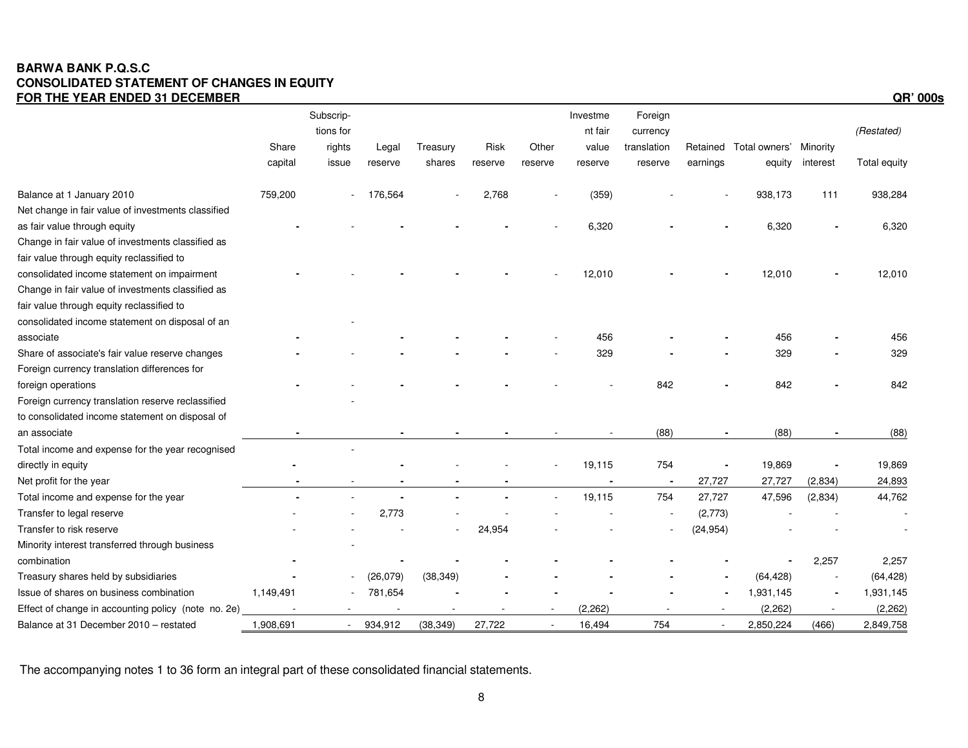### **BARWA BANK P.Q.S.C CONSOLIDATED STATEMENT OF CHANGES IN EQUITY FOR THE YEAR ENDED 31 DECEMBER QR' 000s**

|                                                     |           | Subscrip-<br>tions for |           |           |         |         | Investme<br>nt fair | Foreign<br>currency |                |                        |          | (Restated)   |
|-----------------------------------------------------|-----------|------------------------|-----------|-----------|---------|---------|---------------------|---------------------|----------------|------------------------|----------|--------------|
|                                                     | Share     | rights                 | Legal     | Treasury  | Risk    | Other   | value               | translation         |                | Retained Total owners' | Minority |              |
|                                                     | capital   | issue                  | reserve   | shares    | reserve | reserve | reserve             | reserve             | earnings       | equity                 | interest | Total equity |
| Balance at 1 January 2010                           | 759,200   |                        | 176,564   |           | 2,768   |         | (359)               |                     |                | 938,173                | 111      | 938,284      |
| Net change in fair value of investments classified  |           |                        |           |           |         |         |                     |                     |                |                        |          |              |
| as fair value through equity                        |           |                        |           |           |         |         | 6,320               |                     |                | 6,320                  |          | 6,320        |
| Change in fair value of investments classified as   |           |                        |           |           |         |         |                     |                     |                |                        |          |              |
| fair value through equity reclassified to           |           |                        |           |           |         |         |                     |                     |                |                        |          |              |
| consolidated income statement on impairment         |           |                        |           |           |         |         | 12,010              |                     |                | 12,010                 |          | 12,010       |
| Change in fair value of investments classified as   |           |                        |           |           |         |         |                     |                     |                |                        |          |              |
| fair value through equity reclassified to           |           |                        |           |           |         |         |                     |                     |                |                        |          |              |
| consolidated income statement on disposal of an     |           |                        |           |           |         |         |                     |                     |                |                        |          |              |
| associate                                           |           |                        |           |           |         |         | 456                 |                     |                | 456                    |          | 456          |
| Share of associate's fair value reserve changes     |           |                        |           |           |         |         | 329                 |                     |                | 329                    |          | 329          |
| Foreign currency translation differences for        |           |                        |           |           |         |         |                     |                     |                |                        |          |              |
| foreign operations                                  |           |                        |           |           |         |         |                     | 842                 |                | 842                    |          | 842          |
| Foreign currency translation reserve reclassified   |           |                        |           |           |         |         |                     |                     |                |                        |          |              |
| to consolidated income statement on disposal of     |           |                        |           |           |         |         |                     |                     |                |                        |          |              |
| an associate                                        |           |                        |           |           |         |         |                     | (88)                |                | (88)                   |          | (88)         |
| Total income and expense for the year recognised    |           |                        |           |           |         |         |                     |                     |                |                        |          |              |
| directly in equity                                  |           |                        |           |           |         |         | 19,115              | 754                 |                | 19,869                 |          | 19,869       |
| Net profit for the year                             |           |                        |           |           |         |         |                     | $\blacksquare$      | 27,727         | 27,727                 | (2,834)  | 24,893       |
| Total income and expense for the year               |           |                        |           |           |         |         | 19,115              | 754                 | 27,727         | 47,596                 | (2,834)  | 44,762       |
| Transfer to legal reserve                           |           |                        | 2,773     |           |         |         |                     |                     | (2,773)        |                        |          |              |
| Transfer to risk reserve                            |           |                        |           |           | 24,954  |         |                     |                     | (24, 954)      |                        |          |              |
| Minority interest transferred through business      |           |                        |           |           |         |         |                     |                     |                |                        |          |              |
| combination                                         |           |                        |           |           |         |         |                     |                     |                |                        | 2,257    | 2,257        |
| Treasury shares held by subsidiaries                |           |                        | (26, 079) | (38, 349) |         |         |                     |                     |                | (64, 428)              |          | (64, 428)    |
| Issue of shares on business combination             | 1,149,491 |                        | 781,654   |           |         |         |                     |                     |                | 1,931,145              |          | 1,931,145    |
| Effect of change in accounting policy (note no. 2e) |           |                        |           |           |         |         | (2, 262)            |                     | $\blacksquare$ | (2, 262)               |          | (2, 262)     |
| Balance at 31 December 2010 - restated              | 1,908,691 |                        | 934,912   | (38, 349) | 27,722  | $\sim$  | 16,494              | 754                 | $\blacksquare$ | 2,850,224              | (466)    | 2,849,758    |

The accompanying notes 1 to 36 form an integral part of these consolidated financial statements.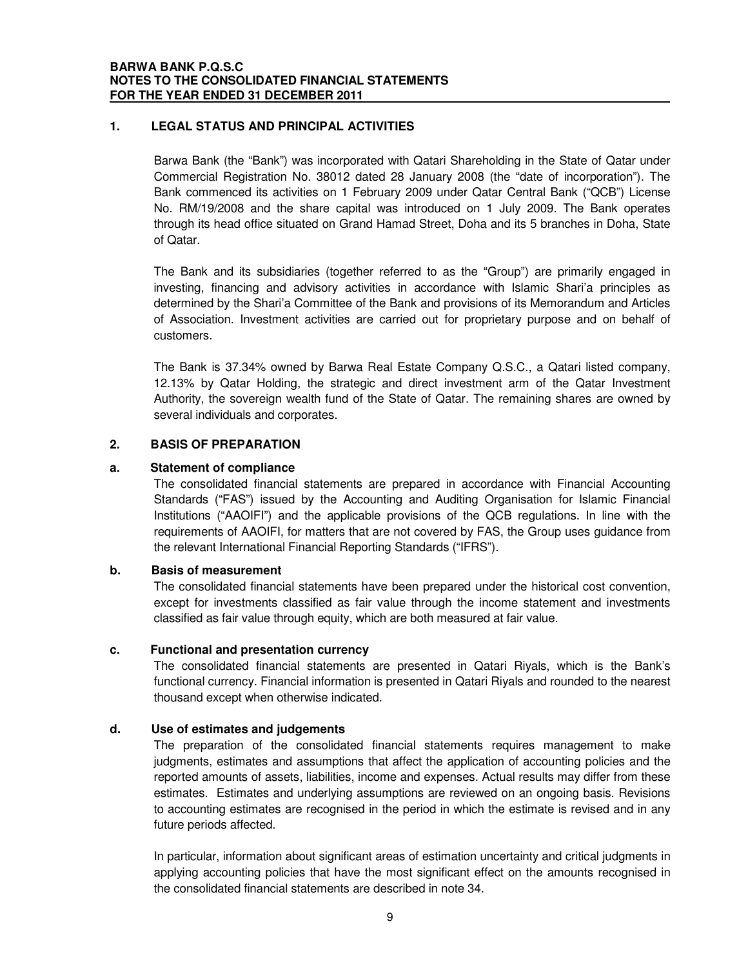### **1. LEGAL STATUS AND PRINCIPAL ACTIVITIES**

Barwa Bank (the "Bank") was incorporated with Qatari Shareholding in the State of Qatar under Commercial Registration No. 38012 dated 28 January 2008 (the "date of incorporation"). The Bank commenced its activities on 1 February 2009 under Qatar Central Bank ("QCB") License No. RM/19/2008 and the share capital was introduced on 1 July 2009. The Bank operates through its head office situated on Grand Hamad Street, Doha and its 5 branches in Doha, State of Qatar.

The Bank and its subsidiaries (together referred to as the "Group") are primarily engaged in investing, financing and advisory activities in accordance with Islamic Shari'a principles as determined by the Shari'a Committee of the Bank and provisions of its Memorandum and Articles of Association. Investment activities are carried out for proprietary purpose and on behalf of customers.

The Bank is 37.34% owned by Barwa Real Estate Company Q.S.C., a Qatari listed company, 12.13% by Qatar Holding, the strategic and direct investment arm of the Qatar Investment Authority, the sovereign wealth fund of the State of Qatar. The remaining shares are owned by several individuals and corporates.

### **2. BASIS OF PREPARATION**

### **a. Statement of compliance**

The consolidated financial statements are prepared in accordance with Financial Accounting Standards ("FAS") issued by the Accounting and Auditing Organisation for Islamic Financial Institutions ("AAOIFI") and the applicable provisions of the QCB regulations. In line with the requirements of AAOIFI, for matters that are not covered by FAS, the Group uses guidance from the relevant International Financial Reporting Standards ("IFRS").

### **b. Basis of measurement**

The consolidated financial statements have been prepared under the historical cost convention, except for investments classified as fair value through the income statement and investments classified as fair value through equity, which are both measured at fair value.

### **c. Functional and presentation currency**

The consolidated financial statements are presented in Qatari Riyals, which is the Bank's functional currency. Financial information is presented in Qatari Riyals and rounded to the nearest thousand except when otherwise indicated.

### **d. Use of estimates and judgements**

The preparation of the consolidated financial statements requires management to make judgments, estimates and assumptions that affect the application of accounting policies and the reported amounts of assets, liabilities, income and expenses. Actual results may differ from these estimates. Estimates and underlying assumptions are reviewed on an ongoing basis. Revisions to accounting estimates are recognised in the period in which the estimate is revised and in any future periods affected.

In particular, information about significant areas of estimation uncertainty and critical judgments in applying accounting policies that have the most significant effect on the amounts recognised in the consolidated financial statements are described in note 34.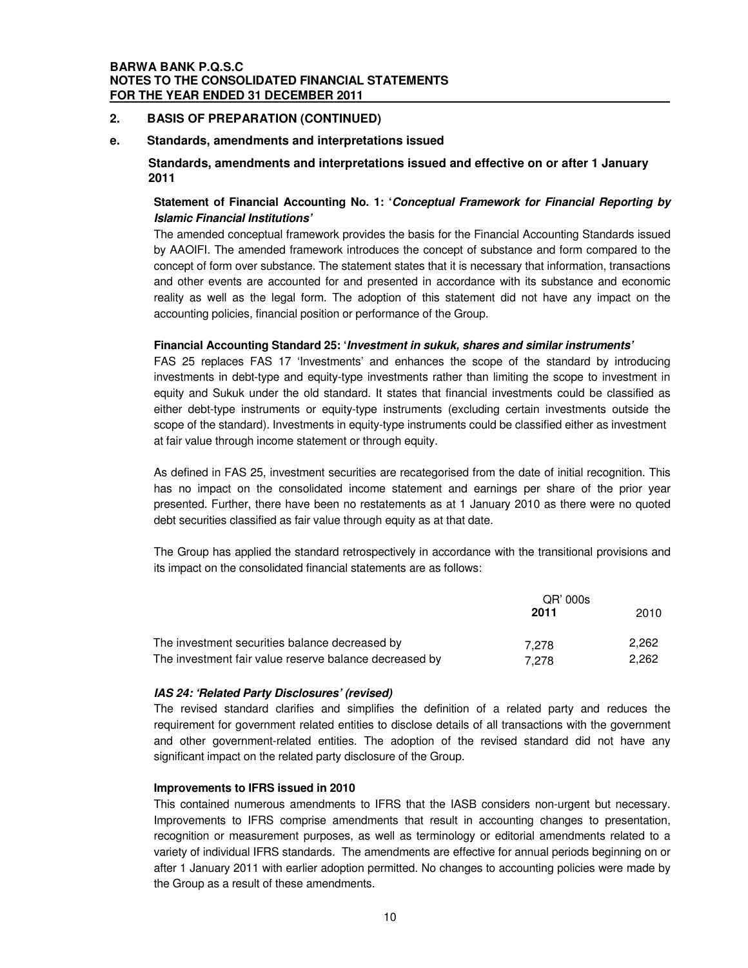### **BARWA BANK P.Q.S.C NOTES TO THE CONSOLIDATED FINANCIAL STATEMENTS FOR THE YEAR ENDED 31 DECEMBER 2011**

### **2. BASIS OF PREPARATION (CONTINUED)**

#### **e. Standards, amendments and interpretations issued**

### **Standards, amendments and interpretations issued and effective on or after 1 January 2011**

### **Statement of Financial Accounting No. 1: '***Conceptual Framework for Financial Reporting by Islamic Financial Institutions'*

The amended conceptual framework provides the basis for the Financial Accounting Standards issued by AAOIFI. The amended framework introduces the concept of substance and form compared to the concept of form over substance. The statement states that it is necessary that information, transactions and other events are accounted for and presented in accordance with its substance and economic reality as well as the legal form. The adoption of this statement did not have any impact on the accounting policies, financial position or performance of the Group.

### **Financial Accounting Standard 25: '***Investment in sukuk, shares and similar instruments'*

FAS 25 replaces FAS 17 'Investments' and enhances the scope of the standard by introducing investments in debt-type and equity-type investments rather than limiting the scope to investment in equity and Sukuk under the old standard. It states that financial investments could be classified as either debt-type instruments or equity-type instruments (excluding certain investments outside the scope of the standard). Investments in equity-type instruments could be classified either as investment at fair value through income statement or through equity.

As defined in FAS 25, investment securities are recategorised from the date of initial recognition. This has no impact on the consolidated income statement and earnings per share of the prior year presented. Further, there have been no restatements as at 1 January 2010 as there were no quoted debt securities classified as fair value through equity as at that date.

The Group has applied the standard retrospectively in accordance with the transitional provisions and its impact on the consolidated financial statements are as follows:

|                                                        | QR' 000s |       |  |
|--------------------------------------------------------|----------|-------|--|
|                                                        | 2011     | 2010  |  |
| The investment securities balance decreased by         | 7.278    | 2.262 |  |
| The investment fair value reserve balance decreased by | 7.278    | 2.262 |  |

### *IAS 24: 'Related Party Disclosures' (revised)*

The revised standard clarifies and simplifies the definition of a related party and reduces the requirement for government related entities to disclose details of all transactions with the government and other government-related entities. The adoption of the revised standard did not have any significant impact on the related party disclosure of the Group.

#### **Improvements to IFRS issued in 2010**

This contained numerous amendments to IFRS that the IASB considers non-urgent but necessary. Improvements to IFRS comprise amendments that result in accounting changes to presentation, recognition or measurement purposes, as well as terminology or editorial amendments related to a variety of individual IFRS standards. The amendments are effective for annual periods beginning on or after 1 January 2011 with earlier adoption permitted. No changes to accounting policies were made by the Group as a result of these amendments.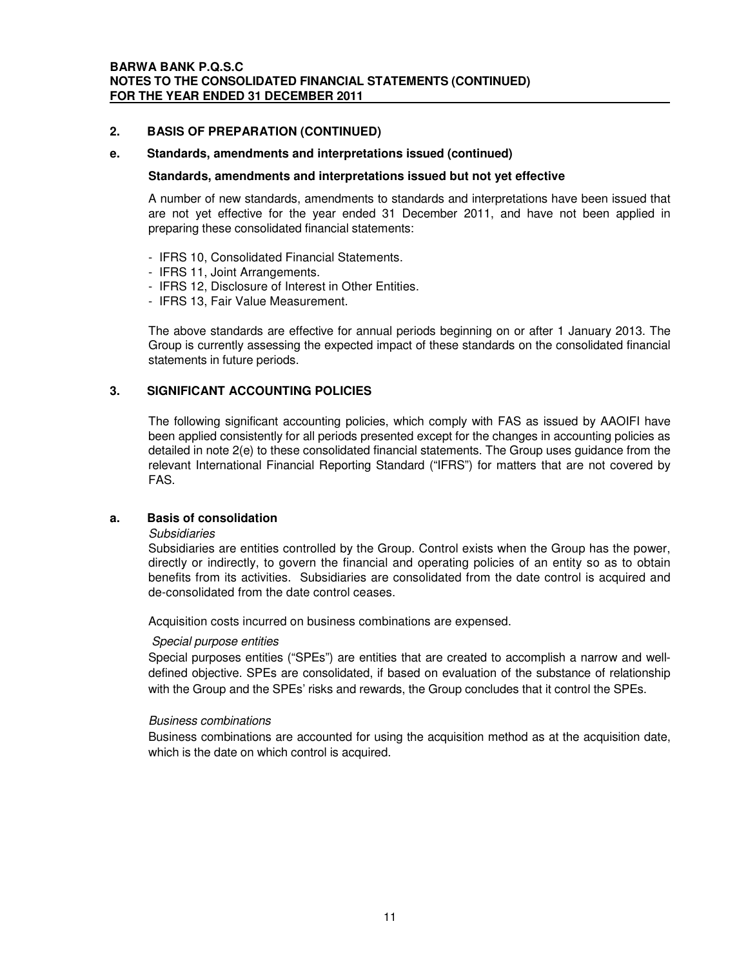### **2. BASIS OF PREPARATION (CONTINUED)**

### **e. Standards, amendments and interpretations issued (continued)**

### **Standards, amendments and interpretations issued but not yet effective**

A number of new standards, amendments to standards and interpretations have been issued that are not yet effective for the year ended 31 December 2011, and have not been applied in preparing these consolidated financial statements:

- IFRS 10, Consolidated Financial Statements.
- IFRS 11, Joint Arrangements.
- IFRS 12, Disclosure of Interest in Other Entities.
- IFRS 13, Fair Value Measurement.

The above standards are effective for annual periods beginning on or after 1 January 2013. The Group is currently assessing the expected impact of these standards on the consolidated financial statements in future periods.

### **3. SIGNIFICANT ACCOUNTING POLICIES**

The following significant accounting policies, which comply with FAS as issued by AAOIFI have been applied consistently for all periods presented except for the changes in accounting policies as detailed in note 2(e) to these consolidated financial statements. The Group uses guidance from the relevant International Financial Reporting Standard ("IFRS") for matters that are not covered by FAS.

### **a. Basis of consolidation**

### *Subsidiaries*

Subsidiaries are entities controlled by the Group. Control exists when the Group has the power, directly or indirectly, to govern the financial and operating policies of an entity so as to obtain benefits from its activities. Subsidiaries are consolidated from the date control is acquired and de-consolidated from the date control ceases.

Acquisition costs incurred on business combinations are expensed.

### *Special purpose entities*

Special purposes entities ("SPEs") are entities that are created to accomplish a narrow and welldefined objective. SPEs are consolidated, if based on evaluation of the substance of relationship with the Group and the SPEs' risks and rewards, the Group concludes that it control the SPEs.

### *Business combinations*

Business combinations are accounted for using the acquisition method as at the acquisition date, which is the date on which control is acquired.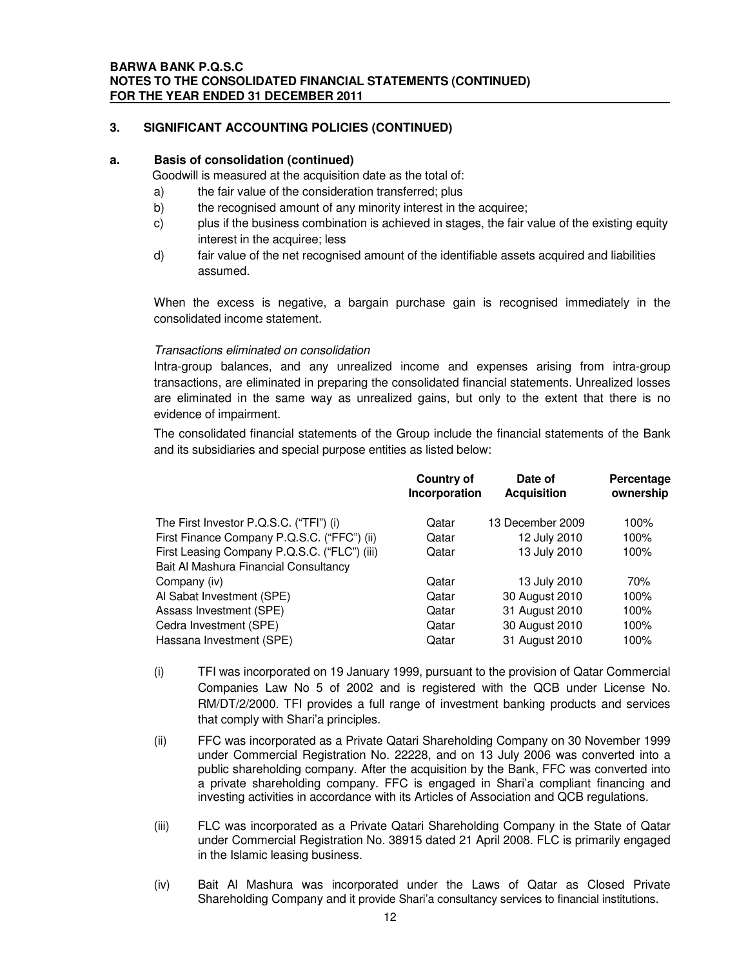### **a. Basis of consolidation (continued)**

Goodwill is measured at the acquisition date as the total of:

- a) the fair value of the consideration transferred; plus
- b) the recognised amount of any minority interest in the acquiree;
- c) plus if the business combination is achieved in stages, the fair value of the existing equity interest in the acquiree; less
- d) fair value of the net recognised amount of the identifiable assets acquired and liabilities assumed.

When the excess is negative, a bargain purchase gain is recognised immediately in the consolidated income statement.

### *Transactions eliminated on consolidation*

Intra-group balances, and any unrealized income and expenses arising from intra-group transactions, are eliminated in preparing the consolidated financial statements. Unrealized losses are eliminated in the same way as unrealized gains, but only to the extent that there is no evidence of impairment.

The consolidated financial statements of the Group include the financial statements of the Bank and its subsidiaries and special purpose entities as listed below:

|                                              | <b>Country of</b><br>Incorporation | Date of<br><b>Acquisition</b> | Percentage<br>ownership |
|----------------------------------------------|------------------------------------|-------------------------------|-------------------------|
| The First Investor P.Q.S.C. ("TFI") (i)      | Qatar                              | 13 December 2009              | 100%                    |
| First Finance Company P.Q.S.C. ("FFC") (ii)  | Qatar                              | 12 July 2010                  | 100%                    |
| First Leasing Company P.Q.S.C. ("FLC") (iii) | Qatar                              | 13 July 2010                  | 100%                    |
| Bait Al Mashura Financial Consultancy        |                                    |                               |                         |
| Company (iv)                                 | Qatar                              | 13 July 2010                  | 70%                     |
| Al Sabat Investment (SPE)                    | Qatar                              | 30 August 2010                | 100%                    |
| Assass Investment (SPE)                      | Qatar                              | 31 August 2010                | 100%                    |
| Cedra Investment (SPE)                       | Qatar                              | 30 August 2010                | 100%                    |
| Hassana Investment (SPE)                     | Qatar                              | 31 August 2010                | 100%                    |

- (i) TFI was incorporated on 19 January 1999, pursuant to the provision of Qatar Commercial Companies Law No 5 of 2002 and is registered with the QCB under License No. RM/DT/2/2000. TFI provides a full range of investment banking products and services that comply with Shari'a principles.
- (ii) FFC was incorporated as a Private Qatari Shareholding Company on 30 November 1999 under Commercial Registration No. 22228, and on 13 July 2006 was converted into a public shareholding company. After the acquisition by the Bank, FFC was converted into a private shareholding company. FFC is engaged in Shari'a compliant financing and investing activities in accordance with its Articles of Association and QCB regulations.
- (iii) FLC was incorporated as a Private Qatari Shareholding Company in the State of Qatar under Commercial Registration No. 38915 dated 21 April 2008. FLC is primarily engaged in the Islamic leasing business.
- (iv) Bait Al Mashura was incorporated under the Laws of Qatar as Closed Private Shareholding Company and it provide Shari'a consultancy services to financial institutions.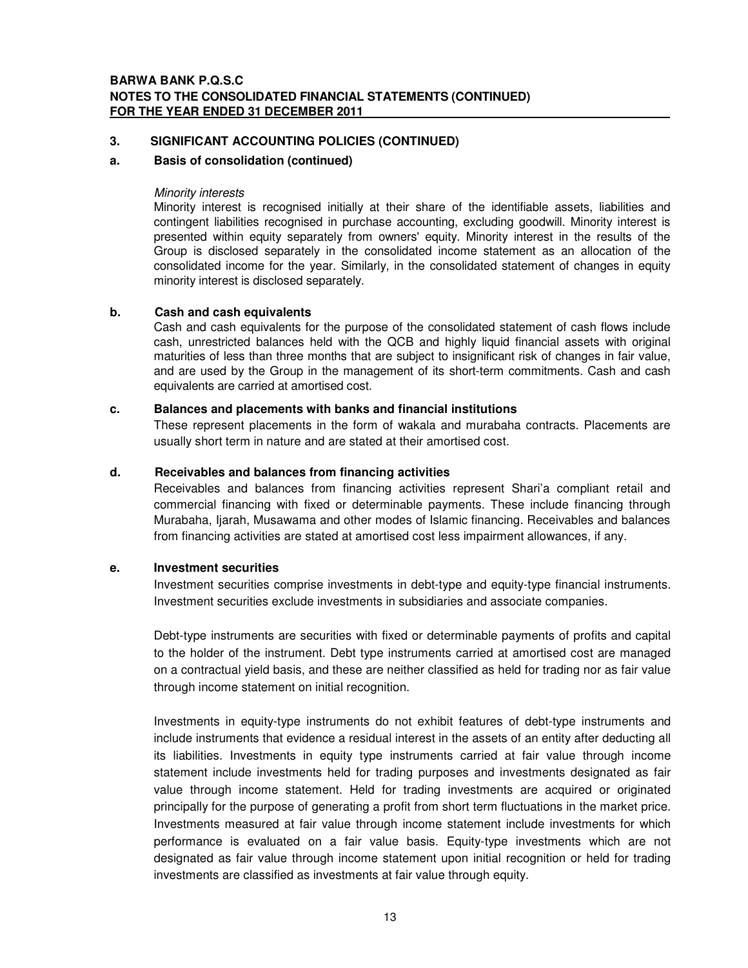### **a. Basis of consolidation (continued)**

### *Minority interests*

Minority interest is recognised initially at their share of the identifiable assets, liabilities and contingent liabilities recognised in purchase accounting, excluding goodwill. Minority interest is presented within equity separately from owners'equity. Minority interest in the results of the Group is disclosed separately in the consolidated income statement as an allocation of the consolidated income for the year. Similarly, in the consolidated statement of changes in equity minority interest is disclosed separately.

### **b. Cash and cash equivalents**

Cash and cash equivalents for the purpose of the consolidated statement of cash flows include cash, unrestricted balances held with the QCB and highly liquid financial assets with original maturities of less than three months that are subject to insignificant risk of changes in fair value, and are used by the Group in the management of its short-term commitments. Cash and cash equivalents are carried at amortised cost.

### **c. Balances and placements with banks and financial institutions**

These represent placements in the form of wakala and murabaha contracts. Placements are usually short term in nature and are stated at their amortised cost.

### **d. Receivables and balances from financing activities**

Receivables and balances from financing activities represent Shari'a compliant retail and commercial financing with fixed or determinable payments. These include financing through Murabaha, Ijarah, Musawama and other modes of Islamic financing. Receivables and balances from financing activities are stated at amortised cost less impairment allowances, if any.

### **e. Investment securities**

Investment securities comprise investments in debt-type and equity-type financial instruments. Investment securities exclude investments in subsidiaries and associate companies.

Debt-type instruments are securities with fixed or determinable payments of profits and capital to the holder of the instrument. Debt type instruments carried at amortised cost are managed on a contractual yield basis, and these are neither classified as held for trading nor as fair value through income statement on initial recognition.

Investments in equity-type instruments do not exhibit features of debt-type instruments and include instruments that evidence a residual interest in the assets of an entity after deducting all its liabilities. Investments in equity type instruments carried at fair value through income statement include investments held for trading purposes and investments designated as fair value through income statement. Held for trading investments are acquired or originated principally for the purpose of generating a profit from short term fluctuations in the market price. Investments measured at fair value through income statement include investments for which performance is evaluated on a fair value basis. Equity-type investments which are not designated as fair value through income statement upon initial recognition or held for trading investments are classified as investments at fair value through equity.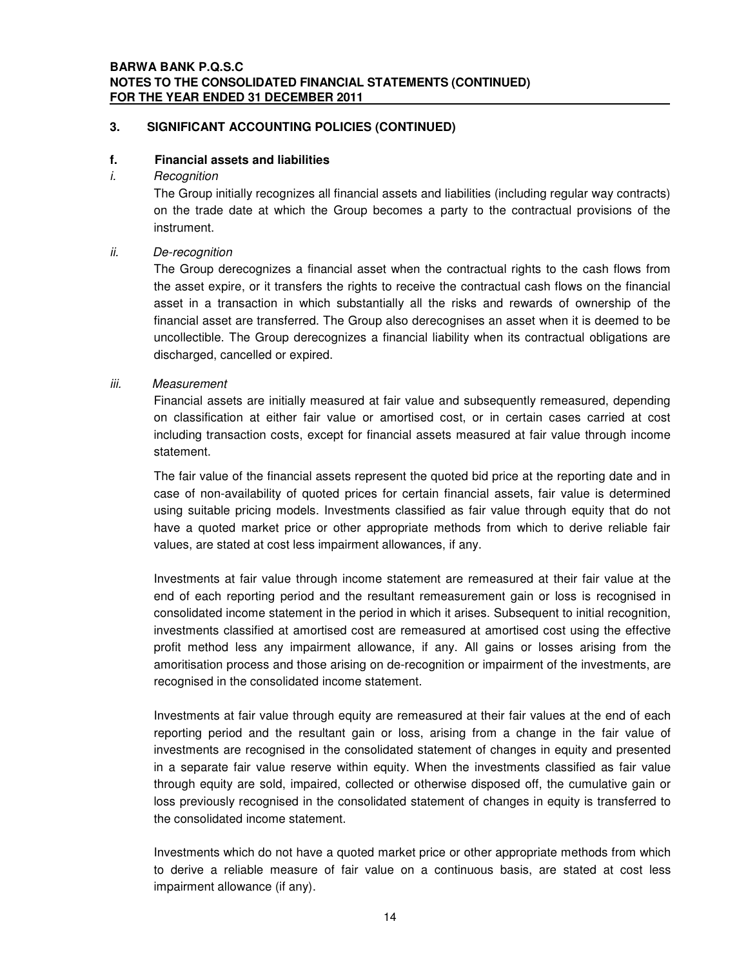### **BARWA BANK P.Q.S.C NOTES TO THE CONSOLIDATED FINANCIAL STATEMENTS (CONTINUED) FOR THE YEAR ENDED 31 DECEMBER 2011**

### **3. SIGNIFICANT ACCOUNTING POLICIES (CONTINUED)**

### **f. Financial assets and liabilities**

*i. Recognition*

The Group initially recognizes all financial assets and liabilities (including regular way contracts) on the trade date at which the Group becomes a party to the contractual provisions of the instrument.

### *ii. De-recognition*

The Group derecognizes a financial asset when the contractual rights to the cash flows from the asset expire, or it transfers the rights to receive the contractual cash flows on the financial asset in a transaction in which substantially all the risks and rewards of ownership of the financial asset are transferred. The Group also derecognises an asset when it is deemed to be uncollectible. The Group derecognizes a financial liability when its contractual obligations are discharged, cancelled or expired.

### *iii. Measurement*

Financial assets are initially measured at fair value and subsequently remeasured, depending on classification at either fair value or amortised cost, or in certain cases carried at cost including transaction costs, except for financial assets measured at fair value through income statement.

The fair value of the financial assets represent the quoted bid price at the reporting date and in case of non-availability of quoted prices for certain financial assets, fair value is determined using suitable pricing models. Investments classified as fair value through equity that do not have a quoted market price or other appropriate methods from which to derive reliable fair values, are stated at cost less impairment allowances, if any.

Investments at fair value through income statement are remeasured at their fair value at the end of each reporting period and the resultant remeasurement gain or loss is recognised in consolidated income statement in the period in which it arises. Subsequent to initial recognition, investments classified at amortised cost are remeasured at amortised cost using the effective profit method less any impairment allowance, if any. All gains or losses arising from the amoritisation process and those arising on de-recognition or impairment of the investments, are recognised in the consolidated income statement.

Investments at fair value through equity are remeasured at their fair values at the end of each reporting period and the resultant gain or loss, arising from a change in the fair value of investments are recognised in the consolidated statement of changes in equity and presented in a separate fair value reserve within equity. When the investments classified as fair value through equity are sold, impaired, collected or otherwise disposed off, the cumulative gain or loss previously recognised in the consolidated statement of changes in equity is transferred to the consolidated income statement.

Investments which do not have a quoted market price or other appropriate methods from which to derive a reliable measure of fair value on a continuous basis, are stated at cost less impairment allowance (if any).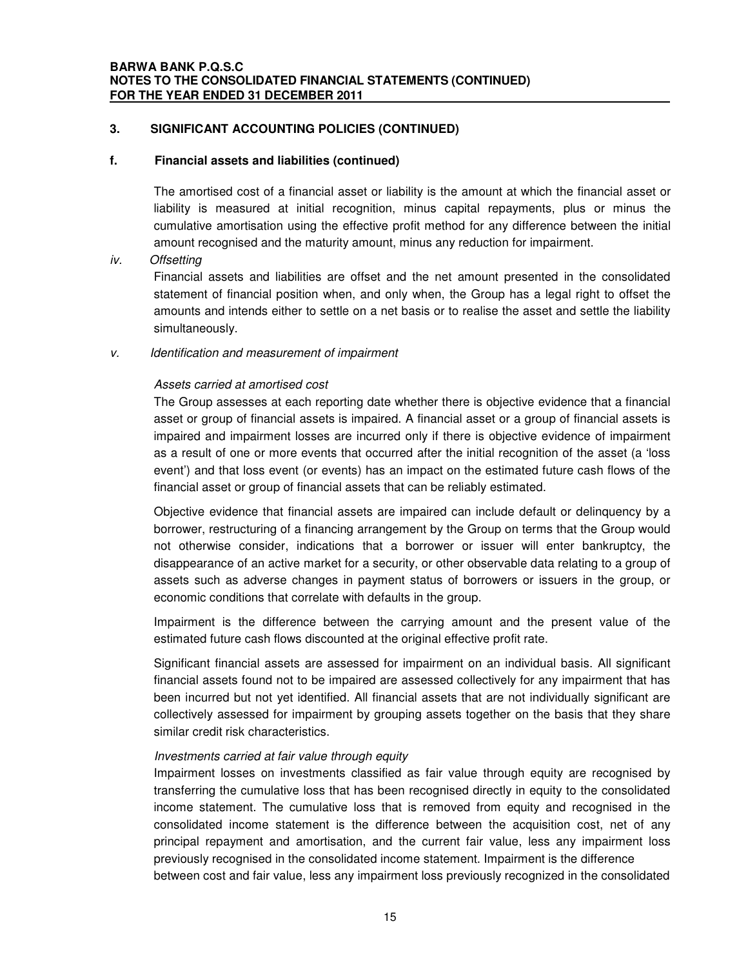### **f. Financial assets and liabilities (continued)**

The amortised cost of a financial asset or liability is the amount at which the financial asset or liability is measured at initial recognition, minus capital repayments, plus or minus the cumulative amortisation using the effective profit method for any difference between the initial amount recognised and the maturity amount, minus any reduction for impairment.

### *iv. Offsetting*

Financial assets and liabilities are offset and the net amount presented in the consolidated statement of financial position when, and only when, the Group has a legal right to offset the amounts and intends either to settle on a net basis or to realise the asset and settle the liability simultaneously.

*v. Identification and measurement of impairment*

### *Assets carried at amortised cost*

The Group assesses at each reporting date whether there is objective evidence that a financial asset or group of financial assets is impaired. A financial asset or a group of financial assets is impaired and impairment losses are incurred only if there is objective evidence of impairment as a result of one or more events that occurred after the initial recognition of the asset (a 'loss event') and that loss event (or events) has an impact on the estimated future cash flows of the financial asset or group of financial assets that can be reliably estimated.

Objective evidence that financial assets are impaired can include default or delinquency by a borrower, restructuring of a financing arrangement by the Group on terms that the Group would not otherwise consider, indications that a borrower or issuer will enter bankruptcy, the disappearance of an active market for a security, or other observable data relating to a group of assets such as adverse changes in payment status of borrowers or issuers in the group, or economic conditions that correlate with defaults in the group.

Impairment is the difference between the carrying amount and the present value of the estimated future cash flows discounted at the original effective profit rate.

Significant financial assets are assessed for impairment on an individual basis. All significant financial assets found not to be impaired are assessed collectively for any impairment that has been incurred but not yet identified. All financial assets that are not individually significant are collectively assessed for impairment by grouping assets together on the basis that they share similar credit risk characteristics.

### *Investments carried at fair value through equity*

Impairment losses on investments classified as fair value through equity are recognised by transferring the cumulative loss that has been recognised directly in equity to the consolidated income statement. The cumulative loss that is removed from equity and recognised in the consolidated income statement is the difference between the acquisition cost, net of any principal repayment and amortisation, and the current fair value, less any impairment loss previously recognised in the consolidated income statement. Impairment is the difference between cost and fair value, less any impairment loss previously recognized in the consolidated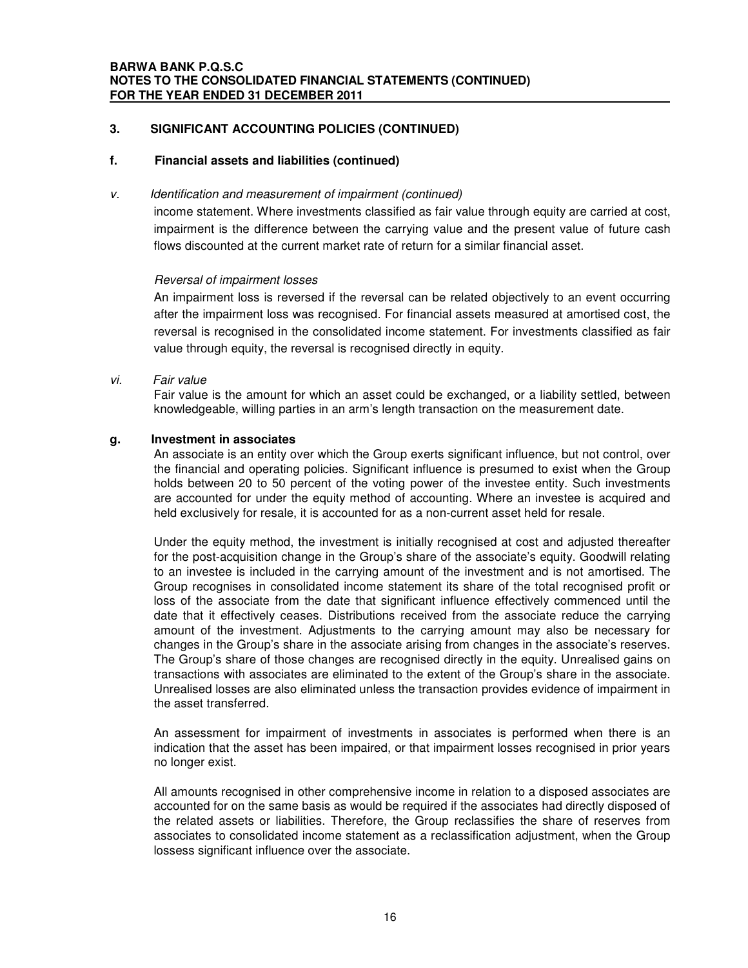### **f. Financial assets and liabilities (continued)**

### *v. Identification and measurement of impairment (continued)*

income statement. Where investments classified as fair value through equity are carried at cost, impairment is the difference between the carrying value and the present value of future cash flows discounted at the current market rate of return for a similar financial asset.

### *Reversal of impairment losses*

An impairment loss is reversed if the reversal can be related objectively to an event occurring after the impairment loss was recognised. For financial assets measured at amortised cost, the reversal is recognised in the consolidated income statement. For investments classified as fair value through equity, the reversal is recognised directly in equity.

### *vi. Fair value*

Fair value is the amount for which an asset could be exchanged, or a liability settled, between knowledgeable, willing parties in an arm's length transaction on the measurement date.

### **g. Investment in associates**

An associate is an entity over which the Group exerts significant influence, but not control, over the financial and operating policies. Significant influence is presumed to exist when the Group holds between 20 to 50 percent of the voting power of the investee entity. Such investments are accounted for under the equity method of accounting. Where an investee is acquired and held exclusively for resale, it is accounted for as a non-current asset held for resale.

Under the equity method, the investment is initially recognised at cost and adjusted thereafter for the post-acquisition change in the Group's share of the associate's equity. Goodwill relating to an investee is included in the carrying amount of the investment and is not amortised. The Group recognises in consolidated income statement its share of the total recognised profit or loss of the associate from the date that significant influence effectively commenced until the date that it effectively ceases. Distributions received from the associate reduce the carrying amount of the investment. Adjustments to the carrying amount may also be necessary for changes in the Group's share in the associate arising from changes in the associate's reserves. The Group's share of those changes are recognised directly in the equity. Unrealised gains on transactions with associates are eliminated to the extent of the Group's share in the associate. Unrealised losses are also eliminated unless the transaction provides evidence of impairment in the asset transferred.

An assessment for impairment of investments in associates is performed when there is an indication that the asset has been impaired, or that impairment losses recognised in prior years no longer exist.

All amounts recognised in other comprehensive income in relation to a disposed associates are accounted for on the same basis as would be required if the associates had directly disposed of the related assets or liabilities. Therefore, the Group reclassifies the share of reserves from associates to consolidated income statement as a reclassification adjustment, when the Group lossess significant influence over the associate.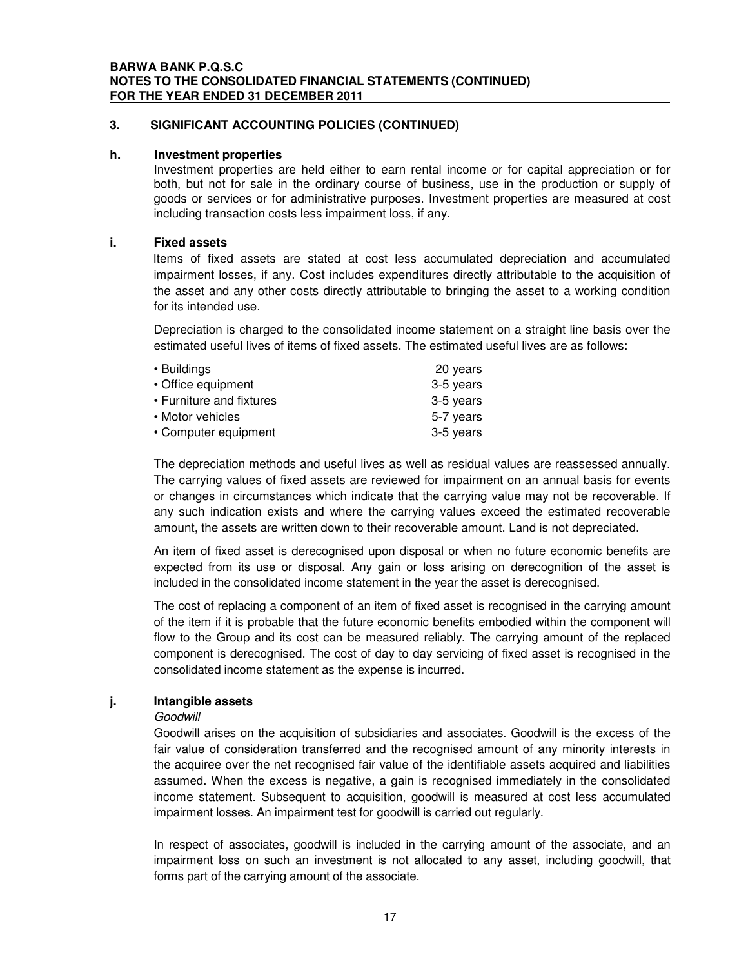### **h. Investment properties**

Investment properties are held either to earn rental income or for capital appreciation or for both, but not for sale in the ordinary course of business, use in the production or supply of goods or services or for administrative purposes. Investment properties are measured at cost including transaction costs less impairment loss, if any.

### **i. Fixed assets**

Items of fixed assets are stated at cost less accumulated depreciation and accumulated impairment losses, if any. Cost includes expenditures directly attributable to the acquisition of the asset and any other costs directly attributable to bringing the asset to a working condition for its intended use.

Depreciation is charged to the consolidated income statement on a straight line basis over the estimated useful lives of items of fixed assets. The estimated useful lives are as follows:

| • Buildings              | 20 years  |
|--------------------------|-----------|
| • Office equipment       | 3-5 years |
| • Furniture and fixtures | 3-5 years |
| • Motor vehicles         | 5-7 years |
| • Computer equipment     | 3-5 years |

The depreciation methods and useful lives as well as residual values are reassessed annually. The carrying values of fixed assets are reviewed for impairment on an annual basis for events or changes in circumstances which indicate that the carrying value may not be recoverable. If any such indication exists and where the carrying values exceed the estimated recoverable amount, the assets are written down to their recoverable amount. Land is not depreciated.

An item of fixed asset is derecognised upon disposal or when no future economic benefits are expected from its use or disposal. Any gain or loss arising on derecognition of the asset is included in the consolidated income statement in the year the asset is derecognised.

The cost of replacing a component of an item of fixed asset is recognised in the carrying amount of the item if it is probable that the future economic benefits embodied within the component will flow to the Group and its cost can be measured reliably. The carrying amount of the replaced component is derecognised. The cost of day to day servicing of fixed asset is recognised in the consolidated income statement as the expense is incurred.

### **j. Intangible assets**

### *Goodwill*

Goodwill arises on the acquisition of subsidiaries and associates. Goodwill is the excess of the fair value of consideration transferred and the recognised amount of any minority interests in the acquiree over the net recognised fair value of the identifiable assets acquired and liabilities assumed. When the excess is negative, a gain is recognised immediately in the consolidated income statement. Subsequent to acquisition, goodwill is measured at cost less accumulated impairment losses. An impairment test for goodwill is carried out regularly.

In respect of associates, goodwill is included in the carrying amount of the associate, and an impairment loss on such an investment is not allocated to any asset, including goodwill, that forms part of the carrying amount of the associate.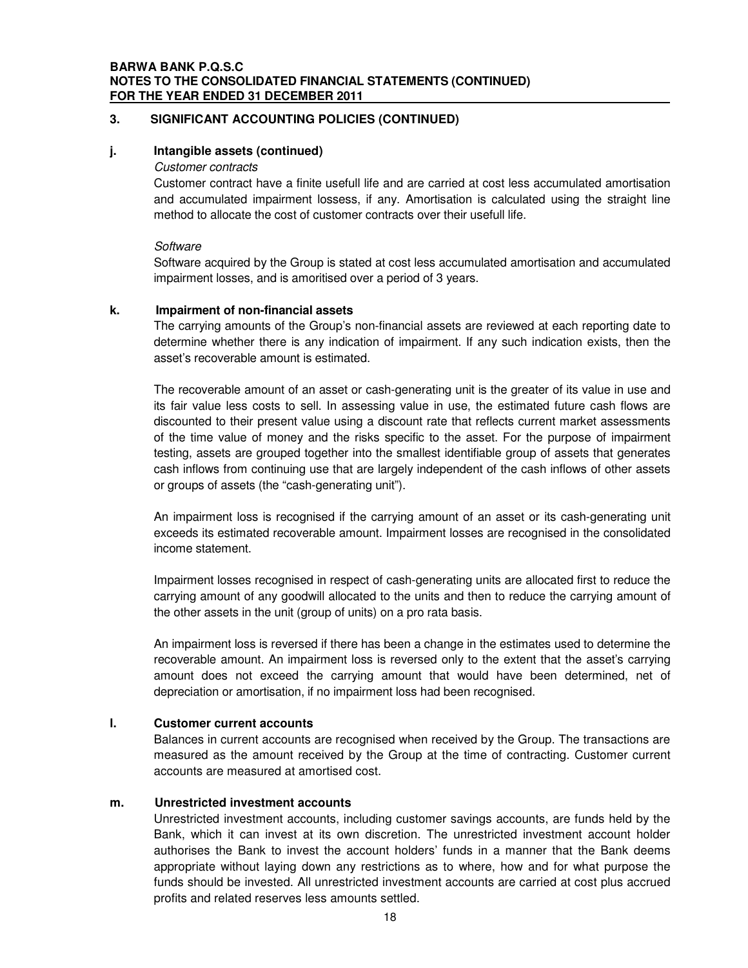### **BARWA BANK P.Q.S.C NOTES TO THE CONSOLIDATED FINANCIAL STATEMENTS (CONTINUED) FOR THE YEAR ENDED 31 DECEMBER 2011**

### **3. SIGNIFICANT ACCOUNTING POLICIES (CONTINUED)**

### **j. Intangible assets (continued)**

### *Customer contracts*

Customer contract have a finite usefull life and are carried at cost less accumulated amortisation and accumulated impairment lossess, if any. Amortisation is calculated using the straight line method to allocate the cost of customer contracts over their usefull life.

### *Software*

Software acquired by the Group is stated at cost less accumulated amortisation and accumulated impairment losses, and is amoritised over a period of 3 years.

### **k. Impairment of non-financial assets**

The carrying amounts of the Group's non-financial assets are reviewed at each reporting date to determine whether there is any indication of impairment. If any such indication exists, then the asset's recoverable amount is estimated.

The recoverable amount of an asset or cash-generating unit is the greater of its value in use and its fair value less costs to sell. In assessing value in use, the estimated future cash flows are discounted to their present value using a discount rate that reflects current market assessments of the time value of money and the risks specific to the asset. For the purpose of impairment testing, assets are grouped together into the smallest identifiable group of assets that generates cash inflows from continuing use that are largely independent of the cash inflows of other assets or groups of assets (the "cash-generating unit").

An impairment loss is recognised if the carrying amount of an asset or its cash-generating unit exceeds its estimated recoverable amount. Impairment losses are recognised in the consolidated income statement.

Impairment losses recognised in respect of cash-generating units are allocated first to reduce the carrying amount of any goodwill allocated to the units and then to reduce the carrying amount of the other assets in the unit (group of units) on a pro rata basis.

An impairment loss is reversed if there has been a change in the estimates used to determine the recoverable amount. An impairment loss is reversed only to the extent that the asset's carrying amount does not exceed the carrying amount that would have been determined, net of depreciation or amortisation, if no impairment loss had been recognised.

### **l. Customer current accounts**

Balances in current accounts are recognised when received by the Group. The transactions are measured as the amount received by the Group at the time of contracting. Customer current accounts are measured at amortised cost.

### **m. Unrestricted investment accounts**

Unrestricted investment accounts, including customer savings accounts, are funds held by the Bank, which it can invest at its own discretion. The unrestricted investment account holder authorises the Bank to invest the account holders' funds in a manner that the Bank deems appropriate without laying down any restrictions as to where, how and for what purpose the funds should be invested. All unrestricted investment accounts are carried at cost plus accrued profits and related reserves less amounts settled.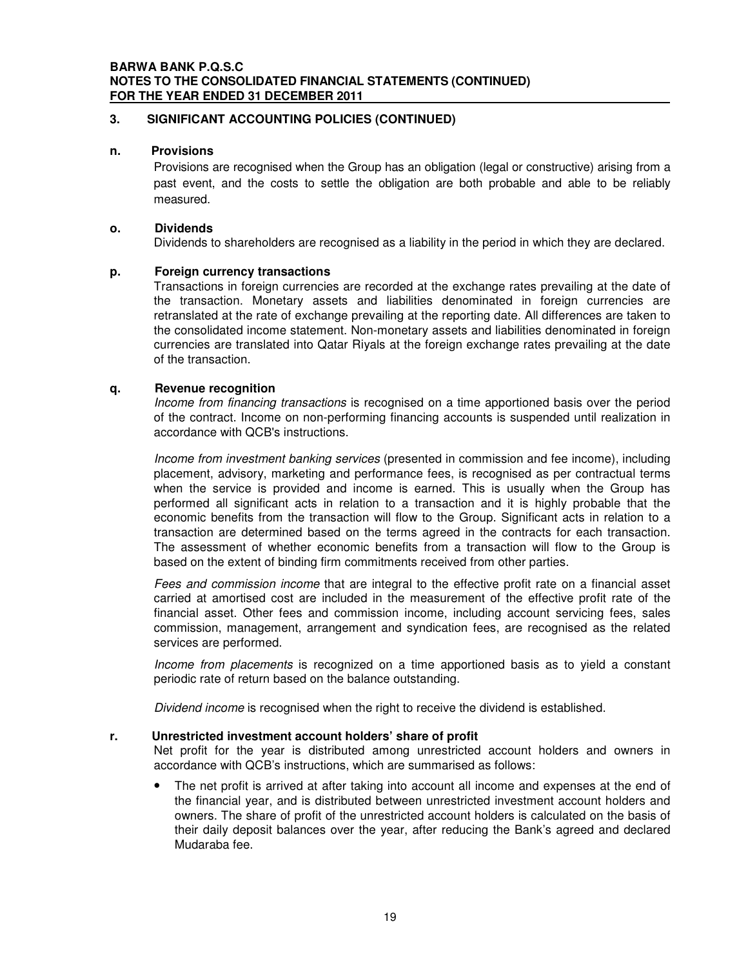### **BARWA BANK P.Q.S.C NOTES TO THE CONSOLIDATED FINANCIAL STATEMENTS (CONTINUED) FOR THE YEAR ENDED 31 DECEMBER 2011**

### **3. SIGNIFICANT ACCOUNTING POLICIES (CONTINUED)**

### **n. Provisions**

Provisions are recognised when the Group has an obligation (legal or constructive) arising from a past event, and the costs to settle the obligation are both probable and able to be reliably measured.

### **o. Dividends**

Dividends to shareholders are recognised as a liability in the period in which they are declared.

### **p. Foreign currency transactions**

Transactions in foreign currencies are recorded at the exchange rates prevailing at the date of the transaction. Monetary assets and liabilities denominated in foreign currencies are retranslated at the rate of exchange prevailing at the reporting date. All differences are taken to the consolidated income statement. Non-monetary assets and liabilities denominated in foreign currencies are translated into Qatar Riyals at the foreign exchange rates prevailing at the date of the transaction.

### **q. Revenue recognition**

*Income from financing transactions* is recognised on a time apportioned basis over the period of the contract. Income on non-performing financing accounts is suspended until realization in accordance with QCB's instructions.

*Income from investment banking services* (presented in commission and fee income), including placement, advisory, marketing and performance fees, is recognised as per contractual terms when the service is provided and income is earned. This is usually when the Group has performed all significant acts in relation to a transaction and it is highly probable that the economic benefits from the transaction will flow to the Group. Significant acts in relation to a transaction are determined based on the terms agreed in the contracts for each transaction. The assessment of whether economic benefits from a transaction will flow to the Group is based on the extent of binding firm commitments received from other parties.

*Fees and commission income* that are integral to the effective profit rate on a financial asset carried at amortised cost are included in the measurement of the effective profit rate of the financial asset. Other fees and commission income, including account servicing fees, sales commission, management, arrangement and syndication fees, are recognised as the related services are performed.

*Income from placements* is recognized on a time apportioned basis as to yield a constant periodic rate of return based on the balance outstanding.

*Dividend income* is recognised when the right to receive the dividend is established.

### **r. Unrestricted investment account holders' share of profit**

Net profit for the year is distributed among unrestricted account holders and owners in accordance with QCB's instructions, which are summarised as follows:

The net profit is arrived at after taking into account all income and expenses at the end of the financial year, and is distributed between unrestricted investment account holders and owners. The share of profit of the unrestricted account holders is calculated on the basis of their daily deposit balances over the year, after reducing the Bank's agreed and declared Mudaraba fee.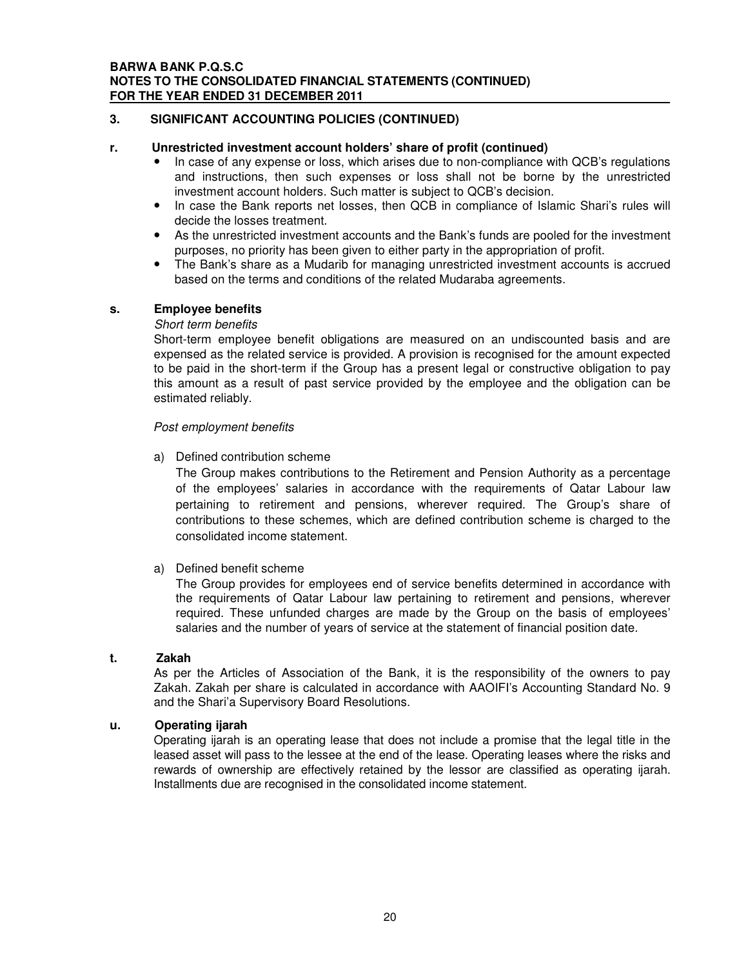### **r. Unrestricted investment account holders' share of profit (continued)**

- In case of any expense or loss, which arises due to non-compliance with QCB's regulations and instructions, then such expenses or loss shall not be borne by the unrestricted investment account holders. Such matter is subject to QCB's decision.
- In case the Bank reports net losses, then QCB in compliance of Islamic Shari's rules will decide the losses treatment.
- As the unrestricted investment accounts and the Bank's funds are pooled for the investment purposes, no priority has been given to either party in the appropriation of profit.
- The Bank's share as a Mudarib for managing unrestricted investment accounts is accrued based on the terms and conditions of the related Mudaraba agreements.

### **s. Employee benefits**

### *Short term benefits*

Short-term employee benefit obligations are measured on an undiscounted basis and are expensed as the related service is provided. A provision is recognised for the amount expected to be paid in the short-term if the Group has a present legal or constructive obligation to pay this amount as a result of past service provided by the employee and the obligation can be estimated reliably.

### *Post employment benefits*

a) Defined contribution scheme

The Group makes contributions to the Retirement and Pension Authority as a percentage of the employees' salaries in accordance with the requirements of Qatar Labour law pertaining to retirement and pensions, wherever required. The Group's share of contributions to these schemes, which are defined contribution scheme is charged to the consolidated income statement.

### a) Defined benefit scheme

The Group provides for employees end of service benefits determined in accordance with the requirements of Qatar Labour law pertaining to retirement and pensions, wherever required. These unfunded charges are made by the Group on the basis of employees' salaries and the number of years of service at the statement of financial position date.

### **t. Zakah**

As per the Articles of Association of the Bank, it is the responsibility of the owners to pay Zakah. Zakah per share is calculated in accordance with AAOIFI's Accounting Standard No. 9 and the Shari'a Supervisory Board Resolutions.

### **u. Operating ijarah**

Operating ijarah is an operating lease that does not include a promise that the legal title in the leased asset will pass to the lessee at the end of the lease. Operating leases where the risks and rewards of ownership are effectively retained by the lessor are classified as operating ijarah. Installments due are recognised in the consolidated income statement.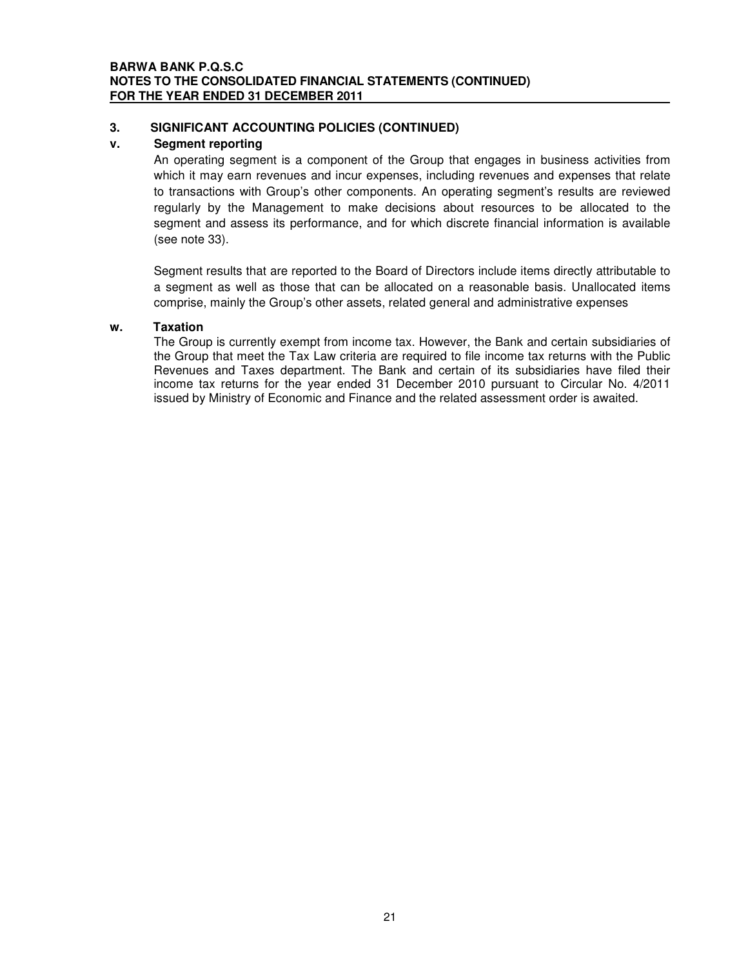### **v. Segment reporting**

An operating segment is a component of the Group that engages in business activities from which it may earn revenues and incur expenses, including revenues and expenses that relate to transactions with Group's other components. An operating segment's results are reviewed regularly by the Management to make decisions about resources to be allocated to the segment and assess its performance, and for which discrete financial information is available (see note 33).

Segment results that are reported to the Board of Directors include items directly attributable to a segment as well as those that can be allocated on a reasonable basis. Unallocated items comprise, mainly the Group's other assets, related general and administrative expenses

### **w. Taxation**

The Group is currently exempt from income tax. However, the Bank and certain subsidiaries of the Group that meet the Tax Law criteria are required to file income tax returns with the Public Revenues and Taxes department. The Bank and certain of its subsidiaries have filed their income tax returns for the year ended 31 December 2010 pursuant to Circular No. 4/2011 issued by Ministry of Economic and Finance and the related assessment order is awaited.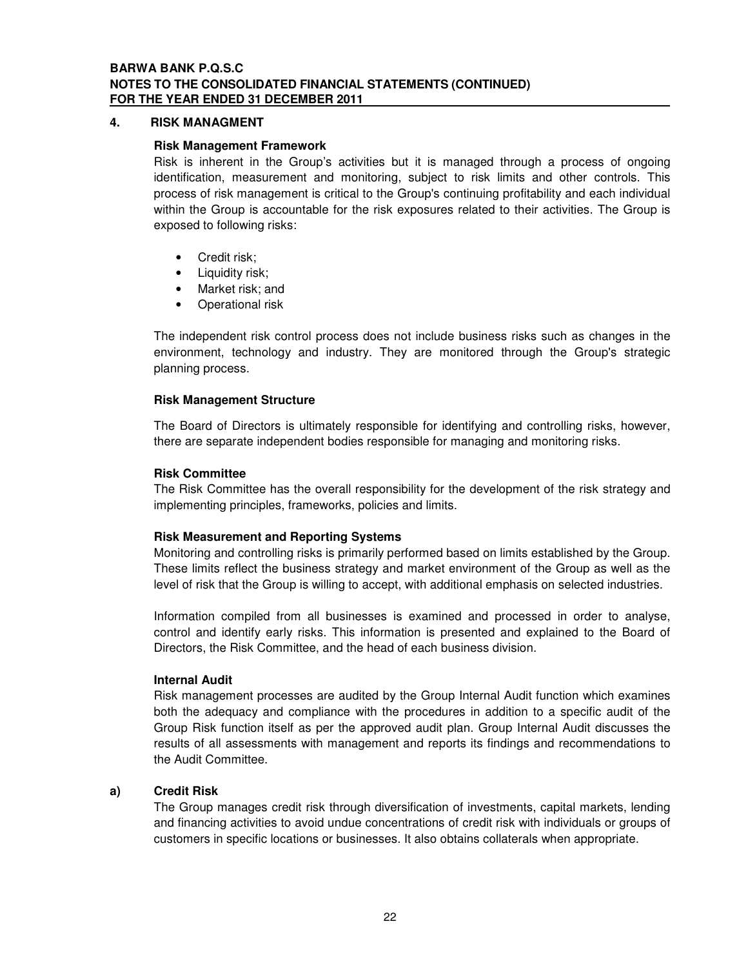### **BARWA BANK P.Q.S.C NOTES TO THE CONSOLIDATED FINANCIAL STATEMENTS (CONTINUED) FOR THE YEAR ENDED 31 DECEMBER 2011**

### **4. RISK MANAGMENT**

### **Risk Management Framework**

Risk is inherent in the Group's activities but it is managed through a process of ongoing identification, measurement and monitoring, subject to risk limits and other controls. This process of risk management is critical to the Group's continuing profitability and each individual within the Group is accountable for the risk exposures related to their activities. The Group is exposed to following risks:

- Credit risk;
- Liquidity risk;
- Market risk; and
- Operational risk

The independent risk control process does not include business risks such as changes in the environment, technology and industry. They are monitored through the Group's strategic planning process.

### **Risk Management Structure**

The Board of Directors is ultimately responsible for identifying and controlling risks, however, there are separate independent bodies responsible for managing and monitoring risks.

### **Risk Committee**

The Risk Committee has the overall responsibility for the development of the risk strategy and implementing principles, frameworks, policies and limits.

### **Risk Measurement and Reporting Systems**

Monitoring and controlling risks is primarily performed based on limits established by the Group. These limits reflect the business strategy and market environment of the Group as well as the level of risk that the Group is willing to accept, with additional emphasis on selected industries.

Information compiled from all businesses is examined and processed in order to analyse, control and identify early risks. This information is presented and explained to the Board of Directors, the Risk Committee, and the head of each business division.

### **Internal Audit**

Risk management processes are audited by the Group Internal Audit function which examines both the adequacy and compliance with the procedures in addition to a specific audit of the Group Risk function itself as per the approved audit plan. Group Internal Audit discusses the results of all assessments with management and reports its findings and recommendations to the Audit Committee.

### **a) Credit Risk**

The Group manages credit risk through diversification of investments, capital markets, lending and financing activities to avoid undue concentrations of credit risk with individuals or groups of customers in specific locations or businesses. It also obtains collaterals when appropriate.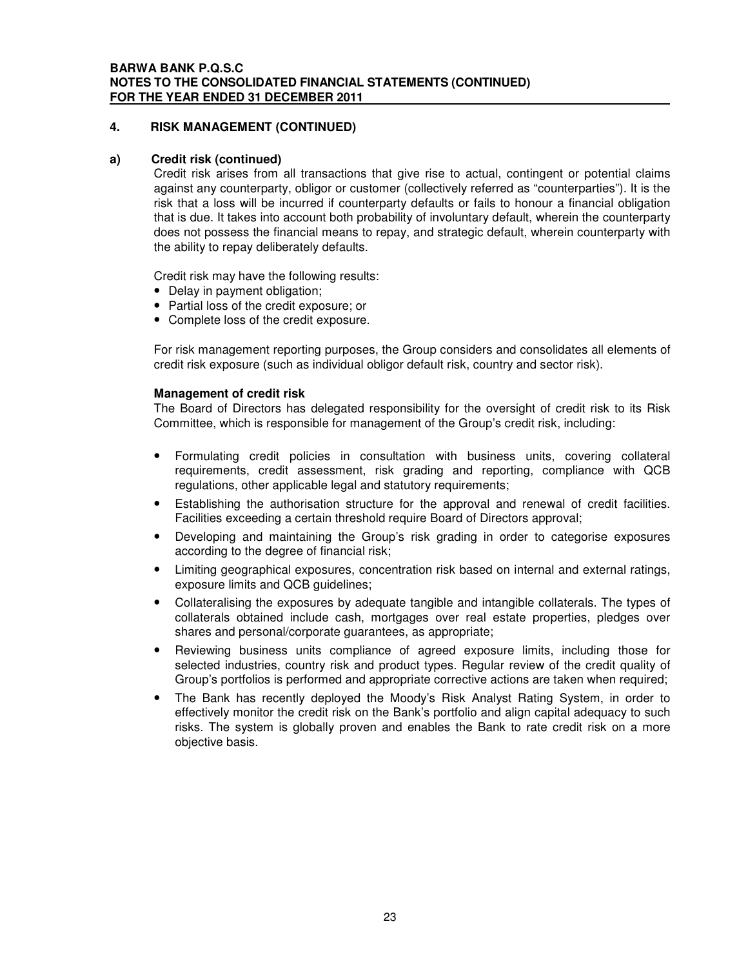### **a) Credit risk (continued)**

Credit risk arises from all transactions that give rise to actual, contingent or potential claims against any counterparty, obligor or customer (collectively referred as "counterparties"). It is the risk that a loss will be incurred if counterparty defaults or fails to honour a financial obligation that is due. It takes into account both probability of involuntary default, wherein the counterparty does not possess the financial means to repay, and strategic default, wherein counterparty with the ability to repay deliberately defaults.

Credit risk may have the following results:

- Delay in payment obligation:
- Partial loss of the credit exposure; or
- Complete loss of the credit exposure.

For risk management reporting purposes, the Group considers and consolidates all elements of credit risk exposure (such as individual obligor default risk, country and sector risk).

### **Management of credit risk**

The Board of Directors has delegated responsibility for the oversight of credit risk to its Risk Committee, which is responsible for management of the Group's credit risk, including:

- Formulating credit policies in consultation with business units, covering collateral requirements, credit assessment, risk grading and reporting, compliance with QCB regulations, other applicable legal and statutory requirements;
- Establishing the authorisation structure for the approval and renewal of credit facilities. Facilities exceeding a certain threshold require Board of Directors approval;
- Developing and maintaining the Group's risk grading in order to categorise exposures according to the degree of financial risk;
- Limiting geographical exposures, concentration risk based on internal and external ratings, exposure limits and QCB guidelines;
- Collateralising the exposures by adequate tangible and intangible collaterals. The types of collaterals obtained include cash, mortgages over real estate properties, pledges over shares and personal/corporate guarantees, as appropriate;
- Reviewing business units compliance of agreed exposure limits, including those for selected industries, country risk and product types. Regular review of the credit quality of Group's portfolios is performed and appropriate corrective actions are taken when required;
- The Bank has recently deployed the Moody's Risk Analyst Rating System, in order to effectively monitor the credit risk on the Bank's portfolio and align capital adequacy to such risks. The system is globally proven and enables the Bank to rate credit risk on a more objective basis.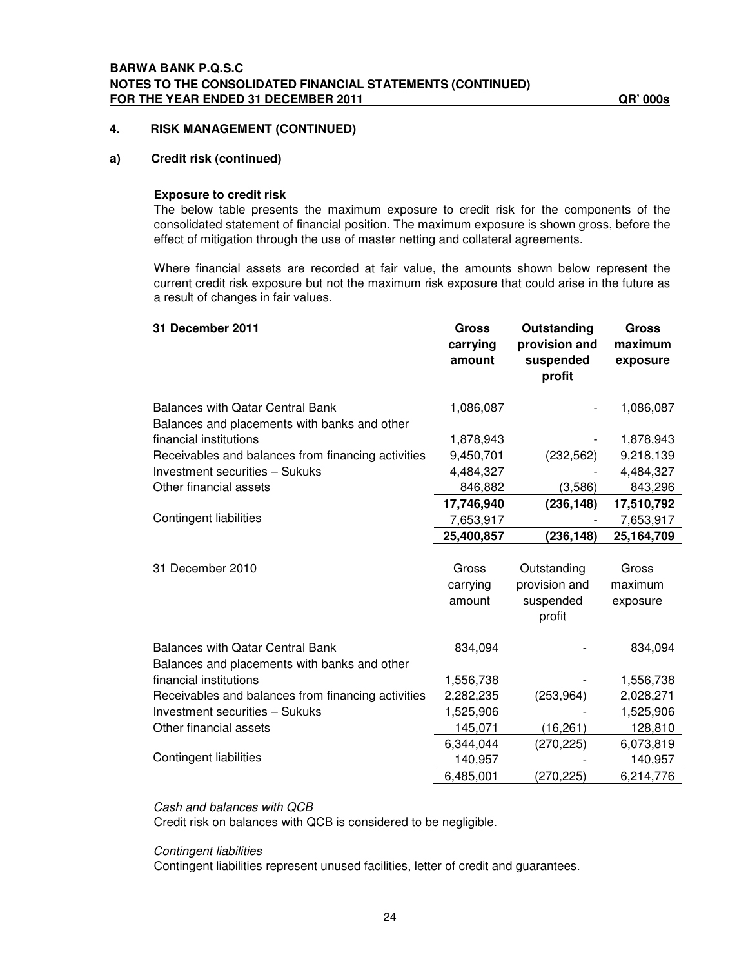### **a) Credit risk (continued)**

### **Exposure to credit risk**

The below table presents the maximum exposure to credit risk for the components of the consolidated statement of financial position. The maximum exposure is shown gross, before the effect of mitigation through the use of master netting and collateral agreements.

Where financial assets are recorded at fair value, the amounts shown below represent the current credit risk exposure but not the maximum risk exposure that could arise in the future as a result of changes in fair values.

| 31 December 2011                                                                        | Gross<br>carrying<br>amount | Outstanding<br>provision and<br>suspended<br>profit | <b>Gross</b><br>maximum<br>exposure |
|-----------------------------------------------------------------------------------------|-----------------------------|-----------------------------------------------------|-------------------------------------|
| <b>Balances with Qatar Central Bank</b><br>Balances and placements with banks and other | 1,086,087                   |                                                     | 1,086,087                           |
| financial institutions                                                                  | 1,878,943                   |                                                     | 1,878,943                           |
| Receivables and balances from financing activities                                      | 9,450,701                   | (232, 562)                                          | 9,218,139                           |
| Investment securities - Sukuks                                                          | 4,484,327                   |                                                     | 4,484,327                           |
| Other financial assets                                                                  | 846,882                     | (3,586)                                             | 843,296                             |
|                                                                                         | 17,746,940                  | (236, 148)                                          | 17,510,792                          |
| <b>Contingent liabilities</b>                                                           | 7,653,917                   |                                                     | 7,653,917                           |
|                                                                                         | 25,400,857                  | (236, 148)                                          | 25,164,709                          |
|                                                                                         |                             |                                                     |                                     |
| 31 December 2010                                                                        | Gross                       | Outstanding                                         | Gross                               |
|                                                                                         | carrying                    | provision and                                       | maximum                             |
|                                                                                         | amount                      | suspended<br>profit                                 | exposure                            |
| <b>Balances with Qatar Central Bank</b><br>Balances and placements with banks and other | 834,094                     |                                                     | 834,094                             |
| financial institutions                                                                  | 1,556,738                   |                                                     | 1,556,738                           |
| Receivables and balances from financing activities                                      | 2,282,235                   | (253, 964)                                          | 2,028,271                           |
| Investment securities - Sukuks                                                          | 1,525,906                   |                                                     | 1,525,906                           |
| Other financial assets                                                                  | 145,071                     | (16, 261)                                           | 128,810                             |
|                                                                                         | 6,344,044                   | (270, 225)                                          | 6,073,819                           |
| <b>Contingent liabilities</b>                                                           | 140,957                     |                                                     | 140,957                             |
|                                                                                         | 6,485,001                   | (270,225)                                           | 6,214,776                           |

### *Cash and balances with QCB*

Credit risk on balances with QCB is considered to be negligible.

### *Contingent liabilities*

Contingent liabilities represent unused facilities, letter of credit and guarantees.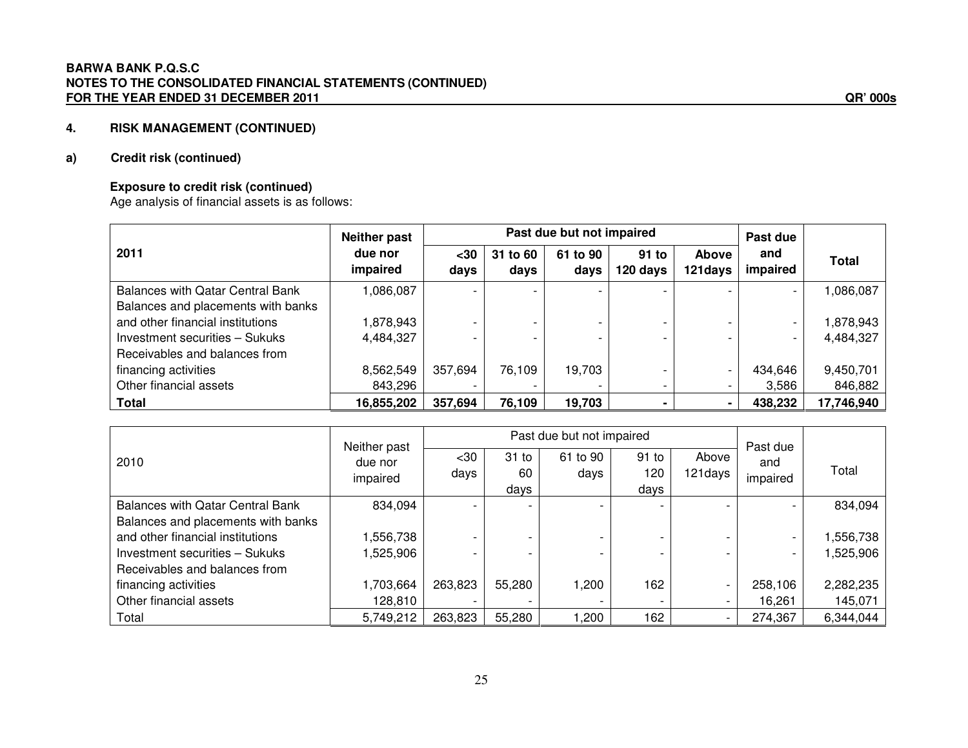### **a) Credit risk (continued)**

### **Exposure to credit risk (continued)**

Age analysis of financial assets is as follows:

|                                         | Neither past        | Past due but not impaired |                  |                  |                   |                          | Past due        |              |
|-----------------------------------------|---------------------|---------------------------|------------------|------------------|-------------------|--------------------------|-----------------|--------------|
| 2011                                    | due nor<br>impaired | $30$<br>days              | 31 to 60<br>days | 61 to 90<br>days | 91 to<br>120 days | <b>Above</b><br>121 days | and<br>impaired | <b>Total</b> |
| <b>Balances with Qatar Central Bank</b> | 1,086,087           |                           |                  |                  |                   |                          |                 | ,086,087     |
| Balances and placements with banks      |                     |                           |                  |                  |                   |                          |                 |              |
| and other financial institutions        | 1,878,943           |                           |                  |                  |                   |                          |                 | 1,878,943    |
| Investment securities - Sukuks          | 4,484,327           |                           |                  |                  |                   |                          |                 | 4,484,327    |
| Receivables and balances from           |                     |                           |                  |                  |                   |                          |                 |              |
| financing activities                    | 8,562,549           | 357,694                   | 76,109           | 19,703           |                   |                          | 434,646         | 9,450,701    |
| Other financial assets                  | 843,296             |                           |                  |                  |                   |                          | 3,586           | 846,882      |
| <b>Total</b>                            | 16,855,202          | 357,694                   | 76,109           | 19,703           |                   |                          | 438,232         | 17,746,940   |

|                                                                        | Neither past        |              |                          | Past due but not impaired |                        |                          | Past due        |           |
|------------------------------------------------------------------------|---------------------|--------------|--------------------------|---------------------------|------------------------|--------------------------|-----------------|-----------|
| 2010                                                                   | due nor<br>impaired | $30$<br>days | $31$ to<br>60<br>days    | 61 to 90<br>days          | $91$ to<br>120<br>days | Above<br>121 days        | and<br>impaired | Total     |
| <b>Balances with Qatar Central Bank</b>                                | 834,094             |              | $\overline{\phantom{0}}$ |                           |                        |                          |                 | 834,094   |
| Balances and placements with banks<br>and other financial institutions | ,556,738            |              | $\overline{\phantom{0}}$ |                           |                        |                          |                 | 1,556,738 |
| Investment securities - Sukuks                                         | ,525,906            |              | $\overline{\phantom{0}}$ |                           |                        |                          |                 | 1,525,906 |
| Receivables and balances from                                          |                     |              |                          |                           |                        |                          |                 |           |
| financing activities                                                   | 1,703,664           | 263,823      | 55,280                   | 1,200                     | 162                    | $\overline{\phantom{0}}$ | 258,106         | 2,282,235 |
| Other financial assets                                                 | 128,810             |              | -                        |                           |                        | $\overline{\phantom{0}}$ | 16,261          | 145,071   |
| Total                                                                  | 5,749,212           | 263,823      | 55,280                   | 1,200                     | 162                    |                          | 274,367         | 6,344,044 |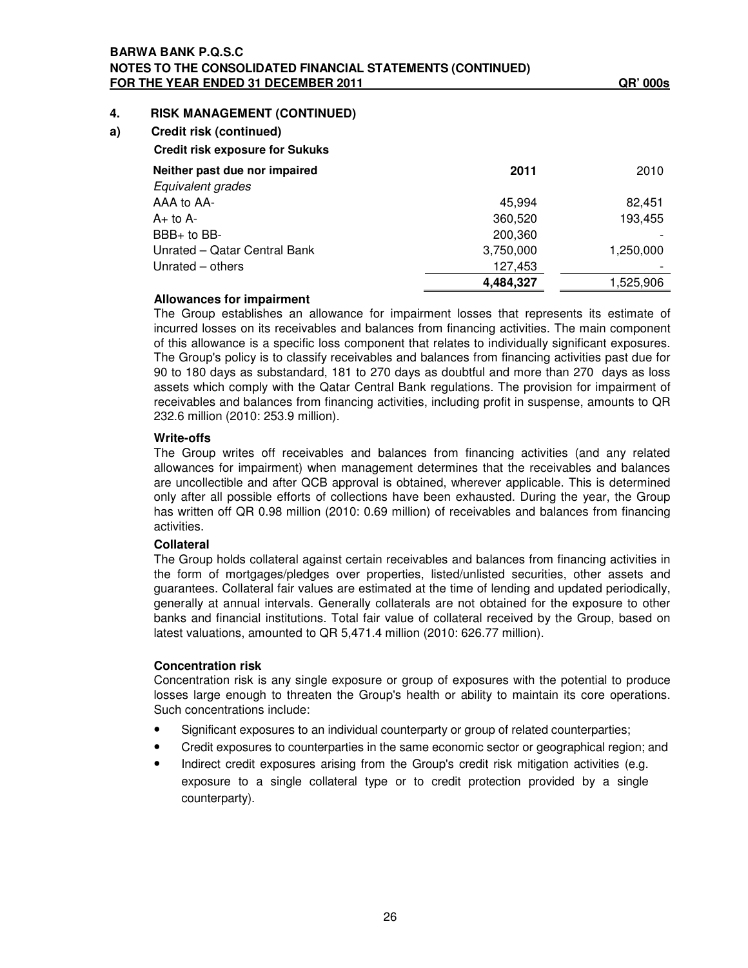### **BARWA BANK P.Q.S.C NOTES TO THE CONSOLIDATED FINANCIAL STATEMENTS (CONTINUED) FOR THE YEAR ENDED 31 DECEMBER 2011 QR' 000s**

### **4. RISK MANAGEMENT (CONTINUED)**

**a) Credit risk (continued)**

| <b>Credit risk exposure for Sukuks</b> |           |           |
|----------------------------------------|-----------|-----------|
| Neither past due nor impaired          | 2011      | 2010      |
| Equivalent grades                      |           |           |
| AAA to AA-                             | 45.994    | 82.451    |
| $A+$ to $A-$                           | 360,520   | 193,455   |
| $BBB+$ to $BB-$                        | 200,360   |           |
| Unrated - Qatar Central Bank           | 3,750,000 | 1,250,000 |
| Unrated – others                       | 127,453   |           |
|                                        | 4,484,327 | 1.525.906 |

### **Allowances for impairment**

The Group establishes an allowance for impairment losses that represents its estimate of incurred losses on its receivables and balances from financing activities. The main component of this allowance is a specific loss component that relates to individually significant exposures. The Group's policy is to classify receivables and balances from financing activities past due for 90 to 180 days as substandard, 181 to 270 days as doubtful and more than 270 days as loss assets which comply with the Qatar Central Bank regulations. The provision for impairment of receivables and balances from financing activities, including profit in suspense, amounts to QR 232.6 million (2010: 253.9 million).

### **Write-offs**

The Group writes off receivables and balances from financing activities (and any related allowances for impairment) when management determines that the receivables and balances are uncollectible and after QCB approval is obtained, wherever applicable. This is determined only after all possible efforts of collections have been exhausted. During the year, the Group has written off QR 0.98 million (2010: 0.69 million) of receivables and balances from financing activities.

### **Collateral**

The Group holds collateral against certain receivables and balances from financing activities in the form of mortgages/pledges over properties, listed/unlisted securities, other assets and guarantees. Collateral fair values are estimated at the time of lending and updated periodically, generally at annual intervals. Generally collaterals are not obtained for the exposure to other banks and financial institutions. Total fair value of collateral received by the Group, based on latest valuations, amounted to QR 5,471.4 million (2010: 626.77 million).

### **Concentration risk**

Concentration risk is any single exposure or group of exposures with the potential to produce losses large enough to threaten the Group's health or ability to maintain its core operations. Such concentrations include:

- Significant exposures to an individual counterparty or group of related counterparties;
- Credit exposures to counterparties in the same economic sector or geographical region; and
- Indirect credit exposures arising from the Group's credit risk mitigation activities (e.g. exposure to a single collateral type or to credit protection provided by a single counterparty).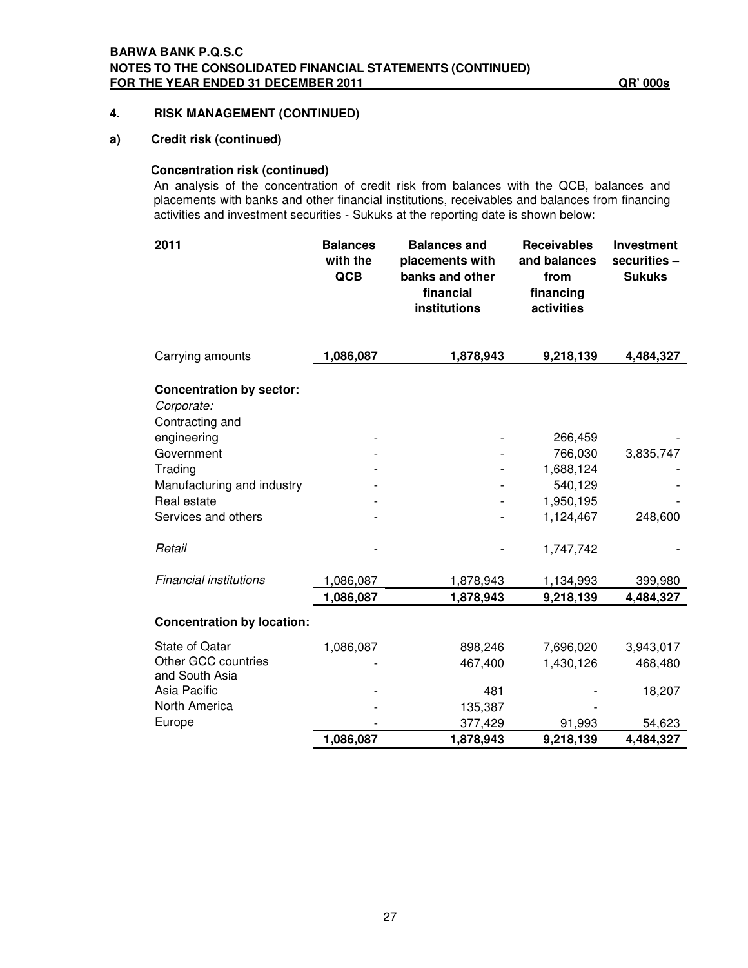### **a) Credit risk (continued)**

### **Concentration risk (continued)**

An analysis of the concentration of credit risk from balances with the QCB, balances and placements with banks and other financial institutions, receivables and balances from financing activities and investment securities - Sukuks at the reporting date is shown below:

| 2011                                                             | <b>Balances</b><br>with the<br>QCB | <b>Balances and</b><br>placements with<br>banks and other<br>financial<br>institutions | <b>Receivables</b><br>and balances<br>from<br>financing<br>activities | <b>Investment</b><br>securities -<br><b>Sukuks</b> |
|------------------------------------------------------------------|------------------------------------|----------------------------------------------------------------------------------------|-----------------------------------------------------------------------|----------------------------------------------------|
| Carrying amounts                                                 | 1,086,087                          | 1,878,943                                                                              | 9,218,139                                                             | 4,484,327                                          |
| <b>Concentration by sector:</b><br>Corporate:<br>Contracting and |                                    |                                                                                        |                                                                       |                                                    |
| engineering                                                      |                                    |                                                                                        | 266,459                                                               |                                                    |
| Government                                                       |                                    |                                                                                        | 766,030                                                               | 3,835,747                                          |
| Trading                                                          |                                    |                                                                                        | 1,688,124                                                             |                                                    |
| Manufacturing and industry                                       |                                    |                                                                                        | 540,129                                                               |                                                    |
| Real estate                                                      |                                    |                                                                                        | 1,950,195                                                             |                                                    |
| Services and others                                              |                                    |                                                                                        | 1,124,467                                                             | 248,600                                            |
| Retail                                                           |                                    |                                                                                        | 1,747,742                                                             |                                                    |
| <b>Financial institutions</b>                                    | 1,086,087                          | 1,878,943                                                                              | 1,134,993                                                             | 399,980                                            |
|                                                                  | 1,086,087                          | 1,878,943                                                                              | 9,218,139                                                             | 4,484,327                                          |
| <b>Concentration by location:</b>                                |                                    |                                                                                        |                                                                       |                                                    |
| <b>State of Qatar</b>                                            | 1,086,087                          | 898,246                                                                                | 7,696,020                                                             | 3,943,017                                          |
| Other GCC countries<br>and South Asia                            |                                    | 467,400                                                                                | 1,430,126                                                             | 468,480                                            |
| Asia Pacific                                                     |                                    | 481                                                                                    |                                                                       | 18,207                                             |
| North America                                                    |                                    | 135,387                                                                                |                                                                       |                                                    |
| Europe                                                           |                                    | 377,429                                                                                | 91,993                                                                | 54,623                                             |
|                                                                  | 1,086,087                          | 1,878,943                                                                              | 9,218,139                                                             | 4,484,327                                          |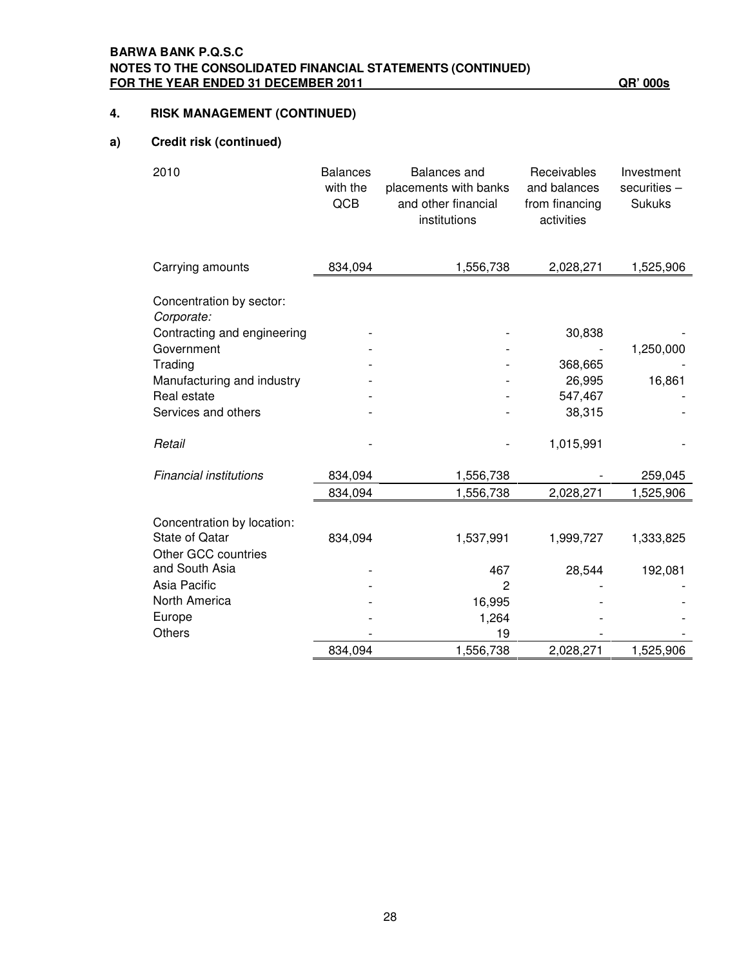### **a) Credit risk (continued)**

| 2010                                   | <b>Balances</b><br>with the<br>QCB | <b>Balances</b> and<br>placements with banks<br>and other financial<br>institutions | Receivables<br>and balances<br>from financing<br>activities | Investment<br>securities -<br><b>Sukuks</b> |
|----------------------------------------|------------------------------------|-------------------------------------------------------------------------------------|-------------------------------------------------------------|---------------------------------------------|
| Carrying amounts                       | 834,094                            | 1,556,738                                                                           | 2,028,271                                                   | 1,525,906                                   |
| Concentration by sector:<br>Corporate: |                                    |                                                                                     |                                                             |                                             |
| Contracting and engineering            |                                    |                                                                                     | 30,838                                                      |                                             |
| Government                             |                                    |                                                                                     |                                                             | 1,250,000                                   |
| Trading                                |                                    |                                                                                     | 368,665                                                     |                                             |
| Manufacturing and industry             |                                    |                                                                                     | 26,995                                                      | 16,861                                      |
| Real estate                            |                                    |                                                                                     | 547,467                                                     |                                             |
| Services and others                    |                                    |                                                                                     | 38,315                                                      |                                             |
| Retail                                 |                                    |                                                                                     | 1,015,991                                                   |                                             |
| <b>Financial institutions</b>          | 834,094                            | 1,556,738                                                                           |                                                             | 259,045                                     |
|                                        | 834,094                            | 1,556,738                                                                           | 2,028,271                                                   | 1,525,906                                   |
| Concentration by location:             |                                    |                                                                                     |                                                             |                                             |
| <b>State of Qatar</b>                  | 834,094                            | 1,537,991                                                                           | 1,999,727                                                   | 1,333,825                                   |
| Other GCC countries                    |                                    |                                                                                     |                                                             |                                             |
| and South Asia                         |                                    | 467                                                                                 | 28,544                                                      | 192,081                                     |
| Asia Pacific                           |                                    | $\overline{2}$                                                                      |                                                             |                                             |
| North America                          |                                    | 16,995                                                                              |                                                             |                                             |
| Europe                                 |                                    | 1,264                                                                               |                                                             |                                             |
| Others                                 |                                    | 19                                                                                  |                                                             |                                             |
|                                        | 834,094                            | 1,556,738                                                                           | 2,028,271                                                   | 1,525,906                                   |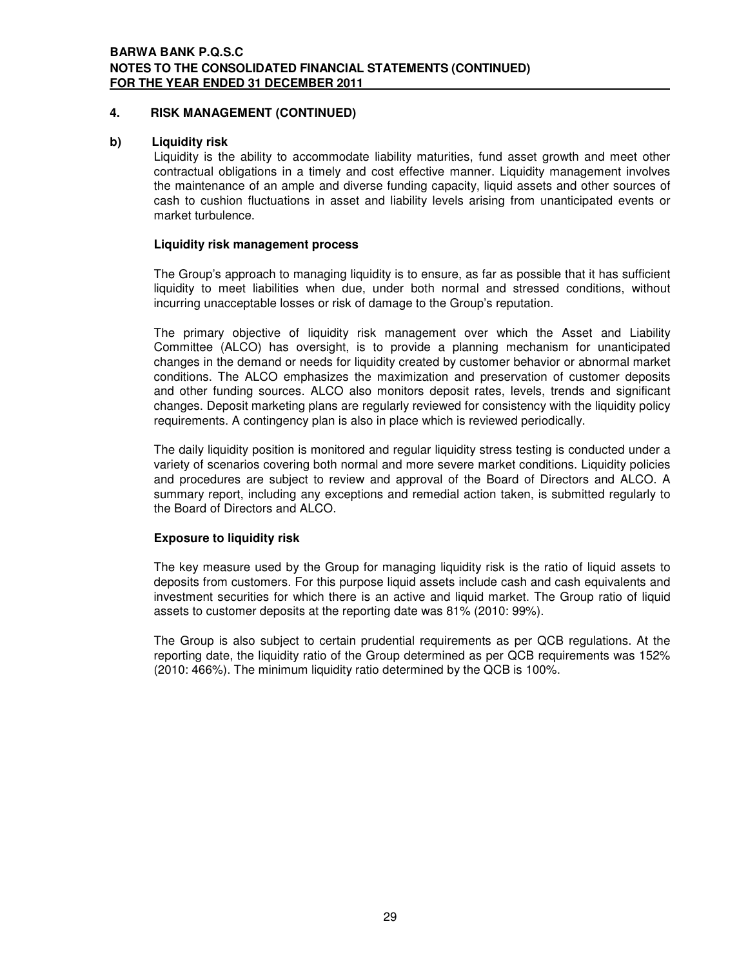### **b) Liquidity risk**

Liquidity is the ability to accommodate liability maturities, fund asset growth and meet other contractual obligations in a timely and cost effective manner. Liquidity management involves the maintenance of an ample and diverse funding capacity, liquid assets and other sources of cash to cushion fluctuations in asset and liability levels arising from unanticipated events or market turbulence.

### **Liquidity risk management process**

The Group's approach to managing liquidity is to ensure, as far as possible that it has sufficient liquidity to meet liabilities when due, under both normal and stressed conditions, without incurring unacceptable losses or risk of damage to the Group's reputation.

The primary objective of liquidity risk management over which the Asset and Liability Committee (ALCO) has oversight, is to provide a planning mechanism for unanticipated changes in the demand or needs for liquidity created by customer behavior or abnormal market conditions. The ALCO emphasizes the maximization and preservation of customer deposits and other funding sources. ALCO also monitors deposit rates, levels, trends and significant changes. Deposit marketing plans are regularly reviewed for consistency with the liquidity policy requirements. A contingency plan is also in place which is reviewed periodically.

The daily liquidity position is monitored and regular liquidity stress testing is conducted under a variety of scenarios covering both normal and more severe market conditions. Liquidity policies and procedures are subject to review and approval of the Board of Directors and ALCO. A summary report, including any exceptions and remedial action taken, is submitted regularly to the Board of Directors and ALCO.

### **Exposure to liquidity risk**

The key measure used by the Group for managing liquidity risk is the ratio of liquid assets to deposits from customers. For this purpose liquid assets include cash and cash equivalents and investment securities for which there is an active and liquid market. The Group ratio of liquid assets to customer deposits at the reporting date was 81% (2010: 99%).

The Group is also subject to certain prudential requirements as per QCB regulations. At the reporting date, the liquidity ratio of the Group determined as per QCB requirements was 152% (2010: 466%). The minimum liquidity ratio determined by the QCB is 100%.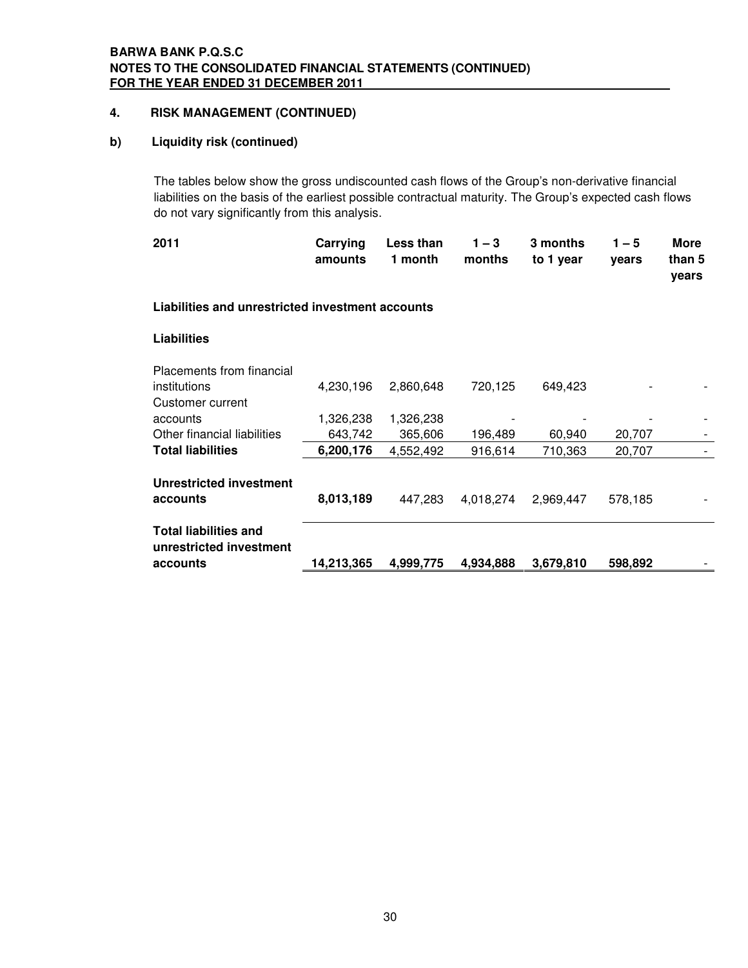### **b) Liquidity risk (continued)**

The tables below show the gross undiscounted cash flows of the Group's non-derivative financial liabilities on the basis of the earliest possible contractual maturity. The Group's expected cash flows do not vary significantly from this analysis.

| 2011                                                    | Carrying<br>amounts | Less than<br>1 month | $1 - 3$<br>months | 3 months<br>to 1 year | $1 - 5$<br>years | More<br>than 5<br>years |
|---------------------------------------------------------|---------------------|----------------------|-------------------|-----------------------|------------------|-------------------------|
| Liabilities and unrestricted investment accounts        |                     |                      |                   |                       |                  |                         |
| <b>Liabilities</b>                                      |                     |                      |                   |                       |                  |                         |
| Placements from financial                               |                     |                      |                   |                       |                  |                         |
| institutions                                            | 4,230,196           | 2,860,648            | 720,125           | 649,423               |                  |                         |
| Customer current                                        |                     |                      |                   |                       |                  |                         |
| accounts                                                | 1,326,238           | 1,326,238            |                   |                       |                  |                         |
| Other financial liabilities                             | 643,742             | 365,606              | 196,489           | 60,940                | 20,707           |                         |
| <b>Total liabilities</b>                                | 6,200,176           | 4,552,492            | 916,614           | 710,363               | 20,707           |                         |
| <b>Unrestricted investment</b>                          |                     |                      |                   |                       |                  |                         |
| accounts                                                | 8,013,189           | 447,283              | 4,018,274         | 2,969,447             | 578,185          |                         |
| <b>Total liabilities and</b><br>unrestricted investment |                     |                      |                   |                       |                  |                         |
| accounts                                                | 14,213,365          | 4,999,775            | 4,934,888         | 3,679,810             | 598,892          |                         |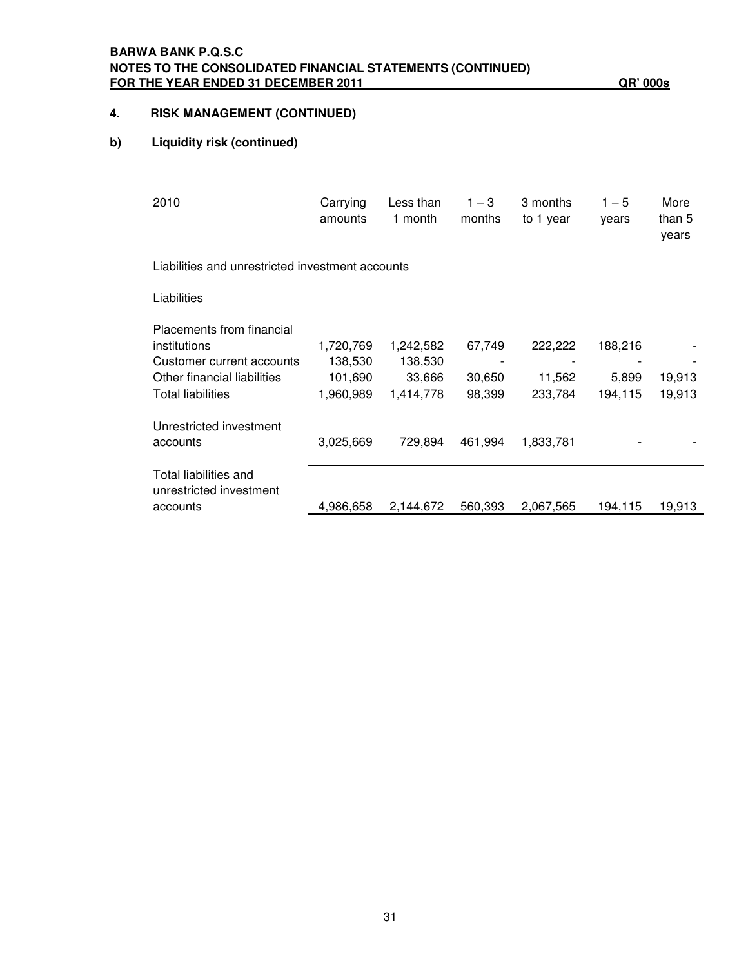### **BARWA BANK P.Q.S.C NOTES TO THE CONSOLIDATED FINANCIAL STATEMENTS (CONTINUED) FOR THE YEAR ENDED 31 DECEMBER 2011 QR' 000s**

# **4. RISK MANAGEMENT (CONTINUED)**

### **b) Liquidity risk (continued)**

| 2010                                             | Carrying<br>amounts | Less than<br>1 month | $1 - 3$<br>months | 3 months<br>to 1 year | $1 - 5$<br>years | More<br>than 5<br>years |
|--------------------------------------------------|---------------------|----------------------|-------------------|-----------------------|------------------|-------------------------|
| Liabilities and unrestricted investment accounts |                     |                      |                   |                       |                  |                         |
| Liabilities                                      |                     |                      |                   |                       |                  |                         |
| Placements from financial                        |                     |                      |                   |                       |                  |                         |
| institutions                                     | 1,720,769           | 1,242,582            | 67,749            | 222,222               | 188,216          |                         |
| Customer current accounts                        | 138,530             | 138,530              |                   |                       |                  |                         |
| Other financial liabilities                      | 101,690             | 33,666               | 30,650            | 11,562                | 5,899            | 19,913                  |
| <b>Total liabilities</b>                         | 1,960,989           | 1,414,778            | 98,399            | 233,784               | 194,115          | 19,913                  |
| Unrestricted investment                          |                     |                      |                   |                       |                  |                         |
| accounts                                         | 3,025,669           | 729,894              | 461,994           | 1,833,781             |                  |                         |
| Total liabilities and<br>unrestricted investment |                     |                      |                   |                       |                  |                         |
| accounts                                         | 4,986,658           | 2,144,672            | 560,393           | 2,067,565             | 194.115          | 19,913                  |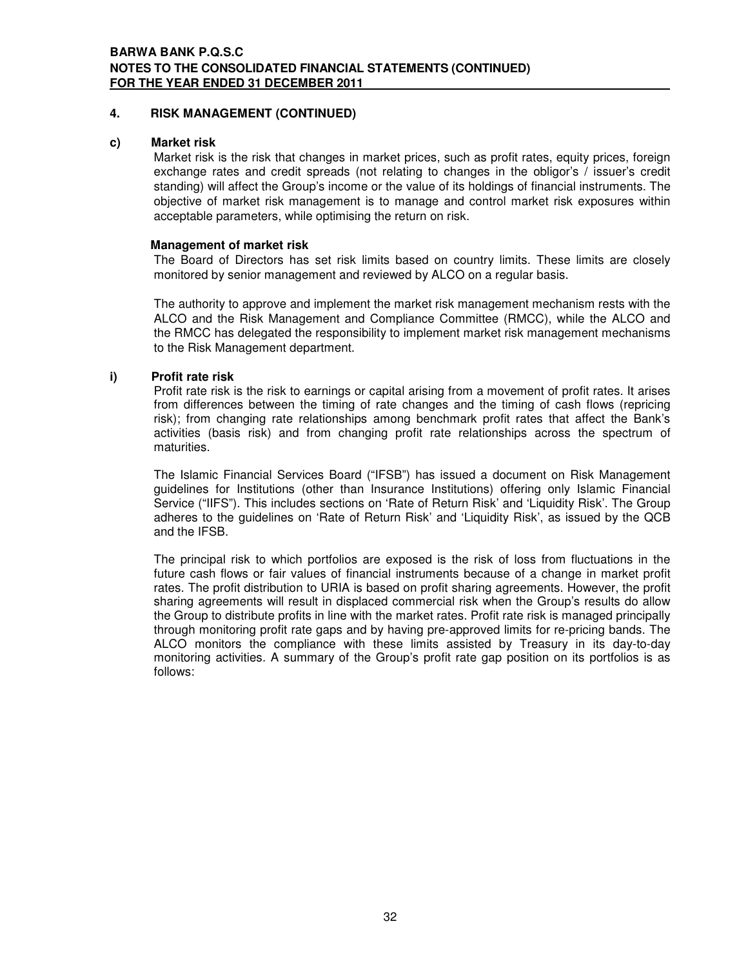### **c) Market risk**

Market risk is the risk that changes in market prices, such as profit rates, equity prices, foreign exchange rates and credit spreads (not relating to changes in the obligor's / issuer's credit standing) will affect the Group's income or the value of its holdings of financial instruments. The objective of market risk management is to manage and control market risk exposures within acceptable parameters, while optimising the return on risk.

### **Management of market risk**

The Board of Directors has set risk limits based on country limits. These limits are closely monitored by senior management and reviewed by ALCO on a regular basis.

The authority to approve and implement the market risk management mechanism rests with the ALCO and the Risk Management and Compliance Committee (RMCC), while the ALCO and the RMCC has delegated the responsibility to implement market risk management mechanisms to the Risk Management department.

### **i) Profit rate risk**

Profit rate risk is the risk to earnings or capital arising from a movement of profit rates. It arises from differences between the timing of rate changes and the timing of cash flows (repricing risk); from changing rate relationships among benchmark profit rates that affect the Bank's activities (basis risk) and from changing profit rate relationships across the spectrum of maturities.

The Islamic Financial Services Board ("IFSB") has issued a document on Risk Management guidelines for Institutions (other than Insurance Institutions) offering only Islamic Financial Service ("IIFS"). This includes sections on 'Rate of Return Risk' and 'Liquidity Risk'. The Group adheres to the guidelines on 'Rate of Return Risk' and 'Liquidity Risk', as issued by the QCB and the IFSB.

The principal risk to which portfolios are exposed is the risk of loss from fluctuations in the future cash flows or fair values of financial instruments because of a change in market profit rates. The profit distribution to URIA is based on profit sharing agreements. However, the profit sharing agreements will result in displaced commercial risk when the Group's results do allow the Group to distribute profits in line with the market rates. Profit rate risk is managed principally through monitoring profit rate gaps and by having pre-approved limits for re-pricing bands. The ALCO monitors the compliance with these limits assisted by Treasury in its day-to-day monitoring activities. A summary of the Group's profit rate gap position on its portfolios is as follows: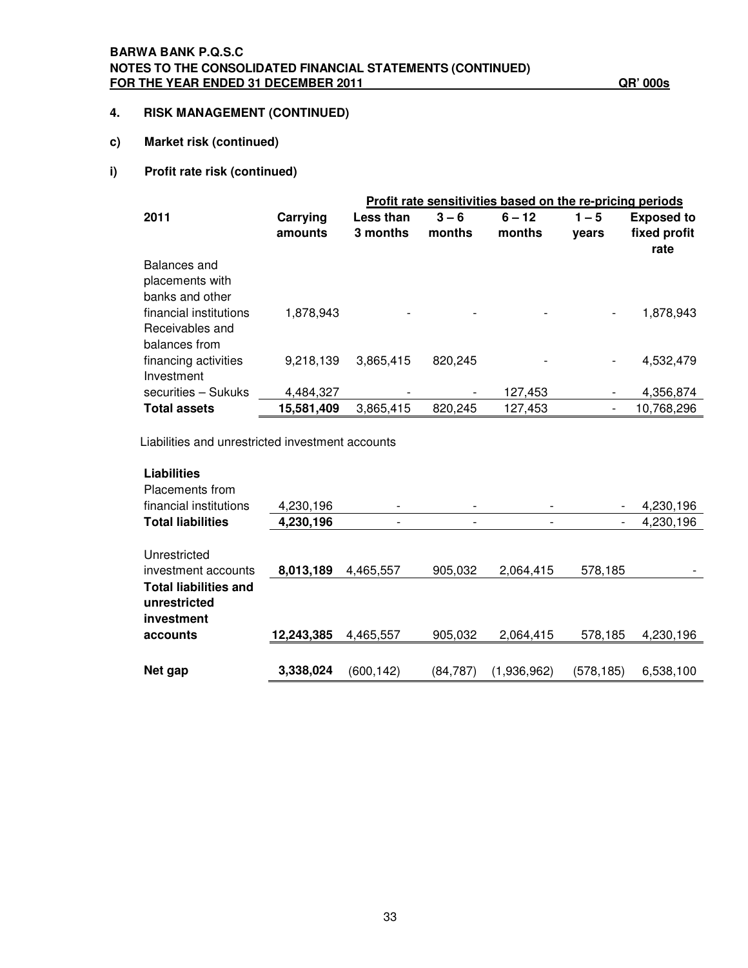### **BARWA BANK P.Q.S.C NOTES TO THE CONSOLIDATED FINANCIAL STATEMENTS (CONTINUED) FOR THE YEAR ENDED 31 DECEMBER 2011 QR' 000s**

### **4. RISK MANAGEMENT (CONTINUED)**

### **c) Market risk (continued)**

### **i) Profit rate risk (continued)**

|                        |            | Profit rate sensitivities based on the re-pricing periods |         |          |         |                   |  |
|------------------------|------------|-----------------------------------------------------------|---------|----------|---------|-------------------|--|
| 2011                   | Carrying   | <b>Less than</b>                                          | $3 - 6$ | $6 - 12$ | $1 - 5$ | <b>Exposed to</b> |  |
|                        | amounts    | 3 months                                                  | months  | months   | vears   | fixed profit      |  |
|                        |            |                                                           |         |          |         | rate              |  |
| Balances and           |            |                                                           |         |          |         |                   |  |
| placements with        |            |                                                           |         |          |         |                   |  |
| banks and other        |            |                                                           |         |          |         |                   |  |
| financial institutions | 1,878,943  |                                                           |         |          |         | 1,878,943         |  |
| Receivables and        |            |                                                           |         |          |         |                   |  |
| balances from          |            |                                                           |         |          |         |                   |  |
| financing activities   | 9,218,139  | 3,865,415                                                 | 820,245 |          |         | 4,532,479         |  |
| Investment             |            |                                                           |         |          |         |                   |  |
| securities - Sukuks    | 4,484,327  |                                                           | -       | 127,453  |         | 4,356,874         |  |
| <b>Total assets</b>    | 15,581,409 | 3.865.415                                                 | 820.245 | 127.453  |         | 10,768,296        |  |

Liabilities and unrestricted investment accounts

| <b>Liabilities</b><br>Placements from                               |            |           |                          |             |           |           |
|---------------------------------------------------------------------|------------|-----------|--------------------------|-------------|-----------|-----------|
| financial institutions                                              | 4,230,196  |           | $\overline{\phantom{a}}$ | -           |           | 4,230,196 |
| <b>Total liabilities</b>                                            | 4,230,196  |           |                          |             |           | 4,230,196 |
| Unrestricted<br>investment accounts<br><b>Total liabilities and</b> | 8,013,189  | 4.465.557 | 905.032                  | 2.064.415   | 578,185   |           |
| unrestricted<br>investment<br>accounts                              | 12,243,385 | 4,465,557 | 905,032                  | 2,064,415   | 578,185   | 4,230,196 |
|                                                                     |            |           |                          |             |           |           |
| Net gap                                                             | 3,338,024  | (600,142) | (84, 787)                | (1,936,962) | (578,185) | 6,538,100 |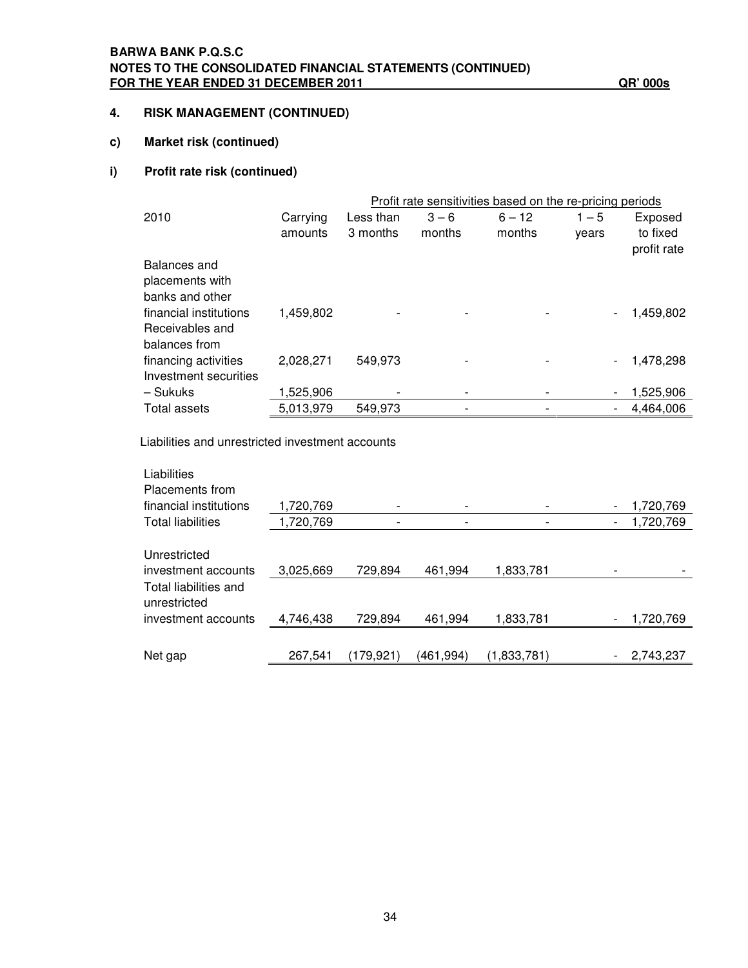### **BARWA BANK P.Q.S.C NOTES TO THE CONSOLIDATED FINANCIAL STATEMENTS (CONTINUED) FOR THE YEAR ENDED 31 DECEMBER 2011 QR' 000s**

### **4. RISK MANAGEMENT (CONTINUED)**

### **c) Market risk (continued)**

### **i) Profit rate risk (continued)**

|                        |           |           |         | Profit rate sensitivities based on the re-pricing periods |         |             |
|------------------------|-----------|-----------|---------|-----------------------------------------------------------|---------|-------------|
| 2010                   | Carrying  | Less than | $3 - 6$ | $6 - 12$                                                  | $1 - 5$ | Exposed     |
|                        | amounts   | 3 months  | months  | months                                                    | vears   | to fixed    |
|                        |           |           |         |                                                           |         | profit rate |
| Balances and           |           |           |         |                                                           |         |             |
| placements with        |           |           |         |                                                           |         |             |
| banks and other        |           |           |         |                                                           |         |             |
| financial institutions | 1,459,802 |           |         |                                                           |         | 1,459,802   |
| Receivables and        |           |           |         |                                                           |         |             |
| balances from          |           |           |         |                                                           |         |             |
| financing activities   | 2,028,271 | 549,973   |         |                                                           |         | 1,478,298   |
| Investment securities  |           |           |         |                                                           |         |             |
| – Sukuks               | 1,525,906 |           |         |                                                           |         | 1,525,906   |
| <b>Total assets</b>    | 5,013,979 | 549,973   |         |                                                           |         | 4,464,006   |

Liabilities and unrestricted investment accounts

| Liabilities<br>Placements from                                               |           |           |           |             |                                       |
|------------------------------------------------------------------------------|-----------|-----------|-----------|-------------|---------------------------------------|
| financial institutions                                                       | 1,720,769 |           |           |             | 1,720,769<br>-                        |
| <b>Total liabilities</b>                                                     | 1,720,769 |           |           |             | 1,720,769<br>$\overline{\phantom{a}}$ |
| Unrestricted<br>investment accounts<br>Total liabilities and<br>unrestricted | 3,025,669 | 729,894   | 461.994   | 1,833,781   |                                       |
| investment accounts                                                          | 4,746,438 | 729,894   | 461,994   | 1,833,781   | 1,720,769<br>-                        |
| Net gap                                                                      | 267,541   | (179,921) | (461,994) | (1,833,781) | 2,743,237                             |
|                                                                              |           |           |           |             |                                       |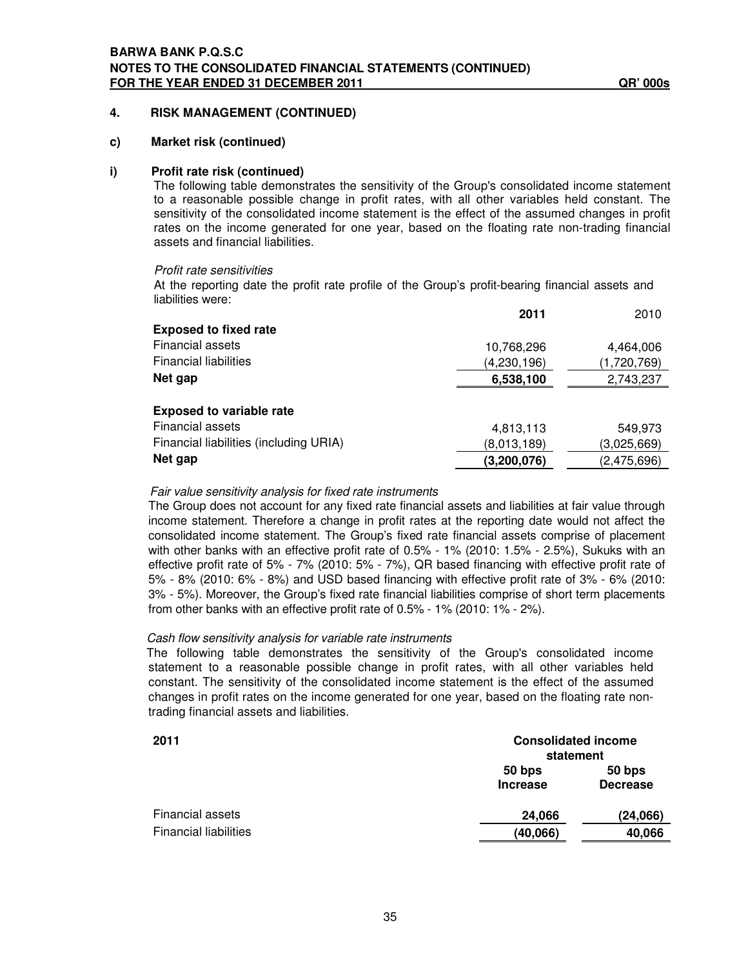### **c) Market risk (continued)**

#### **i) Profit rate risk (continued)**

The following table demonstrates the sensitivity of the Group's consolidated income statement to a reasonable possible change in profit rates, with all other variables held constant. The sensitivity of the consolidated income statement is the effect of the assumed changes in profit rates on the income generated for one year, based on the floating rate non-trading financial assets and financial liabilities.

#### *Profit rate sensitivities*

At the reporting date the profit rate profile of the Group's profit-bearing financial assets and liabilities were:

|                                        | 2011          | 2010        |
|----------------------------------------|---------------|-------------|
| <b>Exposed to fixed rate</b>           |               |             |
| <b>Financial assets</b>                | 10,768,296    | 4,464,006   |
| <b>Financial liabilities</b>           | (4, 230, 196) | (1,720,769) |
| Net gap                                | 6,538,100     | 2,743,237   |
| <b>Exposed to variable rate</b>        |               |             |
| <b>Financial assets</b>                | 4,813,113     | 549,973     |
| Financial liabilities (including URIA) | (8,013,189)   | (3,025,669) |
| Net gap                                | (3,200,076)   | (2,475,696) |
|                                        |               |             |

#### *Fair value sensitivity analysis for fixed rate instruments*

The Group does not account for any fixed rate financial assets and liabilities at fair value through income statement. Therefore a change in profit rates at the reporting date would not affect the consolidated income statement. The Group's fixed rate financial assets comprise of placement with other banks with an effective profit rate of 0.5% - 1% (2010: 1.5% - 2.5%), Sukuks with an effective profit rate of 5% - 7% (2010: 5% - 7%), QR based financing with effective profit rate of 5% - 8% (2010: 6% - 8%) and USD based financing with effective profit rate of 3% - 6% (2010: 3% - 5%). Moreover, the Group's fixed rate financial liabilities comprise of short term placements from other banks with an effective profit rate of 0.5% - 1% (2010: 1% - 2%).

#### *Cash flow sensitivity analysis for variable rate instruments*

The following table demonstrates the sensitivity of the Group's consolidated income statement to a reasonable possible change in profit rates, with all other variables held constant. The sensitivity of the consolidated income statement is the effect of the assumed changes in profit rates on the income generated for one year, based on the floating rate nontrading financial assets and liabilities.

| 2011                         | <b>Consolidated income</b><br>statement |                           |  |
|------------------------------|-----------------------------------------|---------------------------|--|
|                              | 50 bps<br><b>Increase</b>               | 50 bps<br><b>Decrease</b> |  |
| Financial assets             | 24,066                                  | (24,066)                  |  |
| <b>Financial liabilities</b> | (40,066)                                | 40,066                    |  |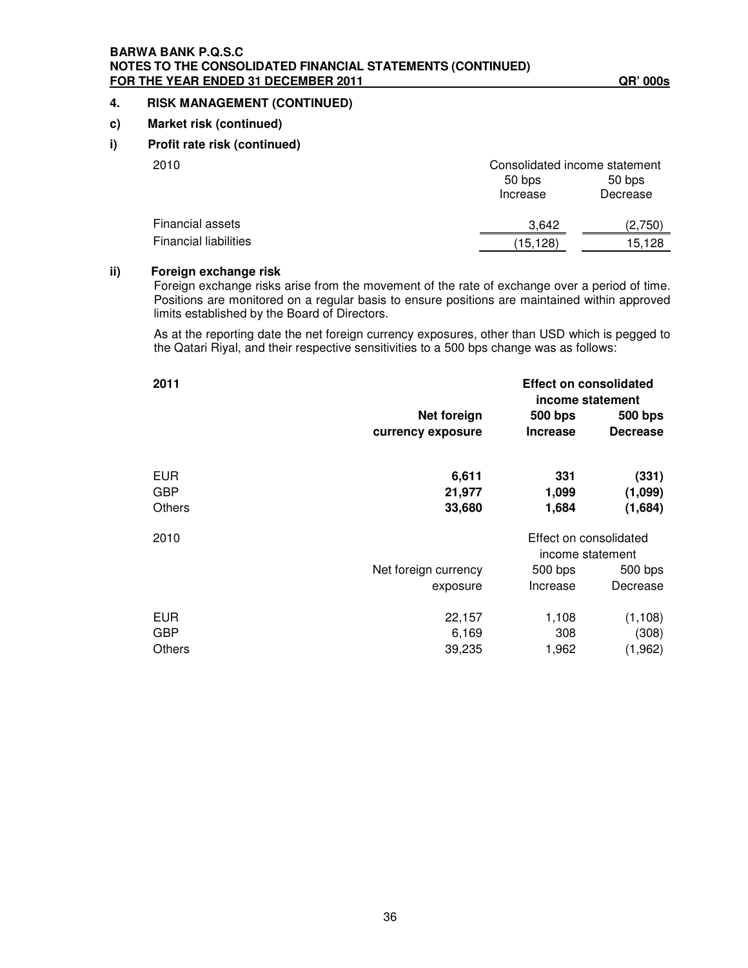### **BARWA BANK P.Q.S.C NOTES TO THE CONSOLIDATED FINANCIAL STATEMENTS (CONTINUED) FOR THE YEAR ENDED 31 DECEMBER 2011 QR' 000s**

### **4. RISK MANAGEMENT (CONTINUED)**

### **c) Market risk (continued)**

### **i) Profit rate risk (continued)**

| 2010                         | Consolidated income statement |          |  |  |
|------------------------------|-------------------------------|----------|--|--|
|                              | 50 bps                        | 50 bps   |  |  |
|                              | Increase                      | Decrease |  |  |
| Financial assets             | 3.642                         | (2.750)  |  |  |
| <b>Financial liabilities</b> | (15,128)                      | 15.128   |  |  |
|                              |                               |          |  |  |

### **ii) Foreign exchange risk**

Foreign exchange risks arise from the movement of the rate of exchange over a period of time. Positions are monitored on a regular basis to ensure positions are maintained within approved limits established by the Board of Directors.

As at the reporting date the net foreign currency exposures, other than USD which is pegged to the Qatari Riyal, and their respective sensitivities to a 500 bps change was as follows:

| 2011          |                      |                 | <b>Effect on consolidated</b><br>income statement |  |  |
|---------------|----------------------|-----------------|---------------------------------------------------|--|--|
|               | Net foreign          | <b>500 bps</b>  | 500 bps                                           |  |  |
|               | currency exposure    | <b>Increase</b> | <b>Decrease</b>                                   |  |  |
| <b>EUR</b>    | 6,611                | 331             | (331)                                             |  |  |
| <b>GBP</b>    | 21,977               | 1,099           | (1,099)                                           |  |  |
| <b>Others</b> | 33,680               | 1,684           | (1,684)                                           |  |  |
| 2010          |                      |                 | Effect on consolidated<br>income statement        |  |  |
|               | Net foreign currency | 500 bps         | 500 bps                                           |  |  |
|               | exposure             | Increase        | Decrease                                          |  |  |
| <b>EUR</b>    | 22,157               | 1,108           | (1, 108)                                          |  |  |
| <b>GBP</b>    | 6,169                | 308             | (308)                                             |  |  |
| <b>Others</b> | 39,235               | 1,962           | (1,962)                                           |  |  |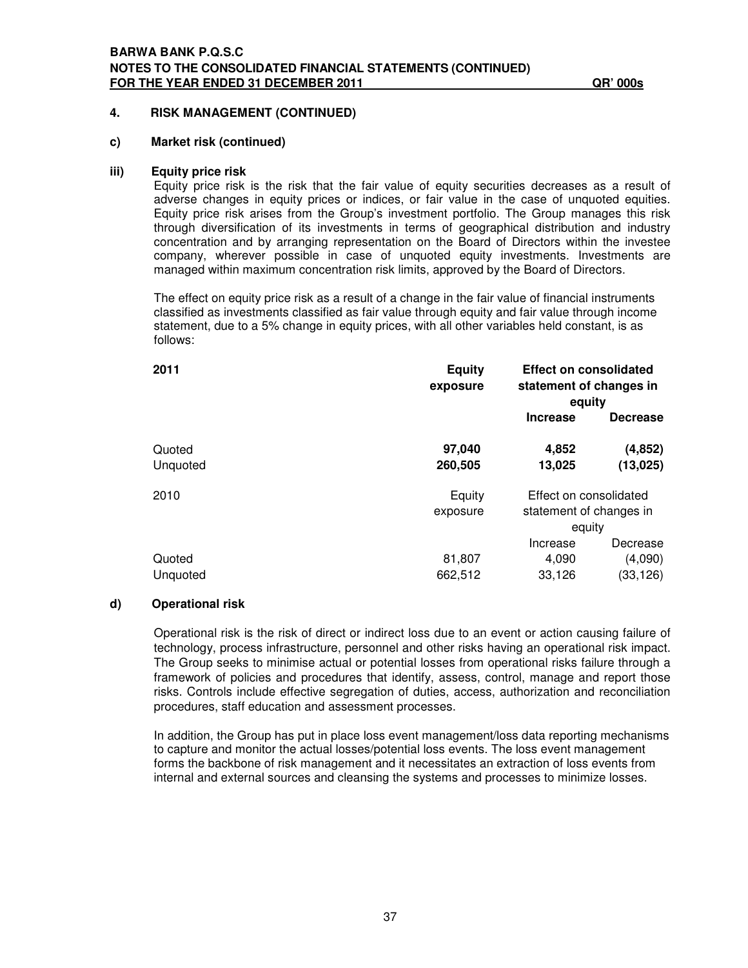#### **c) Market risk (continued)**

#### **iii) Equity price risk**

Equity price risk is the risk that the fair value of equity securities decreases as a result of adverse changes in equity prices or indices, or fair value in the case of unquoted equities. Equity price risk arises from the Group's investment portfolio. The Group manages this risk through diversification of its investments in terms of geographical distribution and industry concentration and by arranging representation on the Board of Directors within the investee company, wherever possible in case of unquoted equity investments. Investments are managed within maximum concentration risk limits, approved by the Board of Directors.

The effect on equity price risk as a result of a change in the fair value of financial instruments classified as investments classified as fair value through equity and fair value through income statement, due to a 5% change in equity prices, with all other variables held constant, is as follows:

| 2011               | <b>Equity</b><br>exposure | <b>Effect on consolidated</b><br>statement of changes in<br>equity |                                  |
|--------------------|---------------------------|--------------------------------------------------------------------|----------------------------------|
|                    |                           | <b>Increase</b>                                                    | <b>Decrease</b>                  |
| Quoted<br>Unquoted | 97,040<br>260,505         | 4,852<br>13,025                                                    | (4, 852)<br>(13, 025)            |
| 2010               | Equity<br>exposure        | Effect on consolidated<br>statement of changes in<br>equity        |                                  |
| Quoted<br>Unquoted | 81,807<br>662,512         | Increase<br>4,090<br>33,126                                        | Decrease<br>(4,090)<br>(33, 126) |

### **d) Operational risk**

Operational risk is the risk of direct or indirect loss due to an event or action causing failure of technology, process infrastructure, personnel and other risks having an operational risk impact. The Group seeks to minimise actual or potential losses from operational risks failure through a framework of policies and procedures that identify, assess, control, manage and report those risks. Controls include effective segregation of duties, access, authorization and reconciliation procedures, staff education and assessment processes.

In addition, the Group has put in place loss event management/loss data reporting mechanisms to capture and monitor the actual losses/potential loss events. The loss event management forms the backbone of risk management and it necessitates an extraction of loss events from internal and external sources and cleansing the systems and processes to minimize losses.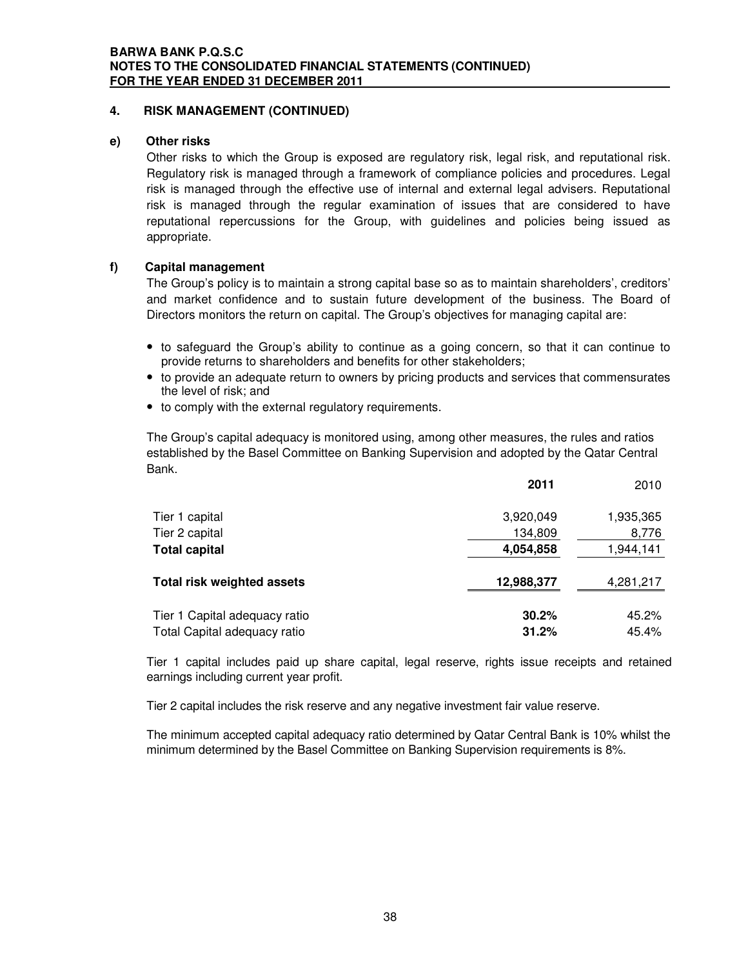### **e) Other risks**

Other risks to which the Group is exposed are regulatory risk, legal risk, and reputational risk. Regulatory risk is managed through a framework of compliance policies and procedures. Legal risk is managed through the effective use of internal and external legal advisers. Reputational risk is managed through the regular examination of issues that are considered to have reputational repercussions for the Group, with guidelines and policies being issued as appropriate.

### **f) Capital management**

The Group's policy is to maintain a strong capital base so as to maintain shareholders', creditors' and market confidence and to sustain future development of the business. The Board of Directors monitors the return on capital. The Group's objectives for managing capital are:

- to safeguard the Group's ability to continue as a going concern, so that it can continue to provide returns to shareholders and benefits for other stakeholders;
- to provide an adequate return to owners by pricing products and services that commensurates the level of risk; and
- to comply with the external regulatory requirements.

The Group's capital adequacy is monitored using, among other measures, the rules and ratios established by the Basel Committee on Banking Supervision and adopted by the Qatar Central Bank.

|                                   | 2011       | 2010      |
|-----------------------------------|------------|-----------|
| Tier 1 capital                    | 3,920,049  | 1,935,365 |
| Tier 2 capital                    | 134,809    | 8,776     |
| <b>Total capital</b>              | 4,054,858  | 1,944,141 |
| <b>Total risk weighted assets</b> | 12,988,377 | 4,281,217 |
| Tier 1 Capital adequacy ratio     | 30.2%      | 45.2%     |
| Total Capital adequacy ratio      | 31.2%      | 45.4%     |

Tier 1 capital includes paid up share capital, legal reserve, rights issue receipts and retained earnings including current year profit.

Tier 2 capital includes the risk reserve and any negative investment fair value reserve.

The minimum accepted capital adequacy ratio determined by Qatar Central Bank is 10% whilst the minimum determined by the Basel Committee on Banking Supervision requirements is 8%.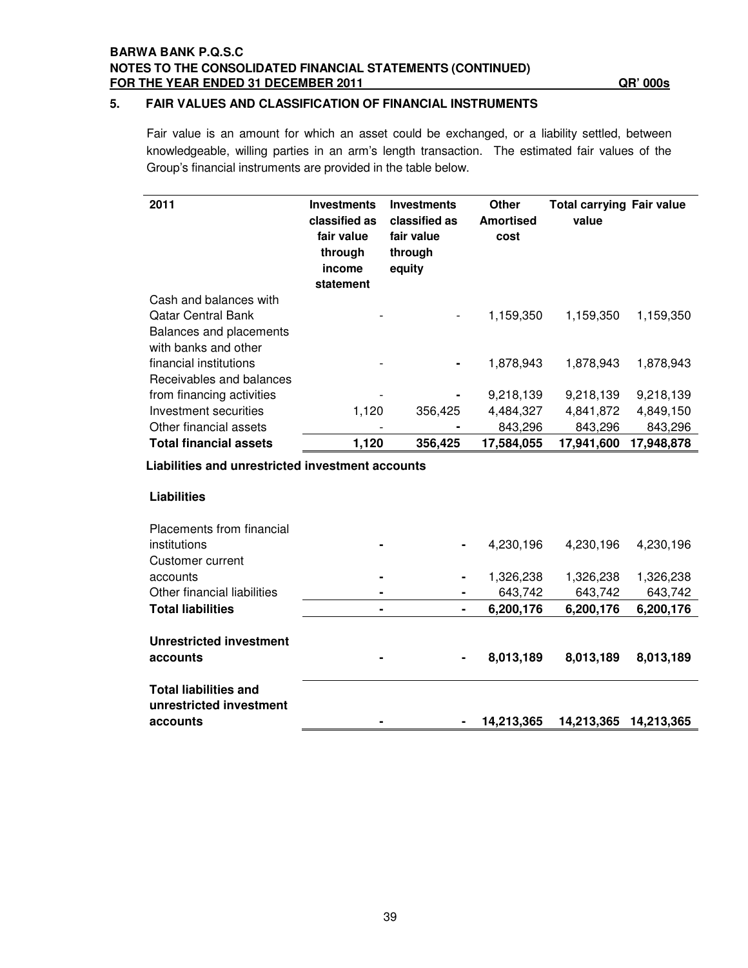### **BARWA BANK P.Q.S.C NOTES TO THE CONSOLIDATED FINANCIAL STATEMENTS (CONTINUED) FOR THE YEAR ENDED 31 DECEMBER 2011 QR' 000s**

### **5. FAIR VALUES AND CLASSIFICATION OF FINANCIAL INSTRUMENTS**

Fair value is an amount for which an asset could be exchanged, or a liability settled, between knowledgeable, willing parties in an arm's length transaction. The estimated fair values of the Group's financial instruments are provided in the table below.

| 2011                                          | <b>Investments</b><br>classified as<br>fair value<br>through<br>income<br>statement | <b>Investments</b><br>classified as<br>fair value<br>through<br>equity | <b>Other</b><br><b>Amortised</b><br>cost | <b>Total carrying Fair value</b><br>value |            |
|-----------------------------------------------|-------------------------------------------------------------------------------------|------------------------------------------------------------------------|------------------------------------------|-------------------------------------------|------------|
| Cash and balances with                        |                                                                                     |                                                                        |                                          |                                           |            |
| Qatar Central Bank<br>Balances and placements |                                                                                     | $\overline{\phantom{a}}$                                               | 1,159,350                                | 1,159,350                                 | 1,159,350  |
| with banks and other                          |                                                                                     |                                                                        |                                          |                                           |            |
| financial institutions                        |                                                                                     | $\blacksquare$                                                         | 1,878,943                                | 1,878,943                                 | 1,878,943  |
| Receivables and balances                      |                                                                                     |                                                                        |                                          |                                           |            |
| from financing activities                     |                                                                                     | $\blacksquare$                                                         | 9,218,139                                | 9,218,139                                 | 9,218,139  |
| Investment securities                         | 1,120                                                                               | 356,425                                                                | 4,484,327                                | 4,841,872                                 | 4,849,150  |
| Other financial assets                        |                                                                                     | ۰                                                                      | 843,296                                  | 843,296                                   | 843,296    |
| <b>Total financial assets</b>                 | 1,120                                                                               | 356,425                                                                | 17,584,055                               | 17,941,600                                | 17,948,878 |

**Liabilities and unrestricted investment accounts**

### **Liabilities**

| Placements from financial                               |   |   |            |            |            |
|---------------------------------------------------------|---|---|------------|------------|------------|
| institutions                                            | ۰ | ۰ | 4,230,196  | 4,230,196  | 4,230,196  |
| Customer current                                        |   |   |            |            |            |
| accounts                                                | ۰ |   | 1,326,238  | 1,326,238  | 1,326,238  |
| Other financial liabilities                             |   |   | 643.742    | 643.742    | 643.742    |
| <b>Total liabilities</b>                                | ۰ | ۰ | 6,200,176  | 6,200,176  | 6,200,176  |
| Unrestricted investment<br>accounts                     |   | ۰ | 8,013,189  | 8,013,189  | 8,013,189  |
| <b>Total liabilities and</b><br>unrestricted investment |   |   |            |            |            |
| accounts                                                |   |   | 14,213,365 | 14,213,365 | 14.213.365 |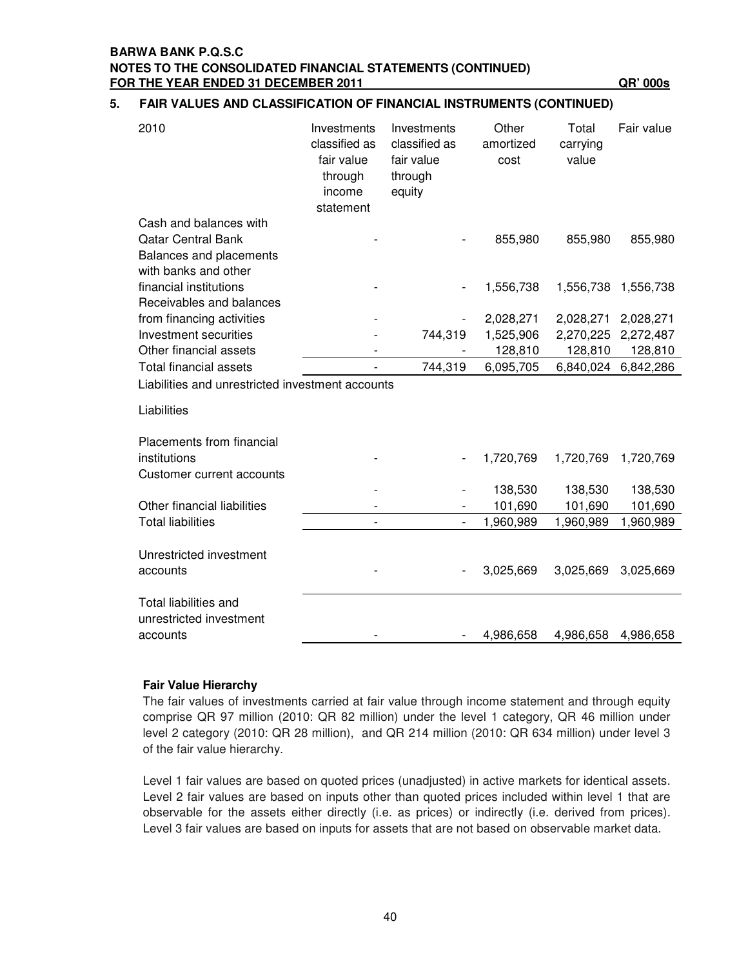### **BARWA BANK P.Q.S.C NOTES TO THE CONSOLIDATED FINANCIAL STATEMENTS (CONTINUED) FOR THE YEAR ENDED 31 DECEMBER 2011 QR' 000s**

### **5. FAIR VALUES AND CLASSIFICATION OF FINANCIAL INSTRUMENTS (CONTINUED)**

| 2010                                                                                                   | Investments<br>classified as<br>fair value<br>through<br>income<br>statement | Investments<br>classified as<br>fair value<br>through<br>equity | Other<br>amortized<br>cost | Total<br>carrying<br>value | Fair value |
|--------------------------------------------------------------------------------------------------------|------------------------------------------------------------------------------|-----------------------------------------------------------------|----------------------------|----------------------------|------------|
| Cash and balances with<br><b>Qatar Central Bank</b><br>Balances and placements<br>with banks and other |                                                                              |                                                                 | 855,980                    | 855,980                    | 855,980    |
| financial institutions                                                                                 |                                                                              |                                                                 | 1,556,738                  | 1,556,738                  | 1,556,738  |
| Receivables and balances                                                                               |                                                                              |                                                                 |                            |                            |            |
| from financing activities                                                                              |                                                                              |                                                                 | 2,028,271                  | 2,028,271                  | 2,028,271  |
| Investment securities                                                                                  |                                                                              | 744,319                                                         | 1,525,906                  | 2,270,225                  | 2,272,487  |
| Other financial assets                                                                                 |                                                                              |                                                                 | 128,810                    | 128,810                    | 128,810    |
| <b>Total financial assets</b>                                                                          |                                                                              | 744,319                                                         | 6,095,705                  | 6,840,024                  | 6,842,286  |
| Liabilities and unrestricted investment accounts                                                       |                                                                              |                                                                 |                            |                            |            |
| Liabilities                                                                                            |                                                                              |                                                                 |                            |                            |            |
| Placements from financial                                                                              |                                                                              |                                                                 |                            |                            |            |
| institutions                                                                                           |                                                                              |                                                                 | 1,720,769                  | 1,720,769                  | 1,720,769  |
| Customer current accounts                                                                              |                                                                              |                                                                 |                            |                            |            |
|                                                                                                        |                                                                              |                                                                 | 138,530                    | 138,530                    | 138,530    |
| Other financial liabilities                                                                            | $\overline{\phantom{a}}$                                                     | $\overline{\phantom{a}}$                                        | 101,690                    | 101,690                    | 101,690    |
| <b>Total liabilities</b>                                                                               |                                                                              |                                                                 | 1,960,989                  | 1,960,989                  | 1,960,989  |
|                                                                                                        |                                                                              |                                                                 |                            |                            |            |
| Unrestricted investment<br>accounts                                                                    |                                                                              |                                                                 | 3,025,669                  | 3,025,669                  | 3,025,669  |
| <b>Total liabilities and</b><br>unrestricted investment                                                |                                                                              |                                                                 |                            |                            |            |
| accounts                                                                                               |                                                                              |                                                                 | 4,986,658                  | 4,986,658                  | 4,986,658  |

### **Fair Value Hierarchy**

The fair values of investments carried at fair value through income statement and through equity comprise QR 97 million (2010: QR 82 million) under the level 1 category, QR 46 million under level 2 category (2010: QR 28 million), and QR 214 million (2010: QR 634 million) under level 3 of the fair value hierarchy.

Level 1 fair values are based on quoted prices (unadjusted) in active markets for identical assets. Level 2 fair values are based on inputs other than quoted prices included within level 1 that are observable for the assets either directly (i.e. as prices) or indirectly (i.e. derived from prices). Level 3 fair values are based on inputs for assets that are not based on observable market data.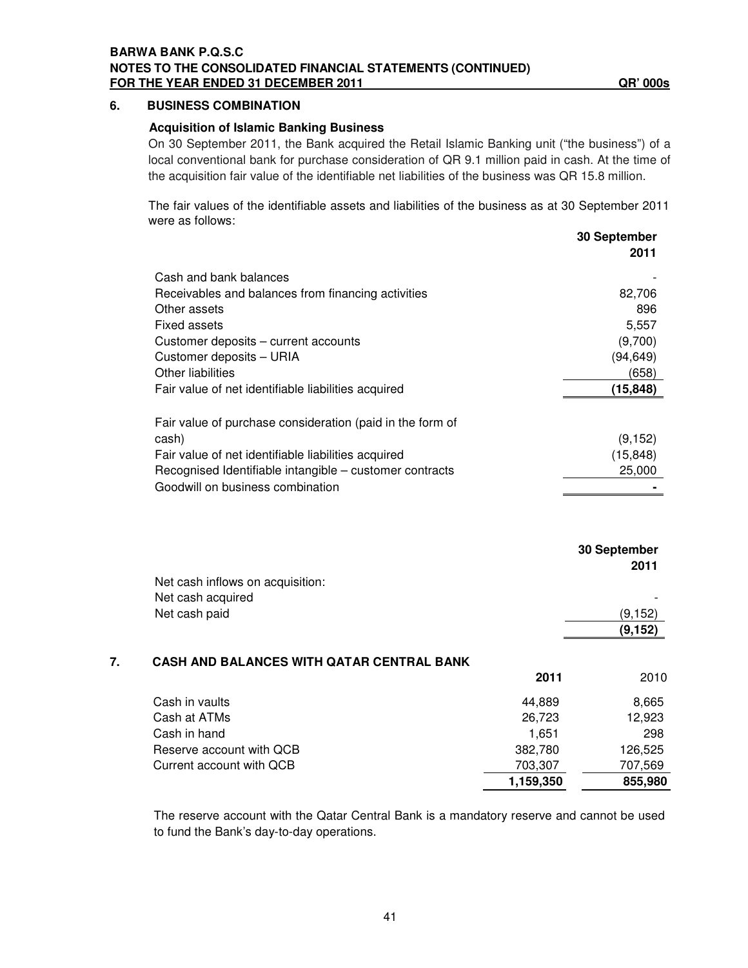### **6. BUSINESS COMBINATION**

### **Acquisition of Islamic Banking Business**

On 30 September 2011, the Bank acquired the Retail Islamic Banking unit ("the business") of a local conventional bank for purchase consideration of QR 9.1 million paid in cash. At the time of the acquisition fair value of the identifiable net liabilities of the business was QR 15.8 million.

The fair values of the identifiable assets and liabilities of the business as at 30 September 2011 were as follows:

|    |                                                           |           | 30 September<br>2011 |
|----|-----------------------------------------------------------|-----------|----------------------|
|    | Cash and bank balances                                    |           |                      |
|    | Receivables and balances from financing activities        |           | 82,706               |
|    | Other assets                                              |           | 896                  |
|    | <b>Fixed assets</b>                                       |           | 5,557                |
|    | Customer deposits - current accounts                      |           | (9,700)              |
|    | Customer deposits - URIA                                  |           | (94, 649)            |
|    | <b>Other liabilities</b>                                  |           | (658)                |
|    | Fair value of net identifiable liabilities acquired       |           | (15, 848)            |
|    | Fair value of purchase consideration (paid in the form of |           |                      |
|    | cash)                                                     |           | (9, 152)             |
|    | Fair value of net identifiable liabilities acquired       |           | (15, 848)            |
|    | Recognised Identifiable intangible - customer contracts   |           | 25,000               |
|    | Goodwill on business combination                          |           |                      |
|    |                                                           |           | 30 September<br>2011 |
|    | Net cash inflows on acquisition:                          |           |                      |
|    | Net cash acquired                                         |           |                      |
|    | Net cash paid                                             |           | (9, 152)             |
|    |                                                           |           | (9, 152)             |
| 7. | <b>CASH AND BALANCES WITH QATAR CENTRAL BANK</b>          |           |                      |
|    |                                                           | 2011      | 2010                 |
|    | Cash in vaults                                            | 44,889    | 8,665                |
|    | Cash at ATMs                                              | 26,723    | 12,923               |
|    | Cash in hand                                              | 1,651     | 298                  |
|    | Reserve account with QCB                                  | 382,780   | 126,525              |
|    | Current account with QCB                                  | 703,307   | 707,569              |
|    |                                                           | 1,159,350 | 855,980              |
|    |                                                           |           |                      |

The reserve account with the Qatar Central Bank is a mandatory reserve and cannot be used to fund the Bank's day-to-day operations.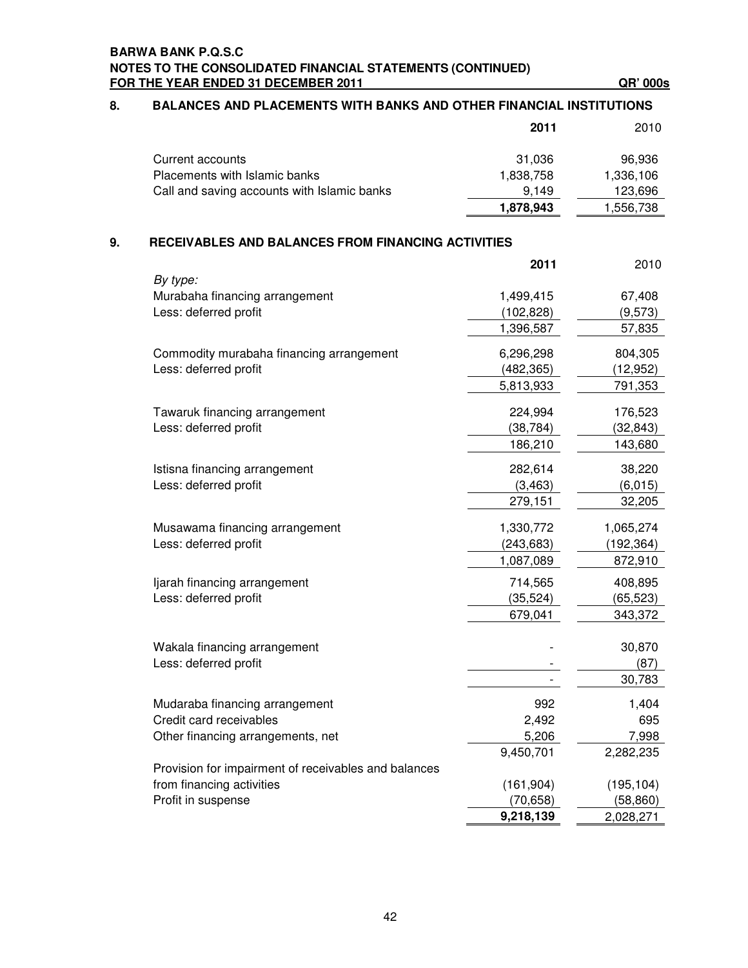| 8. | BALANCES AND PLACEMENTS WITH BANKS AND OTHER FINANCIAL INSTITUTIONS |            |            |  |
|----|---------------------------------------------------------------------|------------|------------|--|
|    |                                                                     | 2011       | 2010       |  |
|    | <b>Current accounts</b>                                             | 31,036     | 96,936     |  |
|    | Placements with Islamic banks                                       | 1,838,758  | 1,336,106  |  |
|    | Call and saving accounts with Islamic banks                         | 9,149      | 123,696    |  |
|    |                                                                     | 1,878,943  | 1,556,738  |  |
| 9. | RECEIVABLES AND BALANCES FROM FINANCING ACTIVITIES                  |            |            |  |
|    |                                                                     | 2011       | 2010       |  |
|    | By type:<br>Murabaha financing arrangement                          | 1,499,415  | 67,408     |  |
|    | Less: deferred profit                                               | (102, 828) | (9, 573)   |  |
|    |                                                                     | 1,396,587  | 57,835     |  |
|    |                                                                     |            |            |  |
|    | Commodity murabaha financing arrangement                            | 6,296,298  | 804,305    |  |
|    | Less: deferred profit                                               | (482, 365) | (12, 952)  |  |
|    |                                                                     | 5,813,933  | 791,353    |  |
|    | Tawaruk financing arrangement                                       | 224,994    | 176,523    |  |
|    | Less: deferred profit                                               | (38, 784)  | (32, 843)  |  |
|    |                                                                     | 186,210    | 143,680    |  |
|    | Istisna financing arrangement                                       | 282,614    | 38,220     |  |
|    | Less: deferred profit                                               | (3, 463)   | (6,015)    |  |
|    |                                                                     | 279,151    | 32,205     |  |
|    | Musawama financing arrangement                                      | 1,330,772  | 1,065,274  |  |
|    | Less: deferred profit                                               | (243, 683) | (192, 364) |  |
|    |                                                                     | 1,087,089  | 872,910    |  |
|    | ljarah financing arrangement                                        | 714,565    | 408,895    |  |
|    | Less: deferred profit                                               | (35, 524)  | (65, 523)  |  |
|    |                                                                     | 679,041    | 343,372    |  |
|    |                                                                     |            |            |  |
|    | Wakala financing arrangement                                        |            | 30,870     |  |
|    | Less: deferred profit                                               |            | (87)       |  |
|    |                                                                     |            | 30,783     |  |
|    | Mudaraba financing arrangement                                      | 992        | 1,404      |  |
|    | Credit card receivables                                             | 2,492      | 695        |  |
|    | Other financing arrangements, net                                   | 5,206      | 7,998      |  |
|    |                                                                     | 9,450,701  | 2,282,235  |  |
|    | Provision for impairment of receivables and balances                |            |            |  |
|    | from financing activities                                           | (161, 904) | (195, 104) |  |
|    | Profit in suspense                                                  | (70, 658)  | (58, 860)  |  |
|    |                                                                     | 9,218,139  | 2,028,271  |  |

### **8. BALANCES AND PLACEMENTS WITH BANKS AND OTHER FINANCIAL INSTITUTIONS**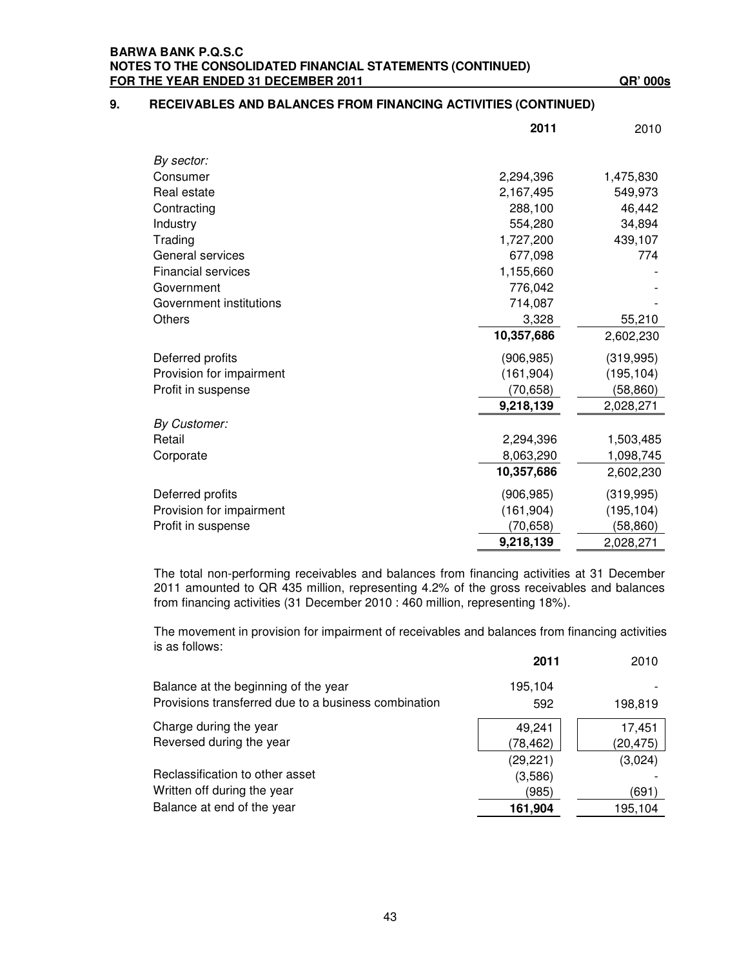### **9. RECEIVABLES AND BALANCES FROM FINANCING ACTIVITIES (CONTINUED)**

|                           | 2011       | 2010       |
|---------------------------|------------|------------|
| By sector:                |            |            |
| Consumer                  | 2,294,396  | 1,475,830  |
| Real estate               | 2,167,495  | 549,973    |
| Contracting               | 288,100    | 46,442     |
| Industry                  | 554,280    | 34,894     |
| Trading                   | 1,727,200  | 439,107    |
| General services          | 677,098    | 774        |
| <b>Financial services</b> | 1,155,660  |            |
| Government                | 776,042    |            |
| Government institutions   | 714,087    |            |
| Others                    | 3,328      | 55,210     |
|                           | 10,357,686 | 2,602,230  |
| Deferred profits          | (906, 985) | (319, 995) |
| Provision for impairment  | (161, 904) | (195, 104) |
| Profit in suspense        | (70, 658)  | (58, 860)  |
|                           | 9,218,139  | 2,028,271  |
| <b>By Customer:</b>       |            |            |
| Retail                    | 2,294,396  | 1,503,485  |
| Corporate                 | 8,063,290  | 1,098,745  |
|                           | 10,357,686 | 2,602,230  |
| Deferred profits          | (906, 985) | (319, 995) |
| Provision for impairment  | (161, 904) | (195, 104) |
| Profit in suspense        | (70,658)   | (58,860)   |
|                           | 9,218,139  | 2,028,271  |

The total non-performing receivables and balances from financing activities at 31 December 2011 amounted to QR 435 million, representing 4.2% of the gross receivables and balances from financing activities (31 December 2010 : 460 million, representing 18%).

The movement in provision for impairment of receivables and balances from financing activities is as follows: **2011** 2010

|                                                      | ZUII      | ZUIU      |
|------------------------------------------------------|-----------|-----------|
| Balance at the beginning of the year                 | 195,104   |           |
| Provisions transferred due to a business combination | 592       | 198,819   |
| Charge during the year                               | 49,241    | 17,451    |
| Reversed during the year                             | (78, 462) | (20, 475) |
|                                                      | (29, 221) | (3,024)   |
| Reclassification to other asset                      | (3,586)   |           |
| Written off during the year                          | (985)     | (691)     |
| Balance at end of the year                           | 161,904   | 195,104   |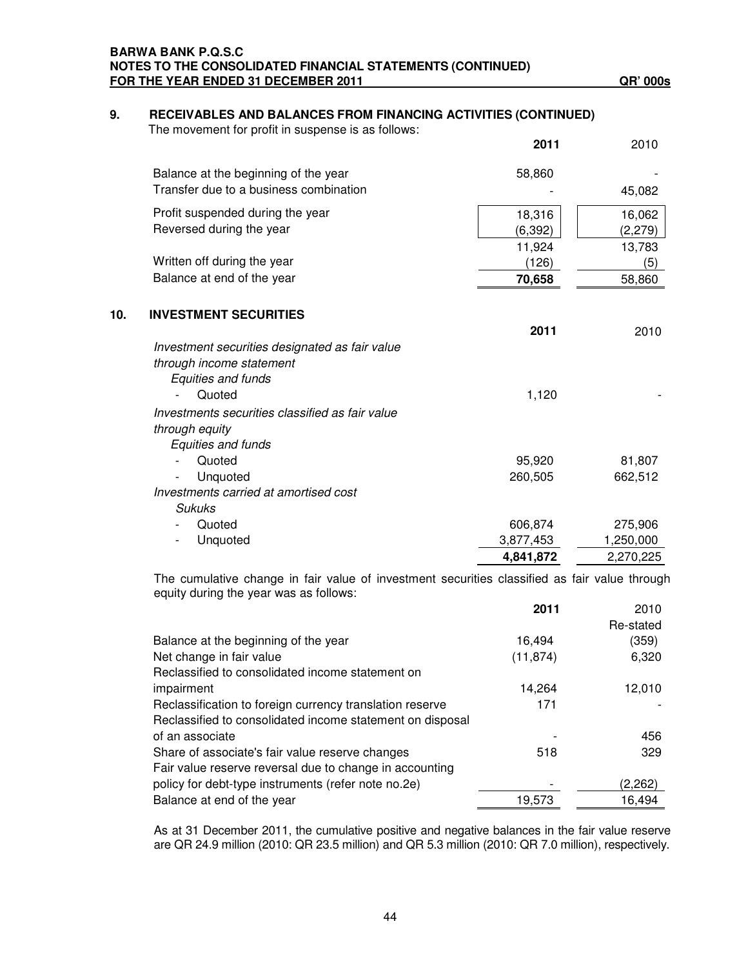### **BARWA BANK P.Q.S.C NOTES TO THE CONSOLIDATED FINANCIAL STATEMENTS (CONTINUED) FOR THE YEAR ENDED 31 DECEMBER 2011 QR' 000s**

# **9. RECEIVABLES AND BALANCES FROM FINANCING ACTIVITIES (CONTINUED)**

The movement for profit in suspense is as follows:

|     |                                                        | 2011      | 2010      |
|-----|--------------------------------------------------------|-----------|-----------|
|     | Balance at the beginning of the year                   | 58,860    |           |
|     | Transfer due to a business combination                 |           | 45,082    |
|     | Profit suspended during the year                       | 18,316    | 16,062    |
|     | Reversed during the year                               | (6, 392)  | (2, 279)  |
|     |                                                        | 11,924    | 13,783    |
|     | Written off during the year                            | (126)     | (5)       |
|     | Balance at end of the year                             | 70,658    | 58,860    |
| 10. | <b>INVESTMENT SECURITIES</b>                           |           |           |
|     |                                                        | 2011      | 2010      |
|     | Investment securities designated as fair value         |           |           |
|     | through income statement                               |           |           |
|     | Equities and funds                                     |           |           |
|     | Quoted                                                 | 1,120     |           |
|     | Investments securities classified as fair value        |           |           |
|     | through equity                                         |           |           |
|     | Equities and funds                                     |           |           |
|     | Quoted                                                 | 95,920    | 81,807    |
|     | Unquoted                                               | 260,505   | 662,512   |
|     | Investments carried at amortised cost<br><b>Sukuks</b> |           |           |
|     | Quoted                                                 | 606,874   | 275,906   |
|     | Unquoted                                               | 3,877,453 | 1,250,000 |
|     |                                                        | 4,841,872 | 2,270,225 |
|     |                                                        |           |           |

The cumulative change in fair value of investment securities classified as fair value through equity during the year was as follows:

|                                                           | 2011      | 2010      |
|-----------------------------------------------------------|-----------|-----------|
|                                                           |           | Re-stated |
| Balance at the beginning of the year                      | 16,494    | (359)     |
| Net change in fair value                                  | (11, 874) | 6,320     |
| Reclassified to consolidated income statement on          |           |           |
| impairment                                                | 14.264    | 12,010    |
| Reclassification to foreign currency translation reserve  | 171       |           |
| Reclassified to consolidated income statement on disposal |           |           |
| of an associate                                           |           | 456       |
| Share of associate's fair value reserve changes           | 518       | 329       |
| Fair value reserve reversal due to change in accounting   |           |           |
| policy for debt-type instruments (refer note no.2e)       |           | (2,262)   |
| Balance at end of the year                                | 19.573    | 16.494    |

As at 31 December 2011, the cumulative positive and negative balances in the fair value reserve are QR 24.9 million (2010: QR 23.5 million) and QR 5.3 million (2010: QR 7.0 million), respectively.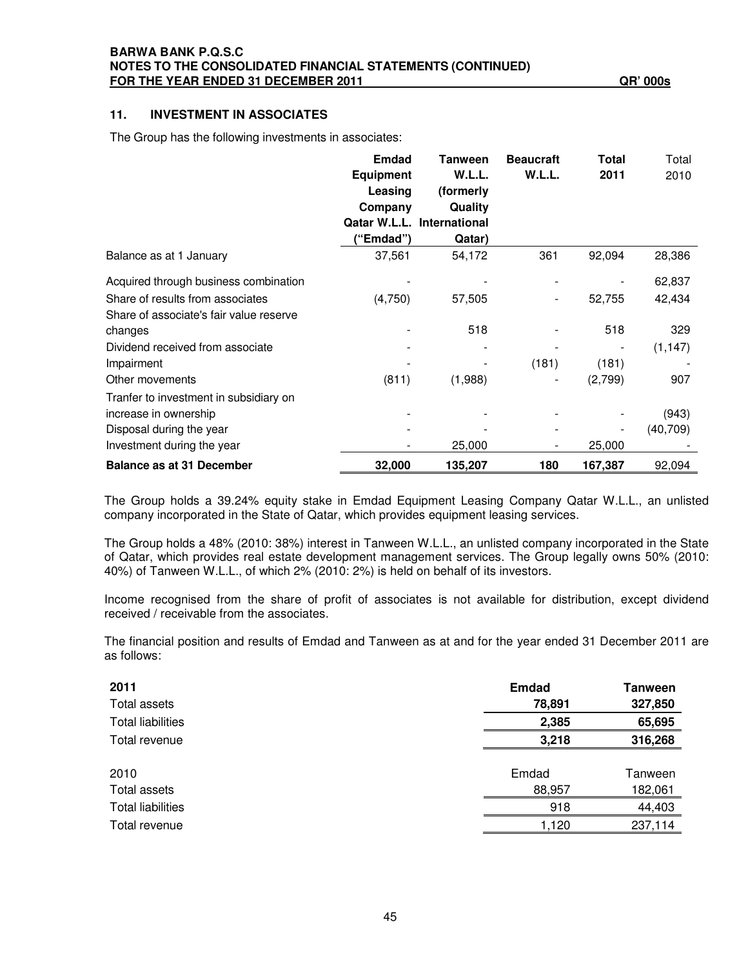### **11. INVESTMENT IN ASSOCIATES**

The Group has the following investments in associates:

|                                                                             | <b>Emdad</b><br><b>Equipment</b><br>Leasing<br>Company<br>Qatar W.L.L.<br>"Emdad") | <b>Tanween</b><br>W.L.L.<br>(formerly<br>Quality<br><b>International</b><br>Qatar) | <b>Beaucraft</b><br>W.L.L. | Total<br>2011 | Total<br>2010 |
|-----------------------------------------------------------------------------|------------------------------------------------------------------------------------|------------------------------------------------------------------------------------|----------------------------|---------------|---------------|
| Balance as at 1 January                                                     | 37,561                                                                             | 54,172                                                                             | 361                        | 92,094        | 28,386        |
| Acquired through business combination                                       |                                                                                    |                                                                                    |                            |               | 62,837        |
| Share of results from associates<br>Share of associate's fair value reserve | (4,750)                                                                            | 57,505                                                                             |                            | 52,755        | 42,434        |
| changes                                                                     |                                                                                    | 518                                                                                |                            | 518           | 329           |
| Dividend received from associate                                            |                                                                                    |                                                                                    |                            |               | (1, 147)      |
| Impairment                                                                  |                                                                                    |                                                                                    | (181)                      | (181)         |               |
| Other movements                                                             | (811)                                                                              | (1,988)                                                                            |                            | (2,799)       | 907           |
| Tranfer to investment in subsidiary on<br>increase in ownership             |                                                                                    |                                                                                    |                            |               | (943)         |
| Disposal during the year<br>Investment during the year                      |                                                                                    | 25,000                                                                             |                            | 25,000        | (40, 709)     |
| <b>Balance as at 31 December</b>                                            | 32,000                                                                             | 135,207                                                                            | 180                        | 167,387       | 92,094        |

The Group holds a 39.24% equity stake in Emdad Equipment Leasing Company Qatar W.L.L., an unlisted company incorporated in the State of Qatar, which provides equipment leasing services.

The Group holds a 48% (2010: 38%) interest in Tanween W.L.L., an unlisted company incorporated in the State of Qatar, which provides real estate development management services. The Group legally owns 50% (2010: 40%) of Tanween W.L.L., of which 2% (2010: 2%) is held on behalf of its investors.

Income recognised from the share of profit of associates is not available for distribution, except dividend received / receivable from the associates.

The financial position and results of Emdad and Tanween as at and for the year ended 31 December 2011 are as follows:

| 2011                     | <b>Emdad</b> | Tanween |
|--------------------------|--------------|---------|
| Total assets             | 78,891       | 327,850 |
| <b>Total liabilities</b> | 2,385        | 65,695  |
| Total revenue            | 3,218        | 316,268 |
|                          |              |         |
| 2010                     | Emdad        | Tanween |
| Total assets             | 88,957       | 182,061 |
| <b>Total liabilities</b> | 918          | 44,403  |
| Total revenue            | 1,120        | 237,114 |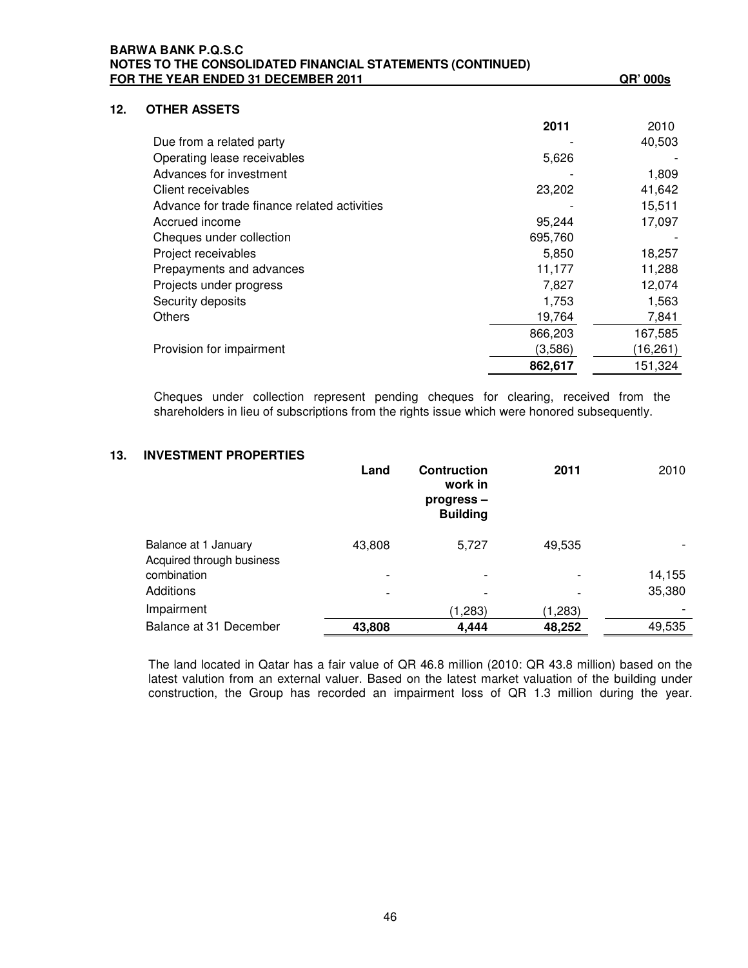|     | NOTES TO THE CONSOLIDATED FINANCIAL STATEMENTS (CONTINUED)<br>FOR THE YEAR ENDED 31 DECEMBER 2011 |         | QR' 000s  |
|-----|---------------------------------------------------------------------------------------------------|---------|-----------|
| 12. | <b>OTHER ASSETS</b>                                                                               |         |           |
|     |                                                                                                   | 2011    | 2010      |
|     | Due from a related party                                                                          |         | 40,503    |
|     | Operating lease receivables                                                                       | 5,626   |           |
|     | Advances for investment                                                                           |         | 1,809     |
|     | Client receivables                                                                                | 23,202  | 41,642    |
|     | Advance for trade finance related activities                                                      |         | 15,511    |
|     | Accrued income                                                                                    | 95,244  | 17,097    |
|     | Cheques under collection                                                                          | 695,760 |           |
|     | Project receivables                                                                               | 5,850   | 18,257    |
|     | Prepayments and advances                                                                          | 11,177  | 11,288    |
|     | Projects under progress                                                                           | 7,827   | 12,074    |
|     | Security deposits                                                                                 | 1,753   | 1,563     |
|     | Others                                                                                            | 19,764  | 7,841     |
|     |                                                                                                   | 866,203 | 167,585   |
|     | Provision for impairment                                                                          | (3,586) | (16, 261) |
|     |                                                                                                   | 862,617 | 151,324   |

Cheques under collection represent pending cheques for clearing, received from the shareholders in lieu of subscriptions from the rights issue which were honored subsequently.

### **13. INVESTMENT PROPERTIES**

|                                                   | Land                     | <b>Contruction</b><br>work in<br>progress-<br><b>Building</b> | 2011    | 2010   |
|---------------------------------------------------|--------------------------|---------------------------------------------------------------|---------|--------|
| Balance at 1 January<br>Acquired through business | 43,808                   | 5,727                                                         | 49,535  |        |
| combination                                       |                          | $\overline{\phantom{a}}$                                      |         | 14,155 |
| Additions                                         | $\overline{\phantom{0}}$ | $\overline{\phantom{0}}$                                      |         | 35,380 |
| Impairment                                        |                          | (1,283)                                                       | (1,283) |        |
| Balance at 31 December                            | 43,808                   | 4,444                                                         | 48,252  | 49,535 |

The land located in Qatar has a fair value of QR 46.8 million (2010: QR 43.8 million) based on the latest valution from an external valuer. Based on the latest market valuation of the building under construction, the Group has recorded an impairment loss of QR 1.3 million during the year.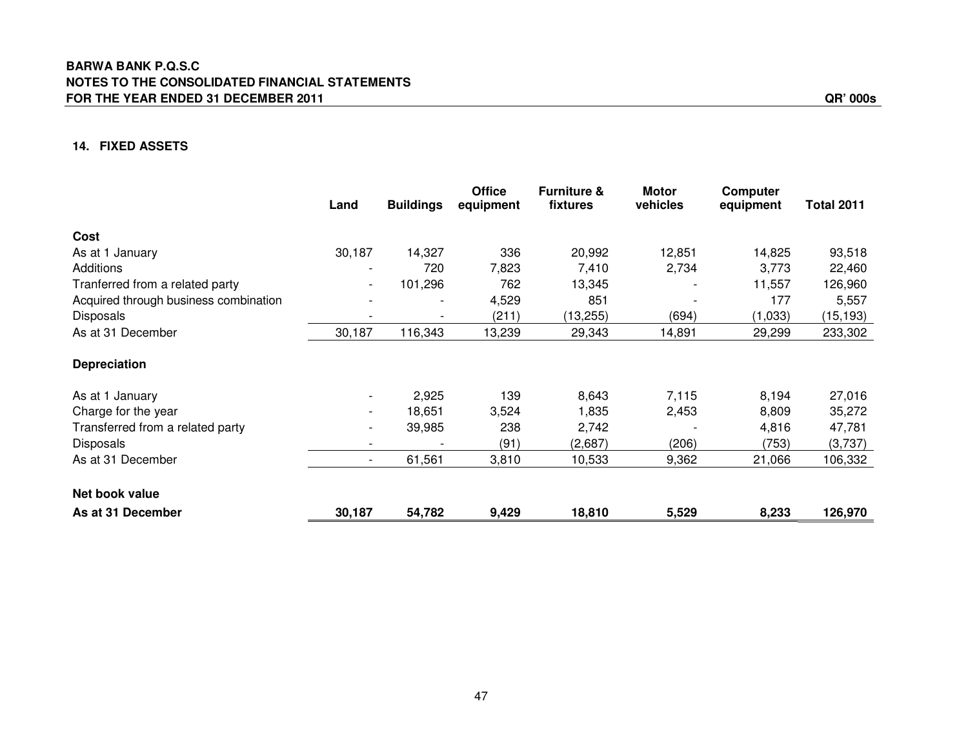### **14. FIXED ASSETS**

|                                       | Land                     | <b>Buildings</b> | <b>Office</b><br>equipment | <b>Furniture &amp;</b><br>fixtures | <b>Motor</b><br>vehicles | Computer<br>equipment | <b>Total 2011</b> |
|---------------------------------------|--------------------------|------------------|----------------------------|------------------------------------|--------------------------|-----------------------|-------------------|
| Cost                                  |                          |                  |                            |                                    |                          |                       |                   |
| As at 1 January                       | 30,187                   | 14,327           | 336                        | 20,992                             | 12,851                   | 14,825                | 93,518            |
| <b>Additions</b>                      |                          | 720              | 7,823                      | 7,410                              | 2,734                    | 3,773                 | 22,460            |
| Tranferred from a related party       | $\sim$                   | 101,296          | 762                        | 13,345                             |                          | 11,557                | 126,960           |
| Acquired through business combination |                          | $\overline{a}$   | 4,529                      | 851                                |                          | 177                   | 5,557             |
| Disposals                             |                          |                  | (211)                      | (13, 255)                          | (694)                    | (1,033)               | (15, 193)         |
| As at 31 December                     | 30,187                   | 116,343          | 13,239                     | 29,343                             | 14,891                   | 29,299                | 233,302           |
| <b>Depreciation</b>                   |                          |                  |                            |                                    |                          |                       |                   |
| As at 1 January                       | $\overline{\phantom{a}}$ | 2,925            | 139                        | 8,643                              | 7,115                    | 8,194                 | 27,016            |
| Charge for the year                   |                          | 18,651           | 3,524                      | 1,835                              | 2,453                    | 8,809                 | 35,272            |
| Transferred from a related party      | $\overline{\phantom{a}}$ | 39,985           | 238                        | 2,742                              |                          | 4,816                 | 47,781            |
| <b>Disposals</b>                      |                          |                  | (91)                       | (2,687)                            | (206)                    | (753)                 | (3,737)           |
| As at 31 December                     | $\sim$                   | 61,561           | 3,810                      | 10,533                             | 9,362                    | 21,066                | 106,332           |
| Net book value                        |                          |                  |                            |                                    |                          |                       |                   |
| As at 31 December                     | 30,187                   | 54,782           | 9,429                      | 18,810                             | 5,529                    | 8,233                 | 126,970           |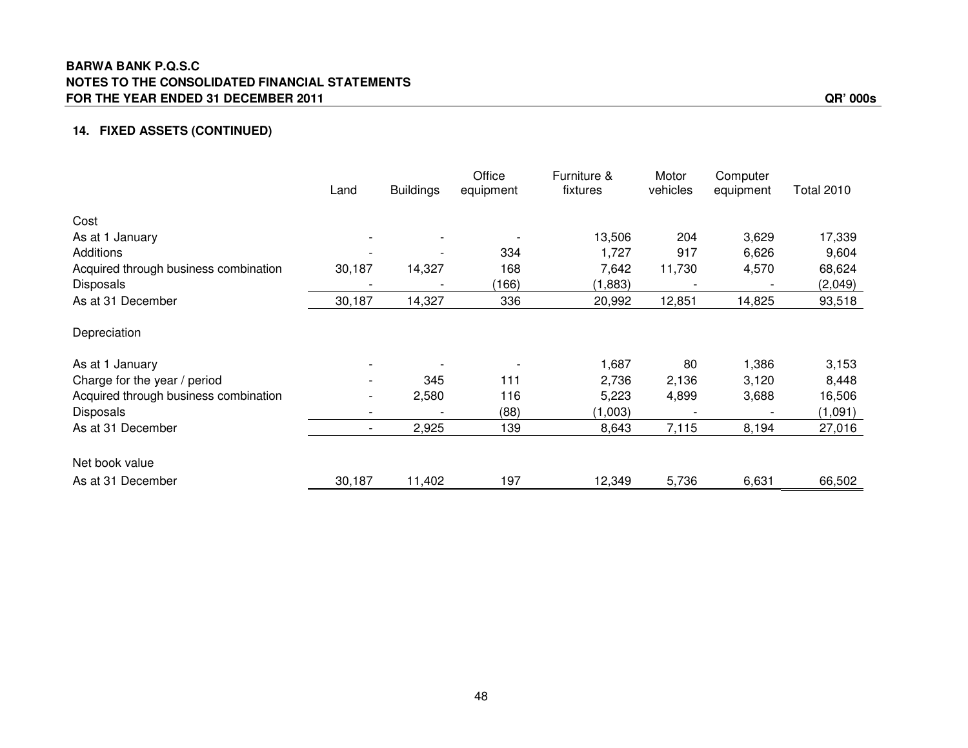### **BARWA BANK P.Q.S.C NOTES TO THE CONSOLIDATED FINANCIAL STATEMENTS FOR THE YEAR ENDED 31 DECEMBER 2011 QR' 000s**

### **14. FIXED ASSETS (CONTINUED)**

|                                       | Land           | <b>Buildings</b> | Office<br>equipment | Furniture &<br>fixtures | Motor<br>vehicles | Computer<br>equipment | <b>Total 2010</b> |
|---------------------------------------|----------------|------------------|---------------------|-------------------------|-------------------|-----------------------|-------------------|
| Cost                                  |                |                  |                     |                         |                   |                       |                   |
| As at 1 January                       |                |                  |                     | 13,506                  | 204               | 3,629                 | 17,339            |
| Additions                             |                |                  | 334                 | 1,727                   | 917               | 6,626                 | 9,604             |
| Acquired through business combination | 30,187         | 14,327           | 168                 | 7,642                   | 11,730            | 4,570                 | 68,624            |
| Disposals                             |                |                  | (166)               | (1,883)                 |                   |                       | (2,049)           |
| As at 31 December                     | 30,187         | 14,327           | 336                 | 20,992                  | 12,851            | 14,825                | 93,518            |
| Depreciation                          |                |                  |                     |                         |                   |                       |                   |
| As at 1 January                       |                |                  |                     | 1,687                   | 80                | 1,386                 | 3,153             |
| Charge for the year / period          |                | 345              | 111                 | 2,736                   | 2,136             | 3,120                 | 8,448             |
| Acquired through business combination |                | 2,580            | 116                 | 5,223                   | 4,899             | 3,688                 | 16,506            |
| Disposals                             |                |                  | (88)                | (1,003)                 |                   |                       | (1,091)           |
| As at 31 December                     | $\blacksquare$ | 2,925            | 139                 | 8,643                   | 7,115             | 8,194                 | 27,016            |
| Net book value                        |                |                  |                     |                         |                   |                       |                   |
| As at 31 December                     | 30,187         | 11,402           | 197                 | 12,349                  | 5,736             | 6,631                 | 66,502            |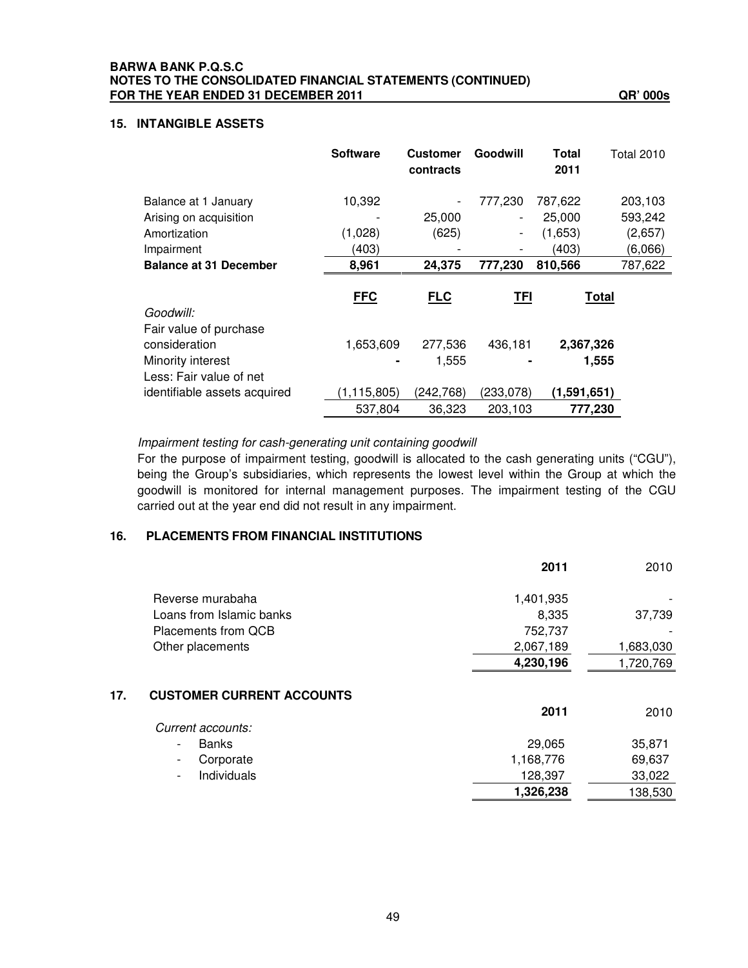### **15. INTANGIBLE ASSETS**

|                                                                                         | <b>Software</b>            | <b>Customer</b><br>contracts | Goodwill                                 | Total<br>2011                         | Total 2010                               |
|-----------------------------------------------------------------------------------------|----------------------------|------------------------------|------------------------------------------|---------------------------------------|------------------------------------------|
| Balance at 1 January<br>Arising on acquisition<br>Amortization<br>Impairment            | 10,392<br>(1,028)<br>(403) | 25,000<br>(625)              | 777,230<br>-<br>$\overline{\phantom{0}}$ | 787,622<br>25,000<br>(1,653)<br>(403) | 203,103<br>593,242<br>(2,657)<br>(6,066) |
| <b>Balance at 31 December</b>                                                           | 8,961                      | 24,375                       | 777,230                                  | 810,566                               | 787,622                                  |
| Goodwill:                                                                               | <b>FFC</b>                 | <b>FLC</b>                   | <b>TFI</b>                               | <b>Total</b>                          |                                          |
| Fair value of purchase<br>consideration<br>Minority interest<br>Less: Fair value of net | 1,653,609                  | 277,536<br>1,555             | 436,181                                  | 2,367,326<br>1,555                    |                                          |
| identifiable assets acquired                                                            | (1, 115, 805)<br>537,804   | (242,768)<br>36,323          | (233,078)<br>203,103                     | (1,591,651)<br>777,230                |                                          |

*Impairment testing for cash-generating unit containing goodwill*

For the purpose of impairment testing, goodwill is allocated to the cash generating units ("CGU"), being the Group's subsidiaries, which represents the lowest level within the Group at which the goodwill is monitored for internal management purposes. The impairment testing of the CGU carried out at the year end did not result in any impairment.

### **16. PLACEMENTS FROM FINANCIAL INSTITUTIONS**

|                                  | 2011      | 2010      |
|----------------------------------|-----------|-----------|
| Reverse murabaha                 | 1,401,935 |           |
| Loans from Islamic banks         | 8,335     | 37,739    |
| Placements from QCB              | 752,737   |           |
| Other placements                 | 2,067,189 | 1,683,030 |
|                                  | 4,230,196 | 1,720,769 |
| <b>CUSTOMER CURRENT ACCOUNTS</b> |           |           |
|                                  | 2011      | 2010      |
| Current accounts:                |           |           |
| <b>Banks</b>                     | 29,065    | 35,871    |
| Corporate                        | 1,168,776 | 69,637    |
| Individuals                      | 128,397   | 33,022    |
|                                  | 1,326,238 | 138,530   |
|                                  |           |           |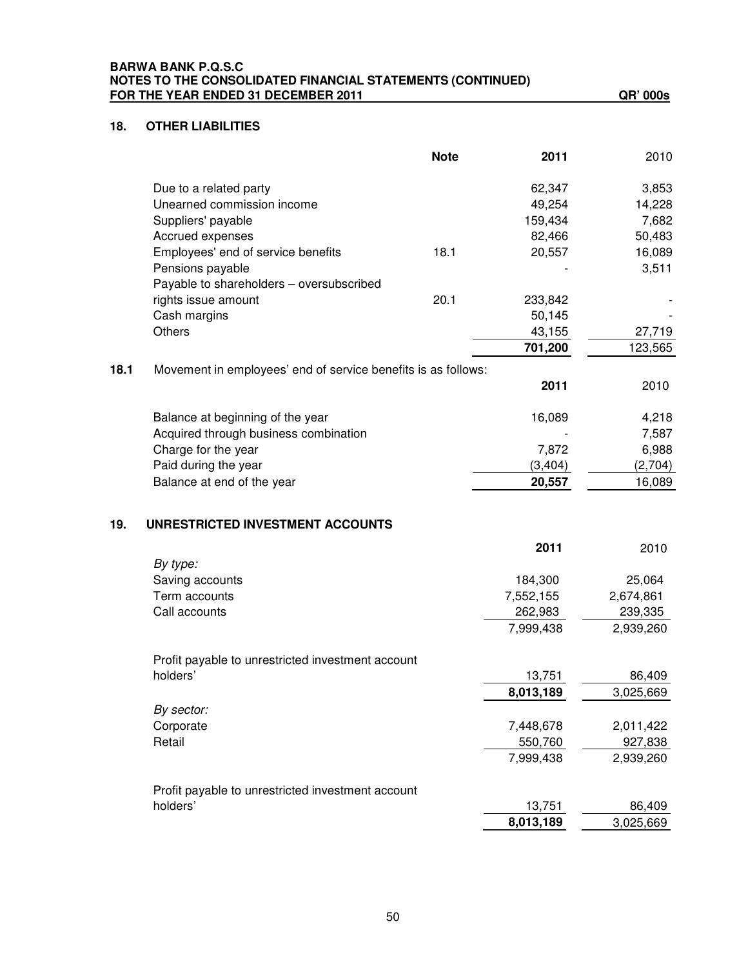### **18. OTHER LIABILITIES**

|      |                                                               | <b>Note</b> | 2011      | 2010      |
|------|---------------------------------------------------------------|-------------|-----------|-----------|
|      | Due to a related party                                        |             | 62,347    | 3,853     |
|      | Unearned commission income                                    |             | 49,254    | 14,228    |
|      | Suppliers' payable                                            |             | 159,434   | 7,682     |
|      | Accrued expenses                                              |             | 82,466    | 50,483    |
|      | Employees' end of service benefits                            | 18.1        | 20,557    | 16,089    |
|      | Pensions payable                                              |             |           | 3,511     |
|      | Payable to shareholders - oversubscribed                      |             |           |           |
|      | rights issue amount                                           | 20.1        | 233,842   |           |
|      | Cash margins                                                  |             | 50,145    |           |
|      | <b>Others</b>                                                 |             | 43,155    | 27,719    |
|      |                                                               |             | 701,200   | 123,565   |
| 18.1 | Movement in employees' end of service benefits is as follows: |             |           |           |
|      |                                                               |             | 2011      | 2010      |
|      | Balance at beginning of the year                              |             | 16,089    | 4,218     |
|      | Acquired through business combination                         |             |           | 7,587     |
|      | Charge for the year                                           |             | 7,872     | 6,988     |
|      | Paid during the year                                          |             | (3, 404)  | (2,704)   |
|      | Balance at end of the year                                    |             | 20,557    | 16,089    |
| 19.  | UNRESTRICTED INVESTMENT ACCOUNTS                              |             |           |           |
|      |                                                               |             | 2011      | 2010      |
|      | By type:<br>Saving accounts                                   |             | 184,300   | 25,064    |
|      | Term accounts                                                 |             | 7,552,155 | 2,674,861 |
|      | Call accounts                                                 |             | 262,983   | 239,335   |
|      |                                                               |             | 7,999,438 | 2,939,260 |
|      |                                                               |             |           |           |
|      | Profit payable to unrestricted investment account             |             |           |           |
|      | holders'                                                      |             | 13,751    | 86,409    |
|      |                                                               |             | 8,013,189 | 3,025,669 |
|      | By sector:                                                    |             |           |           |
|      | Corporate                                                     |             | 7,448,678 | 2,011,422 |
|      | Retail                                                        |             | 550,760   | 927,838   |
|      |                                                               |             | 7,999,438 | 2,939,260 |
|      | Profit payable to unrestricted investment account             |             |           |           |
|      | holders'                                                      |             | 13,751    | 86,409    |
|      |                                                               |             | 8,013,189 | 3,025,669 |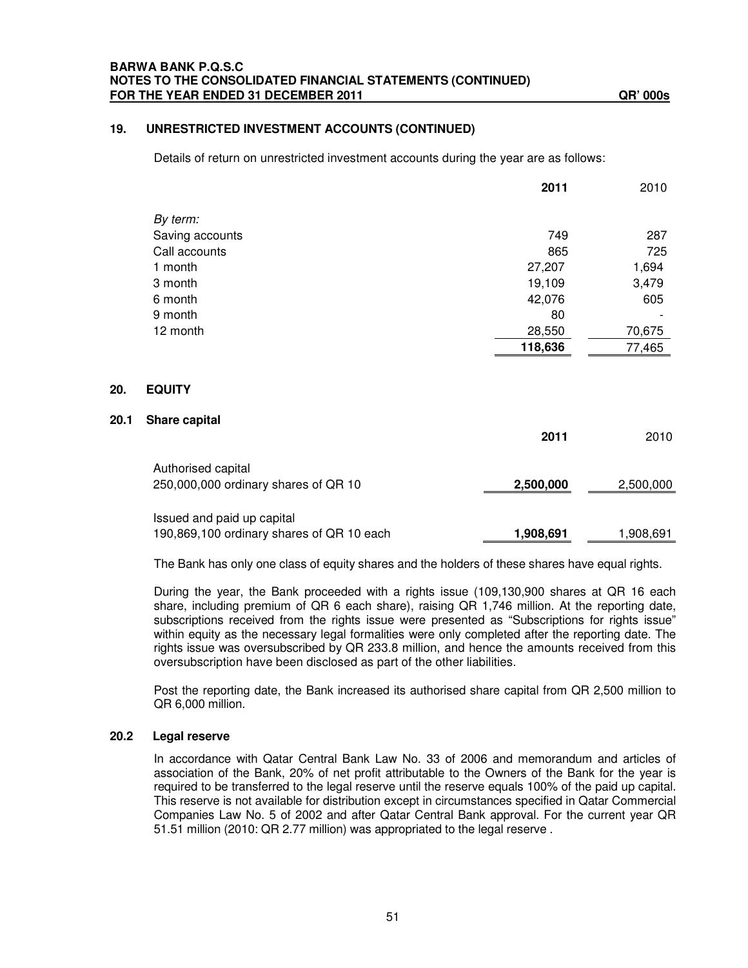#### **19. UNRESTRICTED INVESTMENT ACCOUNTS (CONTINUED)**

Details of return on unrestricted investment accounts during the year are as follows:

|                 | 2011    | 2010   |
|-----------------|---------|--------|
| By term:        |         |        |
| Saving accounts | 749     | 287    |
| Call accounts   | 865     | 725    |
| 1 month         | 27,207  | 1,694  |
| 3 month         | 19,109  | 3,479  |
| 6 month         | 42,076  | 605    |
| 9 month         | 80      |        |
| 12 month        | 28,550  | 70,675 |
|                 | 118,636 | 77,465 |
|                 |         |        |
| <b>EQUITY</b>   |         |        |
| Share capital   |         |        |

|                                           | 2011      | 2010      |
|-------------------------------------------|-----------|-----------|
| Authorised capital                        |           |           |
| 250,000,000 ordinary shares of QR 10      | 2,500,000 | 2,500,000 |
|                                           |           |           |
| Issued and paid up capital                |           |           |
| 190,869,100 ordinary shares of QR 10 each | 1,908,691 | 1,908,691 |

The Bank has only one class of equity shares and the holders of these shares have equal rights.

During the year, the Bank proceeded with a rights issue (109,130,900 shares at QR 16 each share, including premium of QR 6 each share), raising QR 1,746 million. At the reporting date, subscriptions received from the rights issue were presented as "Subscriptions for rights issue" within equity as the necessary legal formalities were only completed after the reporting date. The rights issue was oversubscribed by QR 233.8 million, and hence the amounts received from this oversubscription have been disclosed as part of the other liabilities.

Post the reporting date, the Bank increased its authorised share capital from QR 2,500 million to QR 6,000 million.

#### **20.2 Legal reserve**

**20.** 

**20.1 Share capital**

In accordance with Qatar Central Bank Law No. 33 of 2006 and memorandum and articles of association of the Bank, 20% of net profit attributable to the Owners of the Bank for the year is required to be transferred to the legal reserve until the reserve equals 100% of the paid up capital. This reserve is not available for distribution except in circumstances specified in Qatar Commercial Companies Law No. 5 of 2002 and after Qatar Central Bank approval. For the current year QR 51.51 million (2010: QR 2.77 million) was appropriated to the legal reserve .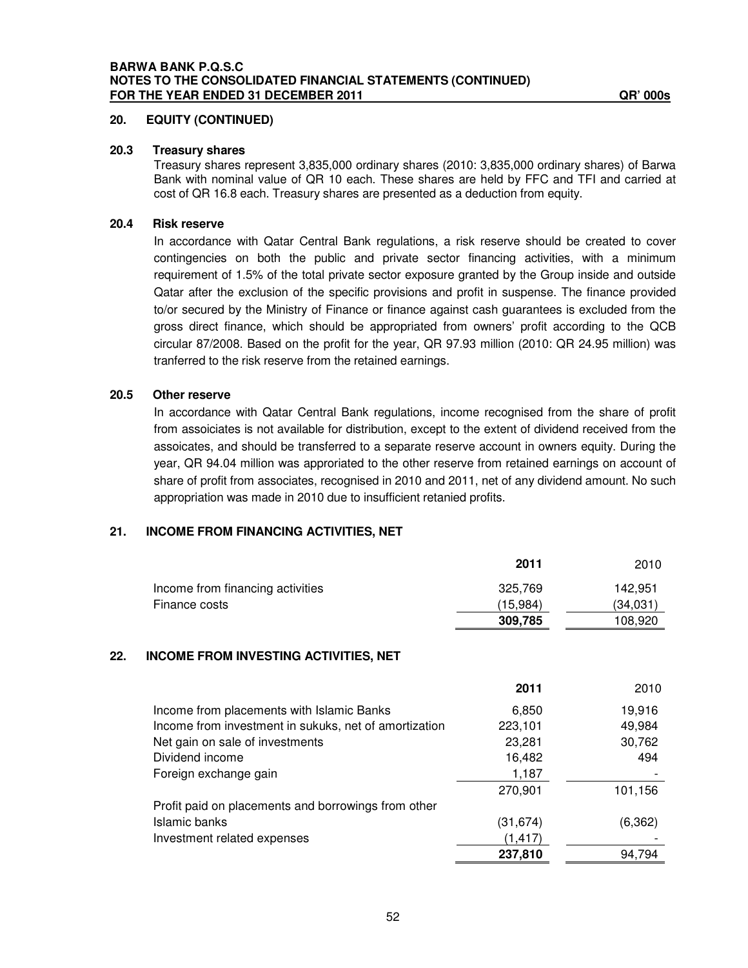### **20. EQUITY (CONTINUED)**

### **20.3 Treasury shares**

Treasury shares represent 3,835,000 ordinary shares (2010: 3,835,000 ordinary shares) of Barwa Bank with nominal value of QR 10 each. These shares are held by FFC and TFI and carried at cost of QR 16.8 each. Treasury shares are presented as a deduction from equity.

### **20.4 Risk reserve**

In accordance with Qatar Central Bank regulations, a risk reserve should be created to cover contingencies on both the public and private sector financing activities, with a minimum requirement of 1.5% of the total private sector exposure granted by the Group inside and outside Qatar after the exclusion of the specific provisions and profit in suspense. The finance provided to/or secured by the Ministry of Finance or finance against cash guarantees is excluded from the gross direct finance, which should be appropriated from owners' profit according to the QCB circular 87/2008. Based on the profit for the year, QR 97.93 million (2010: QR 24.95 million) was tranferred to the risk reserve from the retained earnings.

#### **20.5 Other reserve**

In accordance with Qatar Central Bank regulations, income recognised from the share of profit from assoiciates is not available for distribution, except to the extent of dividend received from the assoicates, and should be transferred to a separate reserve account in owners equity. During the year, QR 94.04 million was approriated to the other reserve from retained earnings on account of share of profit from associates, recognised in 2010 and 2011, net of any dividend amount. No such appropriation was made in 2010 due to insufficient retanied profits.

### **21. INCOME FROM FINANCING ACTIVITIES, NET**

|     |                                                       | 2011      | 2010     |
|-----|-------------------------------------------------------|-----------|----------|
|     | Income from financing activities                      | 325,769   | 142,951  |
|     | Finance costs                                         | (15,984)  | (34,031) |
|     |                                                       | 309,785   | 108,920  |
| 22. | <b>INCOME FROM INVESTING ACTIVITIES, NET</b>          |           |          |
|     |                                                       | 2011      | 2010     |
|     | Income from placements with Islamic Banks             | 6,850     | 19,916   |
|     | Income from investment in sukuks, net of amortization | 223,101   | 49,984   |
|     | Net gain on sale of investments                       | 23,281    | 30,762   |
|     | Dividend income                                       | 16,482    | 494      |
|     | Foreign exchange gain                                 | 1,187     |          |
|     |                                                       | 270,901   | 101,156  |
|     | Profit paid on placements and borrowings from other   |           |          |
|     | Islamic banks                                         | (31, 674) | (6, 362) |
|     | Investment related expenses                           | (1, 417)  |          |
|     |                                                       | 237,810   | 94,794   |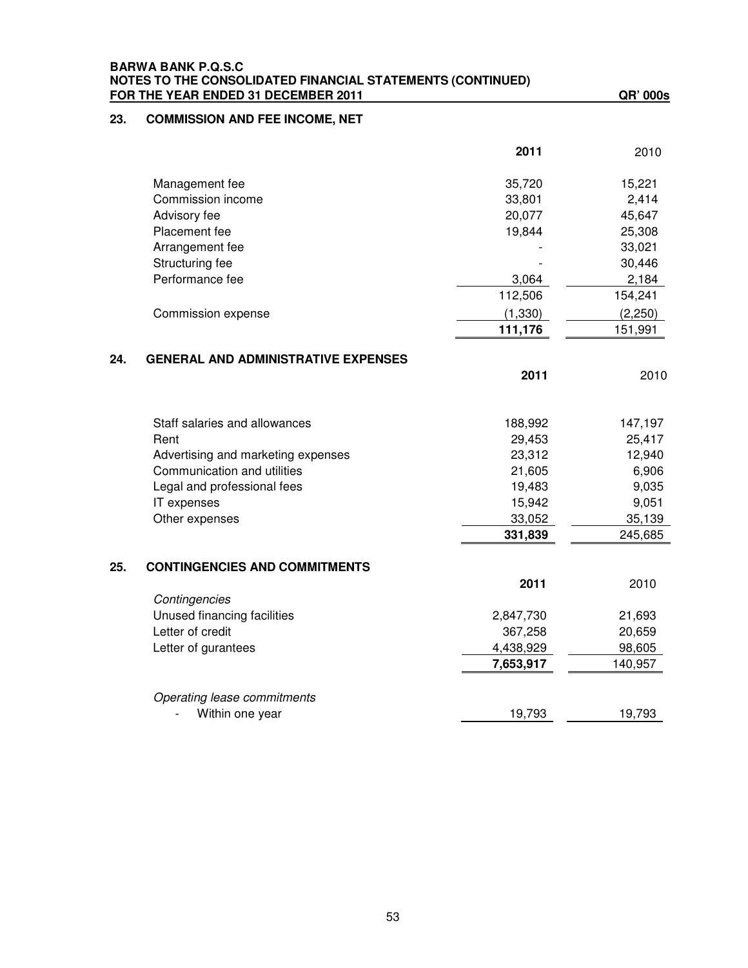|     | <b>BARWA BANK P.Q.S.C</b><br>NOTES TO THE CONSOLIDATED FINANCIAL STATEMENTS (CONTINUED) |           |          |
|-----|-----------------------------------------------------------------------------------------|-----------|----------|
|     | FOR THE YEAR ENDED 31 DECEMBER 2011                                                     |           | QR' 000s |
| 23. | <b>COMMISSION AND FEE INCOME, NET</b>                                                   |           |          |
|     |                                                                                         | 2011      | 2010     |
|     | Management fee                                                                          | 35,720    | 15,221   |
|     | Commission income                                                                       | 33,801    | 2,414    |
|     | Advisory fee                                                                            | 20,077    | 45,647   |
|     | Placement fee                                                                           | 19,844    | 25,308   |
|     | Arrangement fee                                                                         |           | 33,021   |
|     | Structuring fee                                                                         |           | 30,446   |
|     | Performance fee                                                                         | 3,064     | 2,184    |
|     |                                                                                         | 112,506   | 154,241  |
|     | Commission expense                                                                      | (1,330)   | (2,250)  |
|     |                                                                                         | 111,176   | 151,991  |
|     |                                                                                         |           |          |
| 24. | <b>GENERAL AND ADMINISTRATIVE EXPENSES</b>                                              |           |          |
|     |                                                                                         | 2011      | 2010     |
|     | Staff salaries and allowances                                                           | 188,992   | 147,197  |
|     | Rent                                                                                    | 29,453    | 25,417   |
|     | Advertising and marketing expenses                                                      | 23,312    | 12,940   |
|     | Communication and utilities                                                             | 21,605    | 6,906    |
|     | Legal and professional fees                                                             | 19,483    | 9,035    |
|     | IT expenses                                                                             | 15,942    | 9,051    |
|     | Other expenses                                                                          | 33,052    | 35,139   |
|     |                                                                                         | 331,839   | 245,685  |
| 25. | <b>CONTINGENCIES AND COMMITMENTS</b>                                                    |           |          |
|     |                                                                                         | 2011      | 2010     |
|     | Contingencies                                                                           |           |          |
|     | Unused financing facilities                                                             | 2,847,730 | 21,693   |
|     | Letter of credit                                                                        | 367,258   | 20,659   |
|     | Letter of gurantees                                                                     | 4,438,929 | 98,605   |
|     |                                                                                         | 7,653,917 | 140,957  |
|     |                                                                                         |           |          |
|     |                                                                                         |           |          |

| Operating lease commitments |        |        |
|-----------------------------|--------|--------|
| - Within one year           | 19.793 | 19.793 |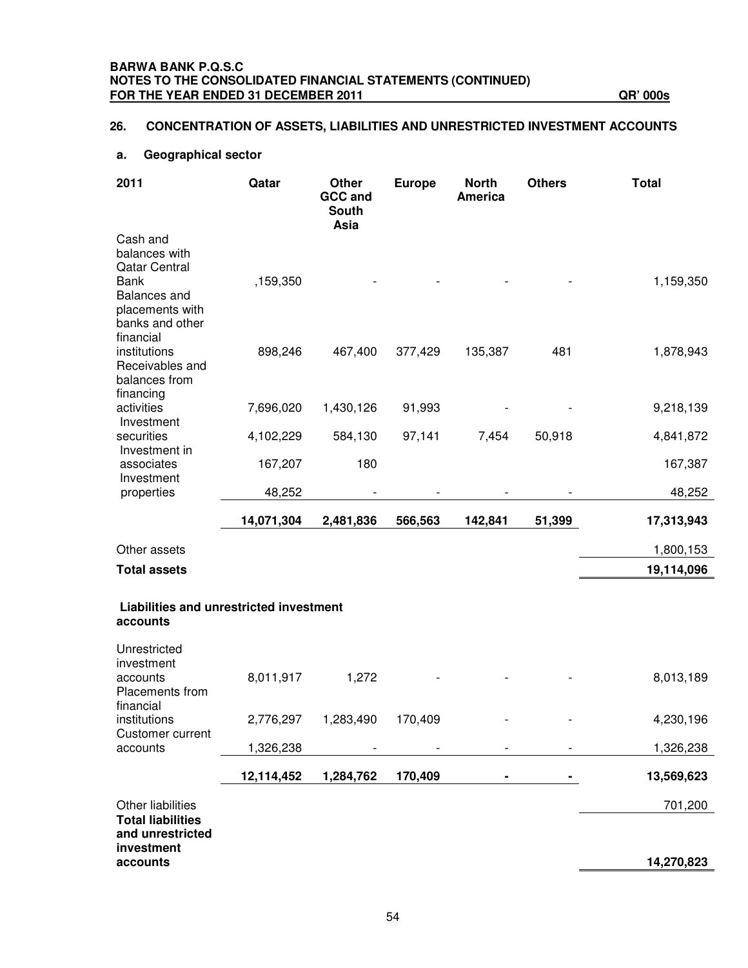### **BARWA BANK P.Q.S.C NOTES TO THE CONSOLIDATED FINANCIAL STATEMENTS (CONTINUED) FOR THE YEAR ENDED 31 DECEMBER 2011 QR' 000s**

### **26. CONCENTRATION OF ASSETS, LIABILITIES AND UNRESTRICTED INVESTMENT ACCOUNTS**

### **a. Geographical sector**

| 2011                                                                                  | Qatar      | Other<br><b>GCC and</b><br><b>South</b><br>Asia | <b>Europe</b> | <b>North</b><br><b>America</b> | <b>Others</b> | <b>Total</b> |
|---------------------------------------------------------------------------------------|------------|-------------------------------------------------|---------------|--------------------------------|---------------|--------------|
| Cash and<br>balances with<br><b>Qatar Central</b>                                     |            |                                                 |               |                                |               |              |
| <b>Bank</b><br><b>Balances</b> and<br>placements with<br>banks and other<br>financial | ,159,350   |                                                 |               |                                |               | 1,159,350    |
| institutions<br>Receivables and<br>balances from<br>financing                         | 898,246    | 467,400                                         | 377,429       | 135,387                        | 481           | 1,878,943    |
| activities<br>Investment                                                              | 7,696,020  | 1,430,126                                       | 91,993        |                                |               | 9,218,139    |
| securities<br>Investment in                                                           | 4,102,229  | 584,130                                         | 97,141        | 7,454                          | 50,918        | 4,841,872    |
| associates<br>Investment                                                              | 167,207    | 180                                             |               |                                |               | 167,387      |
| properties                                                                            | 48,252     |                                                 |               |                                |               | 48,252       |
|                                                                                       | 14,071,304 | 2,481,836                                       | 566,563       | 142,841                        | 51,399        | 17,313,943   |
| Other assets                                                                          |            |                                                 |               |                                |               | 1,800,153    |
| <b>Total assets</b>                                                                   |            |                                                 |               |                                |               | 19,114,096   |
| Liabilities and unrestricted investment<br>accounts                                   |            |                                                 |               |                                |               |              |
| Unrestricted                                                                          |            |                                                 |               |                                |               |              |
| investment<br>accounts<br>Placements from<br>financial                                | 8,011,917  | 1,272                                           |               |                                |               | 8,013,189    |
| institutions<br>Customer current                                                      | 2,776,297  | 1,283,490                                       | 170,409       |                                |               | 4,230,196    |
| accounts                                                                              | 1,326,238  |                                                 |               |                                |               | 1,326,238    |
|                                                                                       | 12,114,452 | 1,284,762                                       | 170,409       |                                |               | 13,569,623   |
| Other liabilities                                                                     |            |                                                 |               |                                |               | 701,200      |
| <b>Total liabilities</b><br>and unrestricted<br>investment<br>accounts                |            |                                                 |               |                                |               | 14,270,823   |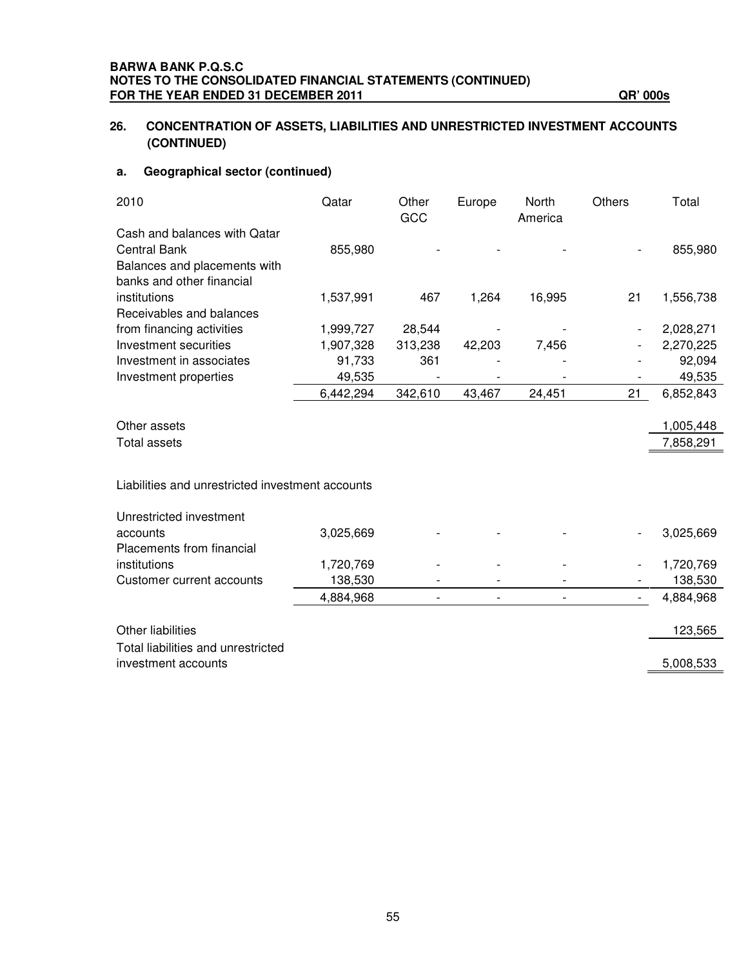### **26. CONCENTRATION OF ASSETS, LIABILITIES AND UNRESTRICTED INVESTMENT ACCOUNTS (CONTINUED)**

### **a. Geographical sector (continued)**

| 2010                                             | Qatar     | Other<br>GCC | Europe                   | North<br>America | <b>Others</b>            | Total     |
|--------------------------------------------------|-----------|--------------|--------------------------|------------------|--------------------------|-----------|
| Cash and balances with Qatar                     |           |              |                          |                  |                          |           |
| <b>Central Bank</b>                              | 855,980   |              |                          |                  |                          | 855,980   |
| Balances and placements with                     |           |              |                          |                  |                          |           |
| banks and other financial                        |           |              |                          |                  |                          |           |
| institutions                                     | 1,537,991 | 467          | 1,264                    | 16,995           | 21                       | 1,556,738 |
| Receivables and balances                         |           |              |                          |                  |                          |           |
| from financing activities                        | 1,999,727 | 28,544       |                          |                  |                          | 2,028,271 |
| Investment securities                            | 1,907,328 | 313,238      | 42,203                   | 7,456            |                          | 2,270,225 |
| Investment in associates                         | 91,733    | 361          |                          |                  |                          | 92,094    |
| Investment properties                            | 49,535    |              |                          |                  |                          | 49,535    |
|                                                  | 6,442,294 | 342,610      | 43,467                   | 24,451           | 21                       | 6,852,843 |
|                                                  |           |              |                          |                  |                          |           |
| Other assets                                     |           |              |                          |                  |                          | 1,005,448 |
| <b>Total assets</b>                              |           |              |                          |                  |                          | 7,858,291 |
| Liabilities and unrestricted investment accounts |           |              |                          |                  |                          |           |
| Unrestricted investment                          |           |              |                          |                  |                          |           |
| accounts                                         | 3,025,669 |              |                          |                  |                          | 3,025,669 |
| Placements from financial                        |           |              |                          |                  |                          |           |
| institutions                                     | 1,720,769 |              |                          |                  |                          | 1,720,769 |
| Customer current accounts                        | 138,530   |              |                          |                  |                          | 138,530   |
|                                                  | 4,884,968 |              | $\overline{\phantom{0}}$ |                  | $\overline{\phantom{a}}$ | 4,884,968 |
| Other liabilities                                |           |              |                          |                  |                          | 123,565   |
| Total liabilities and unrestricted               |           |              |                          |                  |                          |           |
| investment accounts                              |           |              |                          |                  |                          | 5,008,533 |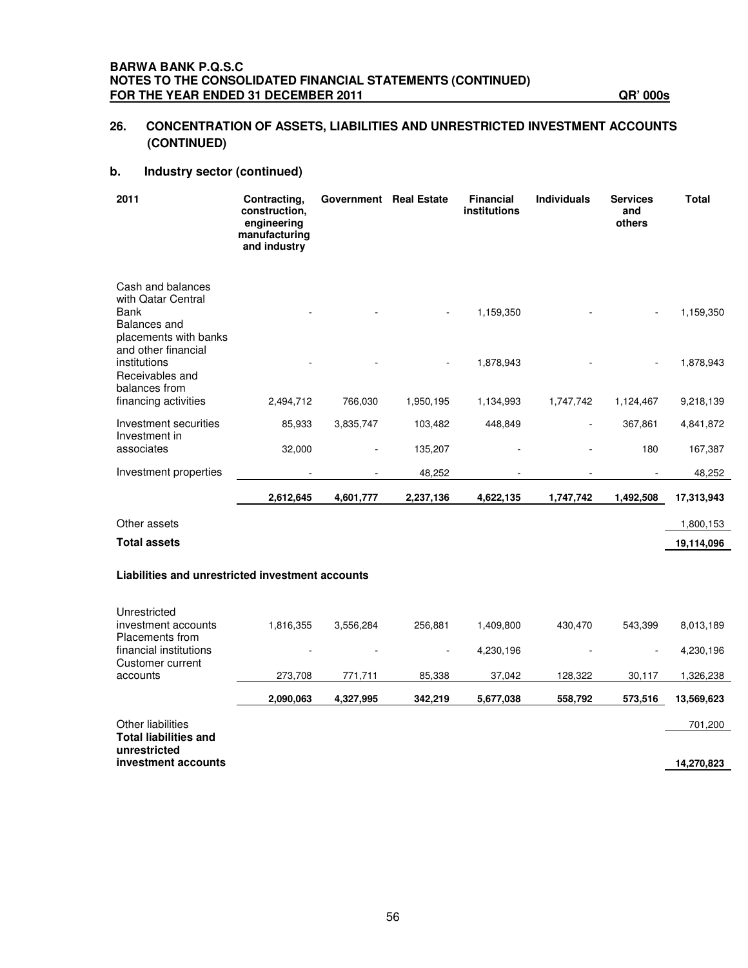### **26. CONCENTRATION OF ASSETS, LIABILITIES AND UNRESTRICTED INVESTMENT ACCOUNTS (CONTINUED)**

### **b. Industry sector (continued)**

| 2011                                                                                                   | Contracting,<br>construction,<br>engineering<br>manufacturing<br>and industry | Government Real Estate |           | <b>Financial</b><br>institutions | <b>Individuals</b> | <b>Services</b><br>and<br>others | <b>Total</b> |
|--------------------------------------------------------------------------------------------------------|-------------------------------------------------------------------------------|------------------------|-----------|----------------------------------|--------------------|----------------------------------|--------------|
| Cash and balances<br>with Qatar Central<br><b>Bank</b><br><b>Balances</b> and<br>placements with banks |                                                                               |                        |           | 1,159,350                        |                    |                                  | 1,159,350    |
| and other financial<br>institutions<br>Receivables and<br>balances from                                |                                                                               |                        |           | 1,878,943                        |                    |                                  | 1,878,943    |
| financing activities                                                                                   | 2,494,712                                                                     | 766,030                | 1,950,195 | 1,134,993                        | 1,747,742          | 1,124,467                        | 9,218,139    |
| Investment securities<br>Investment in                                                                 | 85,933                                                                        | 3,835,747              | 103,482   | 448,849                          |                    | 367,861                          | 4,841,872    |
| associates                                                                                             | 32,000                                                                        |                        | 135,207   |                                  |                    | 180                              | 167,387      |
| Investment properties                                                                                  |                                                                               |                        | 48,252    |                                  |                    |                                  | 48,252       |
|                                                                                                        | 2,612,645                                                                     | 4,601,777              | 2,237,136 | 4,622,135                        | 1,747,742          | 1,492,508                        | 17,313,943   |
| Other assets                                                                                           |                                                                               |                        |           |                                  |                    |                                  | 1,800,153    |
| <b>Total assets</b>                                                                                    |                                                                               |                        |           |                                  |                    |                                  | 19,114,096   |
| Liabilities and unrestricted investment accounts                                                       |                                                                               |                        |           |                                  |                    |                                  |              |
| Unrestricted<br>investment accounts<br>Placements from                                                 | 1,816,355                                                                     | 3,556,284              | 256,881   | 1,409,800                        | 430,470            | 543,399                          | 8,013,189    |
| financial institutions<br>Customer current                                                             |                                                                               |                        |           | 4,230,196                        |                    |                                  | 4,230,196    |
| accounts                                                                                               | 273,708                                                                       | 771,711                | 85,338    | 37,042                           | 128,322            | 30,117                           | 1,326,238    |
|                                                                                                        | 2,090,063                                                                     | 4,327,995              | 342,219   | 5,677,038                        | 558,792            | 573,516                          | 13,569,623   |
|                                                                                                        |                                                                               |                        |           |                                  |                    |                                  |              |

Other liabilities 701,200 **Total liabilities and unrestricted investment accounts 14,270,823**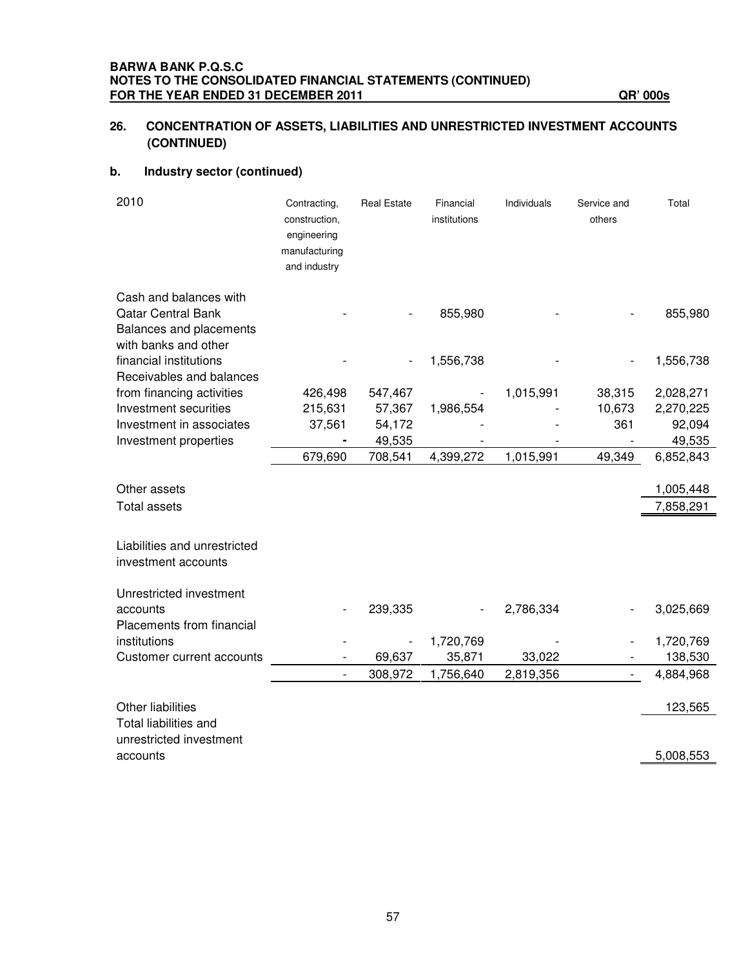### **26. CONCENTRATION OF ASSETS, LIABILITIES AND UNRESTRICTED INVESTMENT ACCOUNTS (CONTINUED)**

### **b. Industry sector (continued)**

| 2010                                                                                                   | Contracting,<br>construction,<br>engineering<br>manufacturing<br>and industry | <b>Real Estate</b> | Financial<br>institutions | Individuals | Service and<br>others    | Total                  |
|--------------------------------------------------------------------------------------------------------|-------------------------------------------------------------------------------|--------------------|---------------------------|-------------|--------------------------|------------------------|
| Cash and balances with<br><b>Qatar Central Bank</b><br>Balances and placements<br>with banks and other |                                                                               |                    | 855,980                   |             |                          | 855,980                |
| financial institutions<br>Receivables and balances                                                     |                                                                               |                    | 1,556,738                 |             |                          | 1,556,738              |
| from financing activities                                                                              | 426,498                                                                       | 547,467            |                           | 1,015,991   | 38,315                   | 2,028,271              |
| Investment securities                                                                                  | 215,631                                                                       | 57,367             | 1,986,554                 |             | 10,673                   | 2,270,225              |
| Investment in associates                                                                               | 37,561                                                                        | 54,172             |                           |             | 361                      | 92,094                 |
| Investment properties                                                                                  |                                                                               | 49,535             |                           |             |                          | 49,535                 |
|                                                                                                        | 679,690                                                                       | 708,541            | 4,399,272                 | 1,015,991   | 49,349                   | 6,852,843              |
| Other assets<br><b>Total assets</b>                                                                    |                                                                               |                    |                           |             |                          | 1,005,448<br>7,858,291 |
| Liabilities and unrestricted<br>investment accounts                                                    |                                                                               |                    |                           |             |                          |                        |
| Unrestricted investment                                                                                |                                                                               |                    |                           |             |                          |                        |
| accounts<br>Placements from financial                                                                  |                                                                               | 239,335            |                           | 2,786,334   |                          | 3,025,669              |
| institutions                                                                                           |                                                                               |                    | 1,720,769                 |             |                          | 1,720,769              |
| Customer current accounts                                                                              |                                                                               | 69,637             | 35,871                    | 33,022      |                          | 138,530                |
|                                                                                                        |                                                                               | 308,972            | 1,756,640                 | 2,819,356   | $\overline{\phantom{a}}$ | 4,884,968              |
| Other liabilities<br>Total liabilities and                                                             |                                                                               |                    |                           |             |                          | 123,565                |
| unrestricted investment<br>accounts                                                                    |                                                                               |                    |                           |             |                          | 5,008,553              |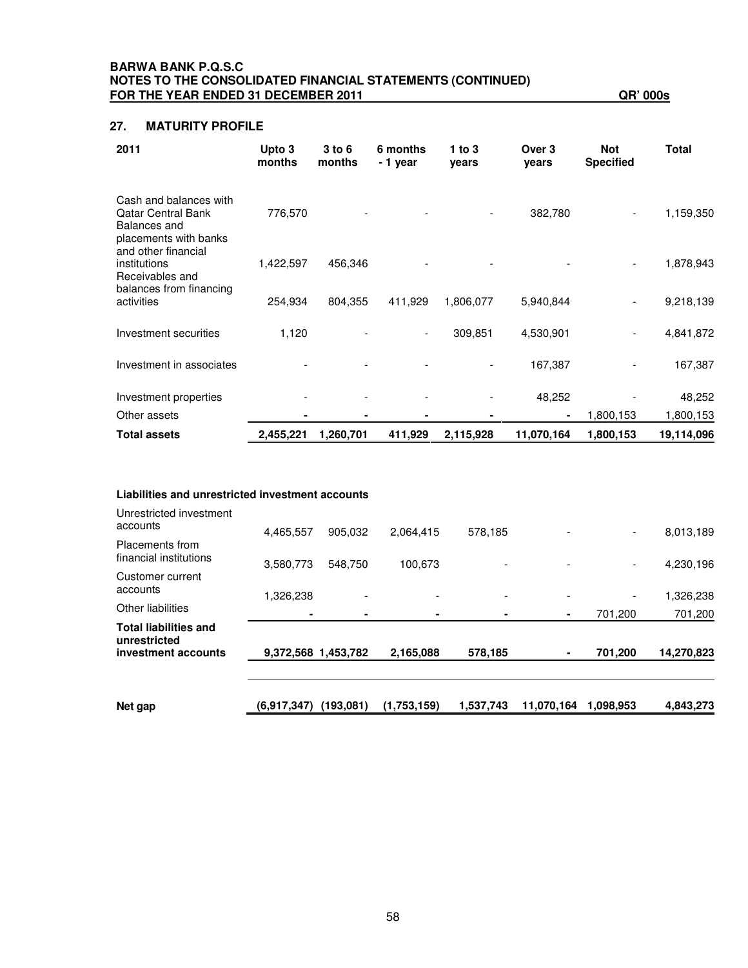### **BARWA BANK P.Q.S.C NOTES TO THE CONSOLIDATED FINANCIAL STATEMENTS (CONTINUED) FOR THE YEAR ENDED 31 DECEMBER 2011 QR' 000s**

### **27. MATURITY PROFILE**

| 2011                                                                                                                | Upto 3<br>months | $3$ to $6$<br>months | 6 months<br>- 1 year | $1$ to $3$<br>years | Over 3<br>years | <b>Not</b><br><b>Specified</b> | Total      |
|---------------------------------------------------------------------------------------------------------------------|------------------|----------------------|----------------------|---------------------|-----------------|--------------------------------|------------|
| Cash and balances with<br><b>Qatar Central Bank</b><br>Balances and<br>placements with banks<br>and other financial | 776,570          |                      |                      |                     | 382,780         | $\overline{\phantom{a}}$       | 1,159,350  |
| institutions<br>Receivables and<br>balances from financing                                                          | 1,422,597        | 456,346              |                      |                     |                 |                                | 1,878,943  |
| activities                                                                                                          | 254,934          | 804,355              | 411,929              | 1,806,077           | 5,940,844       |                                | 9,218,139  |
| Investment securities                                                                                               | 1,120            |                      |                      | 309,851             | 4,530,901       |                                | 4,841,872  |
| Investment in associates                                                                                            |                  |                      |                      |                     | 167,387         |                                | 167,387    |
| Investment properties                                                                                               |                  |                      |                      |                     | 48,252          |                                | 48,252     |
| Other assets                                                                                                        |                  |                      |                      |                     | $\blacksquare$  | 1,800,153                      | 1,800,153  |
| <b>Total assets</b>                                                                                                 | 2,455,221        | 1,260,701            | 411,929              | 2,115,928           | 11,070,164      | 1,800,153                      | 19,114,096 |

### **Liabilities and unrestricted investment accounts**

| Net gap                                                             | (6.917.347)         | (193.081)                | (1,753,159) | 1,537,743                | 11,070,164     | 1.098.953                    | 4,843,273  |
|---------------------------------------------------------------------|---------------------|--------------------------|-------------|--------------------------|----------------|------------------------------|------------|
| <b>Total liabilities and</b><br>unrestricted<br>investment accounts | 9,372,568 1,453,782 |                          | 2,165,088   | 578,185                  | $\blacksquare$ | 701,200                      | 14,270,823 |
| <b>Other liabilities</b>                                            | $\blacksquare$      |                          |             | ٠                        | ٠              | 701,200                      | 701,200    |
| Customer current<br>accounts                                        | 1,326,238           | $\overline{\phantom{a}}$ |             | $\overline{\phantom{a}}$ |                | $\qquad \qquad \blacksquare$ | 1,326,238  |
| Placements from<br>financial institutions                           | 3,580,773           | 548.750                  | 100,673     | $\overline{\phantom{a}}$ |                | $\overline{\phantom{a}}$     | 4,230,196  |
| Unrestricted investment<br>accounts                                 | 4,465,557           | 905.032                  | 2,064,415   | 578,185                  |                | -                            | 8,013,189  |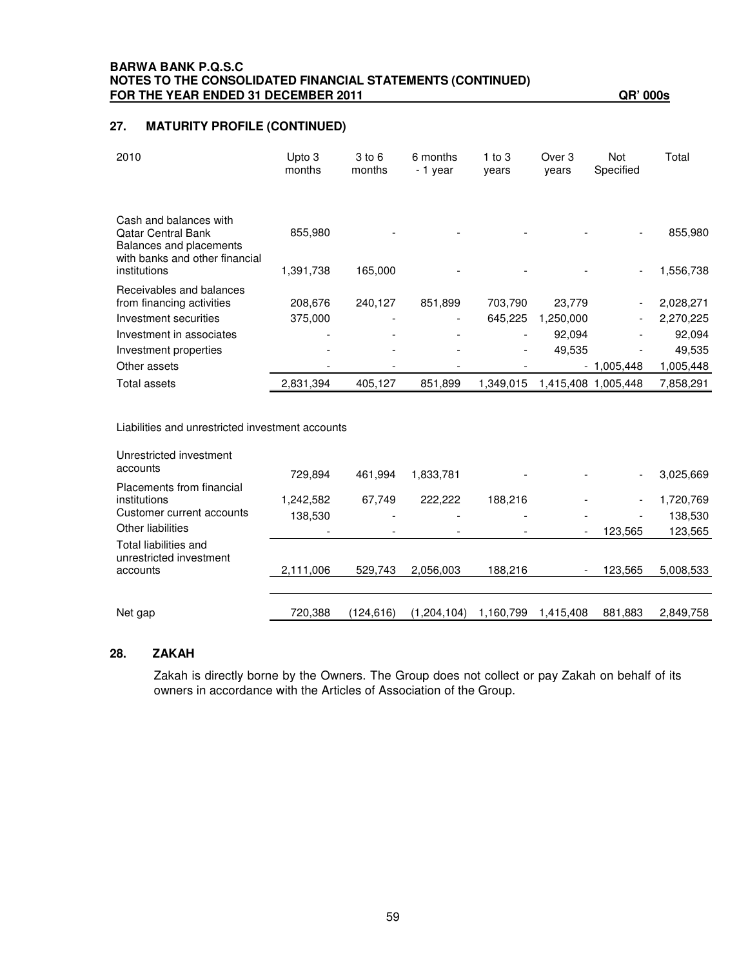### **BARWA BANK P.Q.S.C NOTES TO THE CONSOLIDATED FINANCIAL STATEMENTS (CONTINUED) FOR THE YEAR ENDED 31 DECEMBER 2011 QR' 000s**

### **27. MATURITY PROFILE (CONTINUED)**

| 2010                                                                           | Upto 3<br>months | 3 to 6<br>months | 6 months<br>- 1 year | 1 to $3$<br>years        | Over 3<br>years | Not<br>Specified | Total     |
|--------------------------------------------------------------------------------|------------------|------------------|----------------------|--------------------------|-----------------|------------------|-----------|
| Cash and balances with<br><b>Qatar Central Bank</b><br>Balances and placements | 855,980          |                  |                      |                          |                 |                  | 855,980   |
| with banks and other financial<br>institutions                                 | 1,391,738        | 165,000          |                      |                          |                 |                  | 1,556,738 |
| Receivables and balances                                                       |                  |                  |                      |                          |                 |                  |           |
| from financing activities                                                      | 208,676          | 240,127          | 851,899              | 703,790                  | 23,779          |                  | 2,028,271 |
| Investment securities                                                          | 375,000          | -                | ۰                    | 645.225                  | 1,250,000       |                  | 2,270,225 |
| Investment in associates                                                       |                  |                  |                      | $\overline{\phantom{a}}$ | 92.094          | -                | 92,094    |
| Investment properties                                                          |                  |                  |                      | $\overline{\phantom{a}}$ | 49,535          |                  | 49,535    |
| Other assets                                                                   |                  |                  |                      |                          |                 | $-1,005,448$     | 1,005,448 |
| Total assets                                                                   | 2,831,394        | 405,127          | 851.899              | 1.349.015                | 1,415,408       | 1.005.448        | 7.858.291 |

### Liabilities and unrestricted investment accounts

| Unrestricted investment<br>accounts        |                      |                   |                      |           |                          |                                                      |                       |
|--------------------------------------------|----------------------|-------------------|----------------------|-----------|--------------------------|------------------------------------------------------|-----------------------|
| Placements from financial<br>institutions  | 729.894<br>1,242,582 | 461.994<br>67.749 | 1,833,781<br>222,222 | 188,216   |                          | $\overline{\phantom{a}}$<br>$\overline{\phantom{a}}$ | 3,025,669<br>,720,769 |
| Customer current accounts                  | 138,530              |                   |                      |           |                          | $\overline{\phantom{a}}$                             | 138,530               |
| Other liabilities<br>Total liabilities and |                      |                   |                      |           | $\overline{\phantom{a}}$ | 123,565                                              | 123,565               |
| unrestricted investment<br>accounts        | 2,111,006            | 529,743           | 2,056,003            | 188,216   | $\overline{\phantom{a}}$ | 123,565                                              | 5,008,533             |
|                                            |                      |                   |                      |           |                          |                                                      |                       |
| Net gap                                    | 720,388              | (124,616)         | (1,204,104)          | 1,160,799 | 1,415,408                | 881,883                                              | 2,849,758             |

### **28. ZAKAH**

Zakah is directly borne by the Owners. The Group does not collect or pay Zakah on behalf of its owners in accordance with the Articles of Association of the Group.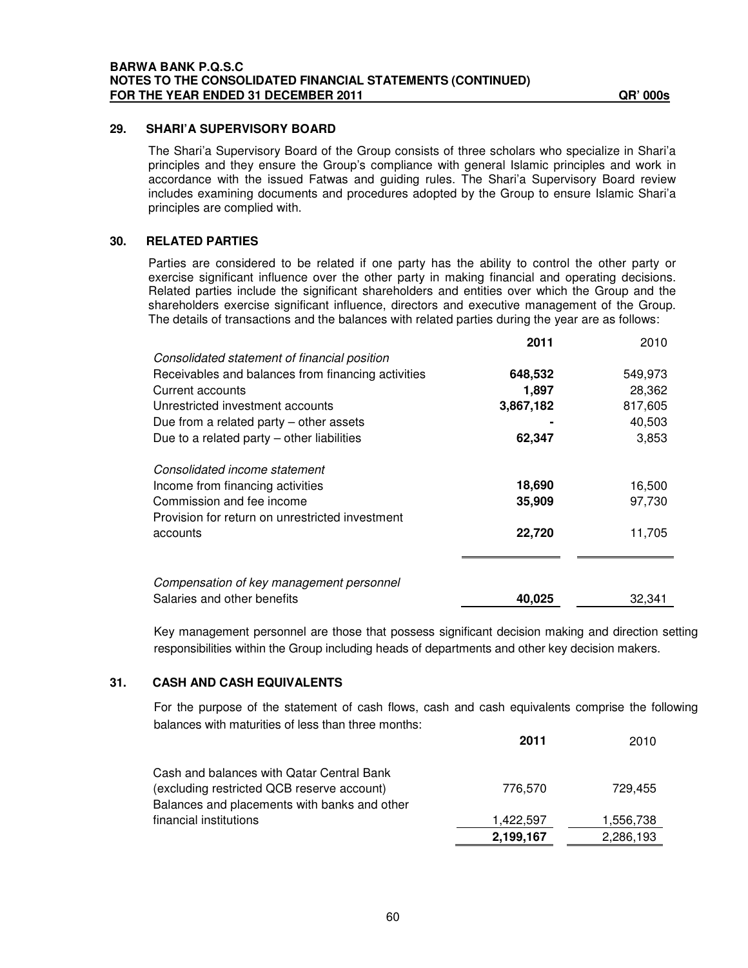### **29. SHARI'A SUPERVISORY BOARD**

The Shari'a Supervisory Board of the Group consists of three scholars who specialize in Shari'a principles and they ensure the Group's compliance with general Islamic principles and work in accordance with the issued Fatwas and guiding rules. The Shari'a Supervisory Board review includes examining documents and procedures adopted by the Group to ensure Islamic Shari'a principles are complied with.

### **30. RELATED PARTIES**

Parties are considered to be related if one party has the ability to control the other party or exercise significant influence over the other party in making financial and operating decisions. Related parties include the significant shareholders and entities over which the Group and the shareholders exercise significant influence, directors and executive management of the Group. The details of transactions and the balances with related parties during the year are as follows:

|                                                    | 2011      | 2010    |
|----------------------------------------------------|-----------|---------|
| Consolidated statement of financial position       |           |         |
| Receivables and balances from financing activities | 648,532   | 549,973 |
| Current accounts                                   | 1,897     | 28,362  |
| Unrestricted investment accounts                   | 3,867,182 | 817,605 |
| Due from a related party $-$ other assets          |           | 40,503  |
| Due to a related party - other liabilities         | 62,347    | 3,853   |
| Consolidated income statement                      |           |         |
| Income from financing activities                   | 18,690    | 16,500  |
| Commission and fee income                          | 35,909    | 97,730  |
| Provision for return on unrestricted investment    |           |         |
| accounts                                           | 22,720    | 11,705  |
|                                                    |           |         |
| Compensation of key management personnel           |           |         |
| Salaries and other benefits                        | 40,025    | 32,341  |

Key management personnel are those that possess significant decision making and direction setting responsibilities within the Group including heads of departments and other key decision makers.

### **31. CASH AND CASH EQUIVALENTS**

For the purpose of the statement of cash flows, cash and cash equivalents comprise the following balances with maturities of less than three months:

|                                              | 2011      | 2010      |
|----------------------------------------------|-----------|-----------|
| Cash and balances with Qatar Central Bank    |           |           |
| (excluding restricted QCB reserve account)   | 776,570   | 729.455   |
| Balances and placements with banks and other |           |           |
| financial institutions                       | 1,422,597 | 1,556,738 |
|                                              | 2,199,167 | 2,286,193 |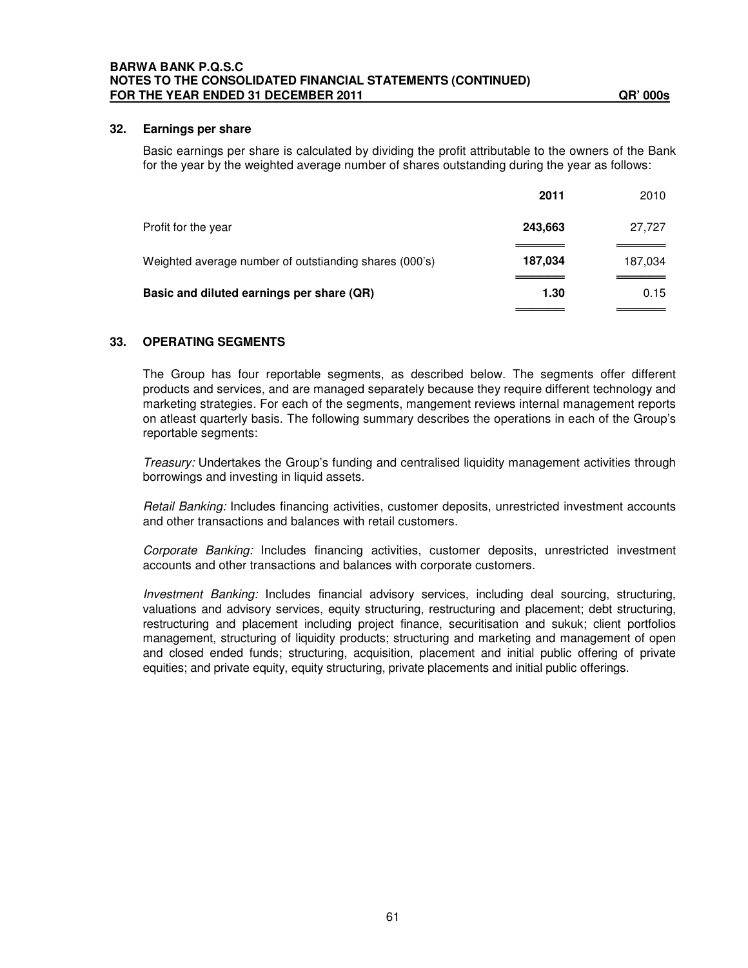### **32. Earnings per share**

Basic earnings per share is calculated by dividing the profit attributable to the owners of the Bank for the year by the weighted average number of shares outstanding during the year as follows:

|                                                        | 2011    | 2010    |
|--------------------------------------------------------|---------|---------|
| Profit for the year                                    | 243,663 | 27,727  |
| Weighted average number of outstianding shares (000's) | 187,034 | 187,034 |
| Basic and diluted earnings per share (QR)              | 1.30    | 0.15    |
|                                                        |         |         |

### **33. OPERATING SEGMENTS**

The Group has four reportable segments, as described below. The segments offer different products and services, and are managed separately because they require different technology and marketing strategies. For each of the segments, mangement reviews internal management reports on atleast quarterly basis. The following summary describes the operations in each of the Group's reportable segments:

*Treasury:* Undertakes the Group's funding and centralised liquidity management activities through borrowings and investing in liquid assets.

*Retail Banking:* Includes financing activities, customer deposits, unrestricted investment accounts and other transactions and balances with retail customers.

*Corporate Banking:* Includes financing activities, customer deposits, unrestricted investment accounts and other transactions and balances with corporate customers.

*Investment Banking:* Includes financial advisory services, including deal sourcing, structuring, valuations and advisory services, equity structuring, restructuring and placement; debt structuring, restructuring and placement including project finance, securitisation and sukuk; client portfolios management, structuring of liquidity products; structuring and marketing and management of open and closed ended funds; structuring, acquisition, placement and initial public offering of private equities; and private equity, equity structuring, private placements and initial public offerings.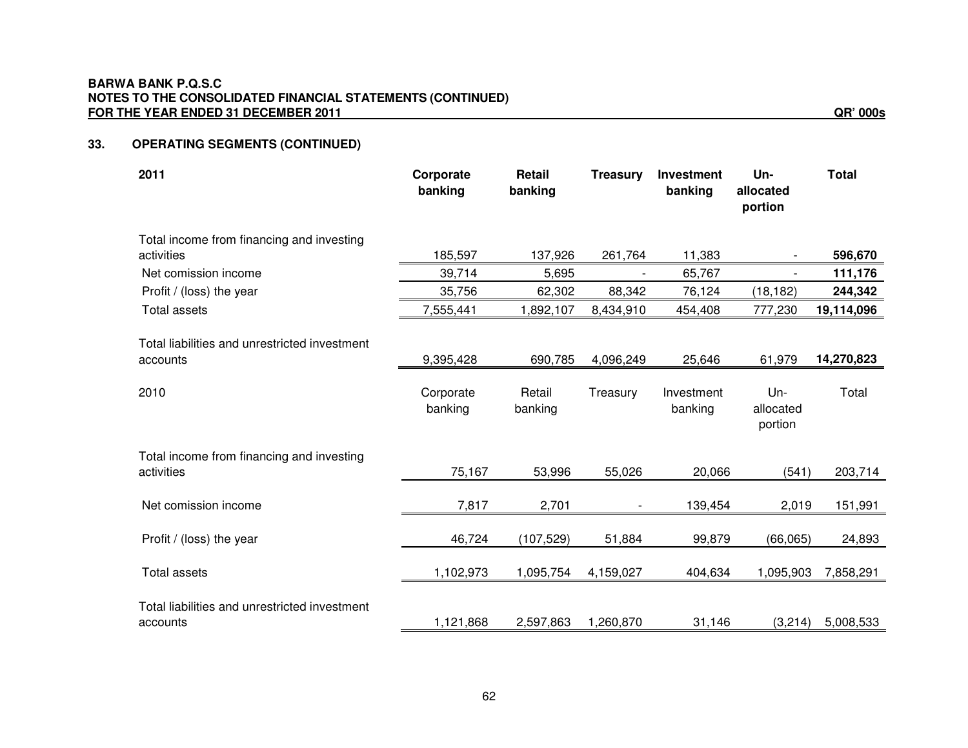### **BARWA BANK P.Q.S.C NOTES TO THE CONSOLIDATED FINANCIAL STATEMENTS (CONTINUED) FOR THE YEAR ENDED 31 DECEMBER 2011 QR' 000s**

#### **33.OPERATING SEGMENTS (CONTINUED)**

| 2011                                                      | Corporate<br>banking | <b>Retail</b><br>banking | <b>Treasury</b> | <b>Investment</b><br>banking | Un-<br>allocated<br>portion | <b>Total</b> |
|-----------------------------------------------------------|----------------------|--------------------------|-----------------|------------------------------|-----------------------------|--------------|
| Total income from financing and investing                 |                      |                          |                 |                              |                             |              |
| activities                                                | 185,597              | 137,926                  | 261,764         | 11,383                       |                             | 596,670      |
| Net comission income                                      | 39,714               | 5,695                    |                 | 65,767                       | $\overline{\phantom{a}}$    | 111,176      |
| Profit / (loss) the year                                  | 35,756               | 62,302                   | 88,342          | 76,124                       | (18, 182)                   | 244,342      |
| <b>Total assets</b>                                       | 7,555,441            | 1,892,107                | 8,434,910       | 454,408                      | 777,230                     | 19,114,096   |
| Total liabilities and unrestricted investment<br>accounts | 9,395,428            | 690,785                  | 4,096,249       | 25,646                       | 61,979                      | 14,270,823   |
|                                                           |                      |                          |                 |                              |                             |              |
| 2010                                                      | Corporate<br>banking | Retail<br>banking        | Treasury        | Investment<br>banking        | Un-<br>allocated<br>portion | Total        |
| Total income from financing and investing<br>activities   | 75,167               | 53,996                   | 55,026          | 20,066                       | (541)                       | 203,714      |
| Net comission income                                      | 7,817                | 2,701                    |                 | 139,454                      | 2,019                       | 151,991      |
| Profit / (loss) the year                                  | 46,724               | (107, 529)               | 51,884          | 99,879                       | (66,065)                    | 24,893       |
| <b>Total assets</b>                                       | 1,102,973            | 1,095,754                | 4,159,027       | 404,634                      | 1,095,903                   | 7,858,291    |
| Total liabilities and unrestricted investment<br>accounts | 1,121,868            | 2,597,863                | 1,260,870       | 31,146                       | (3,214)                     | 5,008,533    |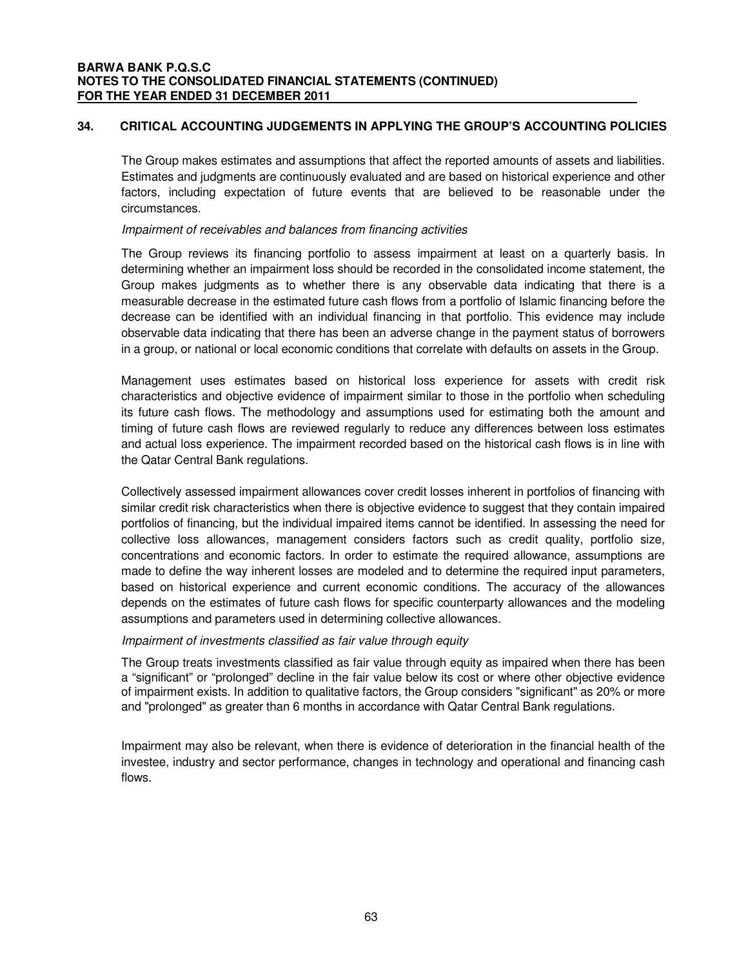### **34. CRITICAL ACCOUNTING JUDGEMENTS IN APPLYING THE GROUP'S ACCOUNTING POLICIES**

The Group makes estimates and assumptions that affect the reported amounts of assets and liabilities. Estimates and judgments are continuously evaluated and are based on historical experience and other factors, including expectation of future events that are believed to be reasonable under the circumstances.

### *Impairment of receivables and balances from financing activities*

The Group reviews its financing portfolio to assess impairment at least on a quarterly basis. In determining whether an impairment loss should be recorded in the consolidated income statement, the Group makes judgments as to whether there is any observable data indicating that there is a measurable decrease in the estimated future cash flows from a portfolio of Islamic financing before the decrease can be identified with an individual financing in that portfolio. This evidence may include observable data indicating that there has been an adverse change in the payment status of borrowers in a group, or national or local economic conditions that correlate with defaults on assets in the Group.

Management uses estimates based on historical loss experience for assets with credit risk characteristics and objective evidence of impairment similar to those in the portfolio when scheduling its future cash flows. The methodology and assumptions used for estimating both the amount and timing of future cash flows are reviewed regularly to reduce any differences between loss estimates and actual loss experience. The impairment recorded based on the historical cash flows is in line with the Qatar Central Bank regulations.

Collectively assessed impairment allowances cover credit losses inherent in portfolios of financing with similar credit risk characteristics when there is objective evidence to suggest that they contain impaired portfolios of financing, but the individual impaired items cannot be identified. In assessing the need for collective loss allowances, management considers factors such as credit quality, portfolio size, concentrations and economic factors. In order to estimate the required allowance, assumptions are made to define the way inherent losses are modeled and to determine the required input parameters, based on historical experience and current economic conditions. The accuracy of the allowances depends on the estimates of future cash flows for specific counterparty allowances and the modeling assumptions and parameters used in determining collective allowances.

### *Impairment of investments classified as fair value through equity*

The Group treats investments classified as fair value through equity as impaired when there has been a "significant" or "prolonged" decline in the fair value below its cost or where other objective evidence of impairment exists. In addition to qualitative factors, the Group considers "significant" as 20% or more and "prolonged" as greater than 6 months in accordance with Qatar Central Bank regulations.

Impairment may also be relevant, when there is evidence of deterioration in the financial health of the investee, industry and sector performance, changes in technology and operational and financing cash flows.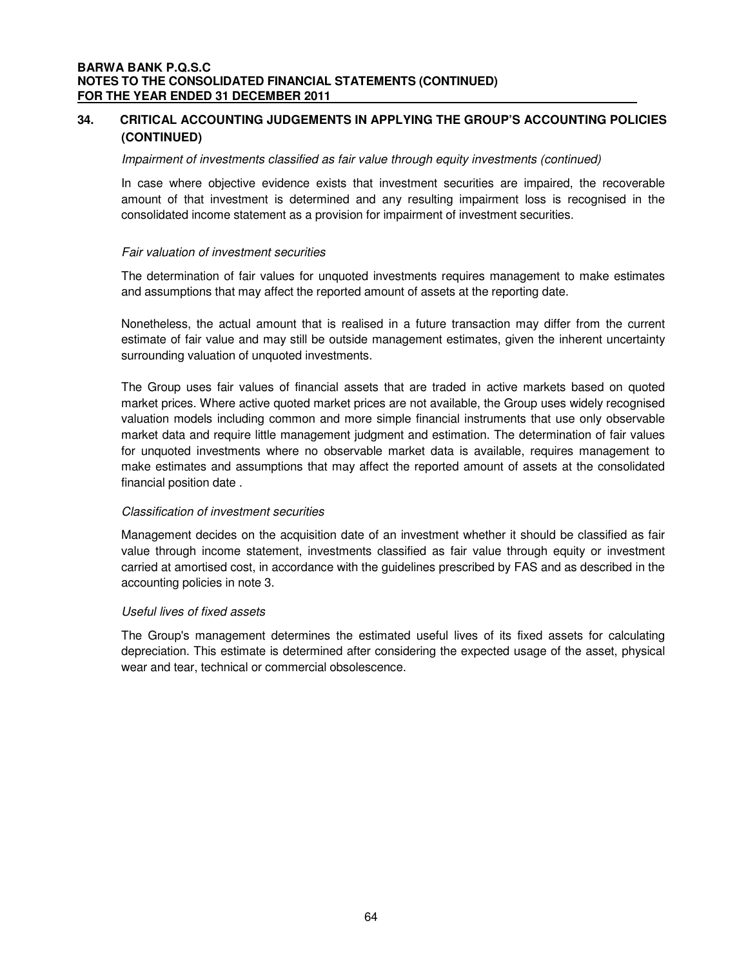### **34. CRITICAL ACCOUNTING JUDGEMENTS IN APPLYING THE GROUP'S ACCOUNTING POLICIES (CONTINUED)**

### *Impairment of investments classified as fair value through equity investments (continued)*

In case where objective evidence exists that investment securities are impaired, the recoverable amount of that investment is determined and any resulting impairment loss is recognised in the consolidated income statement as a provision for impairment of investment securities.

### *Fair valuation of investment securities*

The determination of fair values for unquoted investments requires management to make estimates and assumptions that may affect the reported amount of assets at the reporting date.

Nonetheless, the actual amount that is realised in a future transaction may differ from the current estimate of fair value and may still be outside management estimates, given the inherent uncertainty surrounding valuation of unquoted investments.

The Group uses fair values of financial assets that are traded in active markets based on quoted market prices. Where active quoted market prices are not available, the Group uses widely recognised valuation models including common and more simple financial instruments that use only observable market data and require little management judgment and estimation. The determination of fair values for unquoted investments where no observable market data is available, requires management to make estimates and assumptions that may affect the reported amount of assets at the consolidated financial position date .

### *Classification of investment securities*

Management decides on the acquisition date of an investment whether it should be classified as fair value through income statement, investments classified as fair value through equity or investment carried at amortised cost, in accordance with the guidelines prescribed by FAS and as described in the accounting policies in note 3.

### *Useful lives of fixed assets*

The Group's management determines the estimated useful lives of its fixed assets for calculating depreciation. This estimate is determined after considering the expected usage of the asset, physical wear and tear, technical or commercial obsolescence.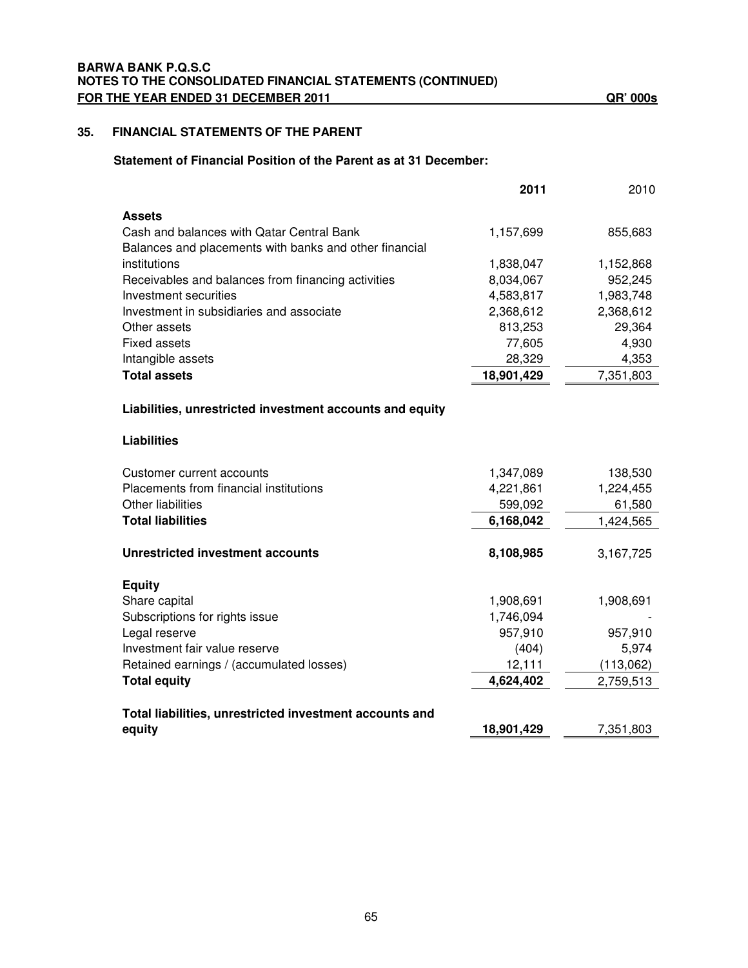### **35. FINANCIAL STATEMENTS OF THE PARENT**

### **Statement of Financial Position of the Parent as at 31 December:**

|                                                          | 2011       | 2010      |
|----------------------------------------------------------|------------|-----------|
| <b>Assets</b>                                            |            |           |
| Cash and balances with Qatar Central Bank                | 1,157,699  | 855,683   |
| Balances and placements with banks and other financial   |            |           |
| institutions                                             | 1,838,047  | 1,152,868 |
| Receivables and balances from financing activities       | 8,034,067  | 952,245   |
| Investment securities                                    | 4,583,817  | 1,983,748 |
| Investment in subsidiaries and associate                 | 2,368,612  | 2,368,612 |
| Other assets                                             | 813,253    | 29,364    |
| <b>Fixed assets</b>                                      | 77,605     | 4,930     |
| Intangible assets                                        | 28,329     | 4,353     |
| <b>Total assets</b>                                      | 18,901,429 | 7,351,803 |
| Liabilities, unrestricted investment accounts and equity |            |           |
| <b>Liabilities</b>                                       |            |           |
| Customer current accounts                                | 1,347,089  | 138,530   |
| Placements from financial institutions                   | 4,221,861  | 1,224,455 |
| Other liabilities                                        | 599,092    | 61,580    |
| <b>Total liabilities</b>                                 | 6,168,042  | 1,424,565 |
| <b>Unrestricted investment accounts</b>                  | 8,108,985  | 3,167,725 |
| <b>Equity</b>                                            |            |           |
| Share capital                                            | 1,908,691  | 1,908,691 |
| Subscriptions for rights issue                           | 1,746,094  |           |
| Legal reserve                                            | 957,910    | 957,910   |
| Investment fair value reserve                            | (404)      | 5,974     |
| Retained earnings / (accumulated losses)                 | 12,111     | (113,062) |
| <b>Total equity</b>                                      | 4,624,402  | 2,759,513 |
| Total liabilities, unrestricted investment accounts and  |            |           |
| equity                                                   | 18,901,429 | 7,351,803 |